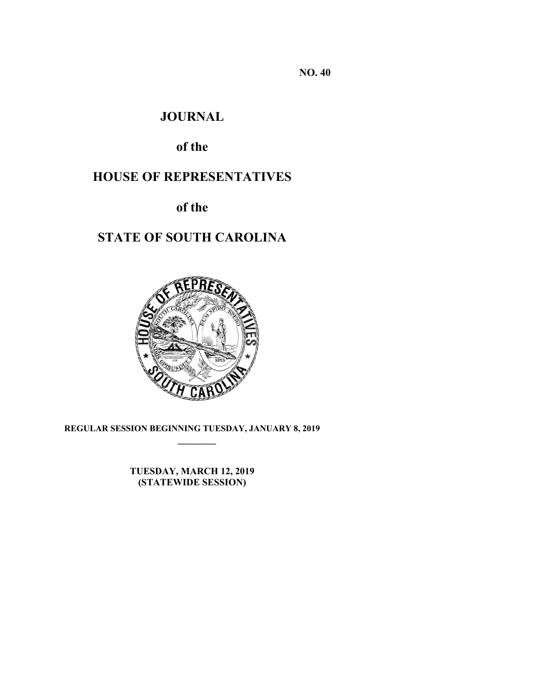**NO. 40** 

## **JOURNAL**

# **of the**

# **HOUSE OF REPRESENTATIVES**

**of the** 

# **STATE OF SOUTH CAROLINA**



**REGULAR SESSION BEGINNING TUESDAY, JANUARY 8, 2019 \_\_\_\_\_\_\_\_**

> **TUESDAY, MARCH 12, 2019 (STATEWIDE SESSION)**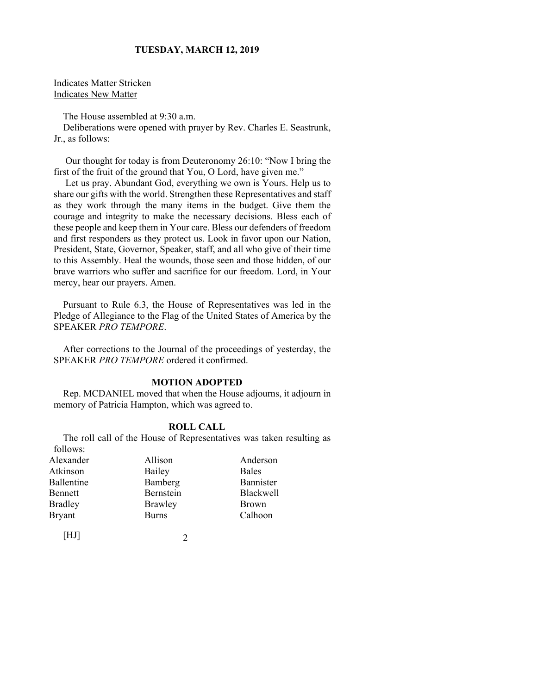Indicates Matter Stricken Indicates New Matter

The House assembled at 9:30 a.m.

Deliberations were opened with prayer by Rev. Charles E. Seastrunk, Jr., as follows:

 Our thought for today is from Deuteronomy 26:10: "Now I bring the first of the fruit of the ground that You, O Lord, have given me."

 Let us pray. Abundant God, everything we own is Yours. Help us to share our gifts with the world. Strengthen these Representatives and staff as they work through the many items in the budget. Give them the courage and integrity to make the necessary decisions. Bless each of these people and keep them in Your care. Bless our defenders of freedom and first responders as they protect us. Look in favor upon our Nation, President, State, Governor, Speaker, staff, and all who give of their time to this Assembly. Heal the wounds, those seen and those hidden, of our brave warriors who suffer and sacrifice for our freedom. Lord, in Your mercy, hear our prayers. Amen.

Pursuant to Rule 6.3, the House of Representatives was led in the Pledge of Allegiance to the Flag of the United States of America by the SPEAKER *PRO TEMPORE*.

After corrections to the Journal of the proceedings of yesterday, the SPEAKER *PRO TEMPORE* ordered it confirmed.

#### **MOTION ADOPTED**

Rep. MCDANIEL moved that when the House adjourns, it adjourn in memory of Patricia Hampton, which was agreed to.

#### **ROLL CALL**

The roll call of the House of Representatives was taken resulting as follows:

| Alexander      | Allison   | Anderson         |
|----------------|-----------|------------------|
| Atkinson       | Bailey    | Bales            |
| Ballentine     | Bamberg   | Bannister        |
| Bennett        | Bernstein | <b>Blackwell</b> |
| <b>Bradley</b> | Brawley   | <b>Brown</b>     |
| <b>Bryant</b>  | Burns     | Calhoon          |
|                |           |                  |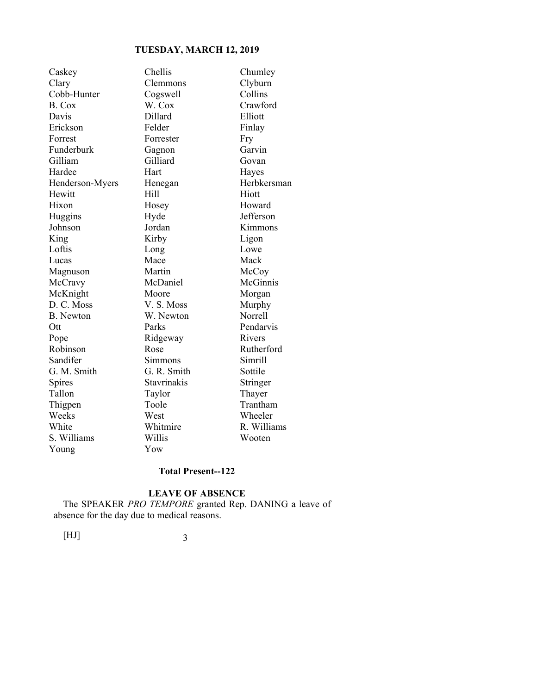| Caskey           | Chellis     | Chumley     |
|------------------|-------------|-------------|
| Clary            | Clemmons    | Clyburn     |
| Cobb-Hunter      | Cogswell    | Collins     |
| B. Cox           | W. Cox      | Crawford    |
| Davis            | Dillard     | Elliott     |
| Erickson         | Felder      | Finlay      |
| Forrest          | Forrester   | Fry         |
| Funderburk       | Gagnon      | Garvin      |
| Gilliam          | Gilliard    | Govan       |
| Hardee           | Hart        | Hayes       |
| Henderson-Myers  | Henegan     | Herbkersman |
| Hewitt           | Hill        | Hiott       |
| Hixon            | Hosey       | Howard      |
| Huggins          | Hyde        | Jefferson   |
| Johnson          | Jordan      | Kimmons     |
| King             | Kirby       | Ligon       |
| Loftis           | Long        | Lowe        |
| Lucas            | Mace        | Mack        |
| Magnuson         | Martin      | McCoy       |
| McCravy          | McDaniel    | McGinnis    |
| McKnight         | Moore       | Morgan      |
| D. C. Moss       | V. S. Moss  | Murphy      |
| <b>B.</b> Newton | W. Newton   | Norrell     |
| Ott              | Parks       | Pendarvis   |
| Pope             | Ridgeway    | Rivers      |
| Robinson         | Rose        | Rutherford  |
| Sandifer         | Simmons     | Simrill     |
| G. M. Smith      | G. R. Smith | Sottile     |
| Spires           | Stavrinakis | Stringer    |
| Tallon           | Taylor      | Thayer      |
| Thigpen          | Toole       | Trantham    |
| Weeks            | West        | Wheeler     |
| White            | Whitmire    | R. Williams |
| S. Williams      | Willis      | Wooten      |
| Young            | Yow         |             |

#### **Total Present--122**

### **LEAVE OF ABSENCE**

The SPEAKER *PRO TEMPORE* granted Rep. DANING a leave of absence for the day due to medical reasons.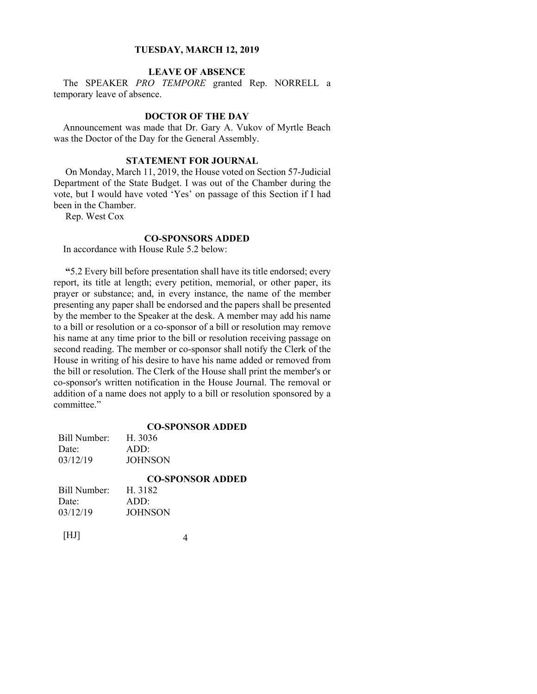#### **LEAVE OF ABSENCE**

The SPEAKER *PRO TEMPORE* granted Rep. NORRELL a temporary leave of absence.

#### **DOCTOR OF THE DAY**

Announcement was made that Dr. Gary A. Vukov of Myrtle Beach was the Doctor of the Day for the General Assembly.

#### **STATEMENT FOR JOURNAL**

 On Monday, March 11, 2019, the House voted on Section 57-Judicial Department of the State Budget. I was out of the Chamber during the vote, but I would have voted 'Yes' on passage of this Section if I had been in the Chamber.

Rep. West Cox

#### **CO-SPONSORS ADDED**

In accordance with House Rule 5.2 below:

**"**5.2 Every bill before presentation shall have its title endorsed; every report, its title at length; every petition, memorial, or other paper, its prayer or substance; and, in every instance, the name of the member presenting any paper shall be endorsed and the papers shall be presented by the member to the Speaker at the desk. A member may add his name to a bill or resolution or a co-sponsor of a bill or resolution may remove his name at any time prior to the bill or resolution receiving passage on second reading. The member or co-sponsor shall notify the Clerk of the House in writing of his desire to have his name added or removed from the bill or resolution. The Clerk of the House shall print the member's or co-sponsor's written notification in the House Journal. The removal or addition of a name does not apply to a bill or resolution sponsored by a committee."

#### **CO-SPONSOR ADDED**

Bill Number: H. 3036 Date: ADD: 03/12/19 JOHNSON

#### **CO-SPONSOR ADDED**

| Bill Number: | H. 3182        |  |
|--------------|----------------|--|
| Date:        | ADD:           |  |
| 03/12/19     | <b>JOHNSON</b> |  |
|              |                |  |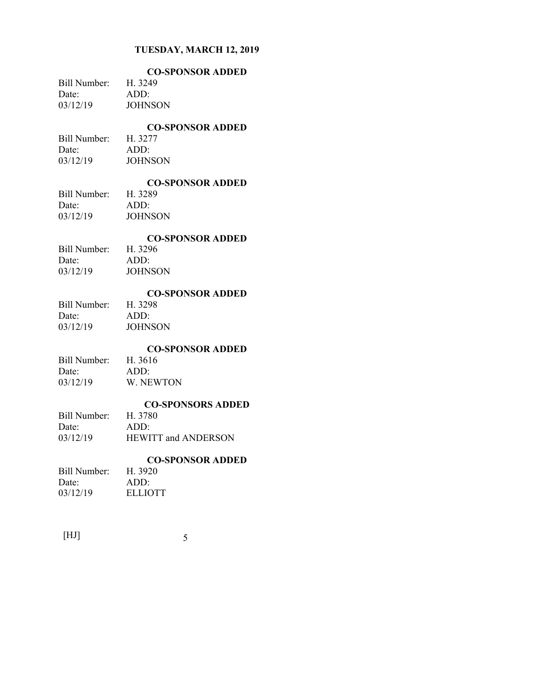|              | <b>CO-SPONSOR ADDED</b> |
|--------------|-------------------------|
| Bill Number: | H. 3249                 |
| Date:        | ADD:                    |
| 03/12/19     | JOHNSON                 |

#### **CO-SPONSOR ADDED**

Bill Number: H. 3277 Date: ADD: 03/12/19 JOHNSON

# **CO-SPONSOR ADDED**

Bill Number: Date: ADD: 03/12/19 JOHNSON

#### **CO-SPONSOR ADDED**

Bill Number: H. 3296 Date: ADD: 03/12/19 JOHNSON

#### **CO-SPONSOR ADDED**

Bill Number: H. 3298 Date: ADD: 03/12/19 JOHNSON

#### **CO-SPONSOR ADDED**

Bill Number: H. 3616 Date: ADD: 03/12/19 W. NEWTON

#### **CO-SPONSORS ADDED**

| CO-91 ORBORS ADDI          |
|----------------------------|
| H. 3780                    |
| ADD:                       |
| <b>HEWITT and ANDERSON</b> |
|                            |

#### **CO-SPONSOR ADDED**

| Bill Number: | H. 3920 |
|--------------|---------|
| Date:        | ADD:    |
| 03/12/19     | ELLIOTT |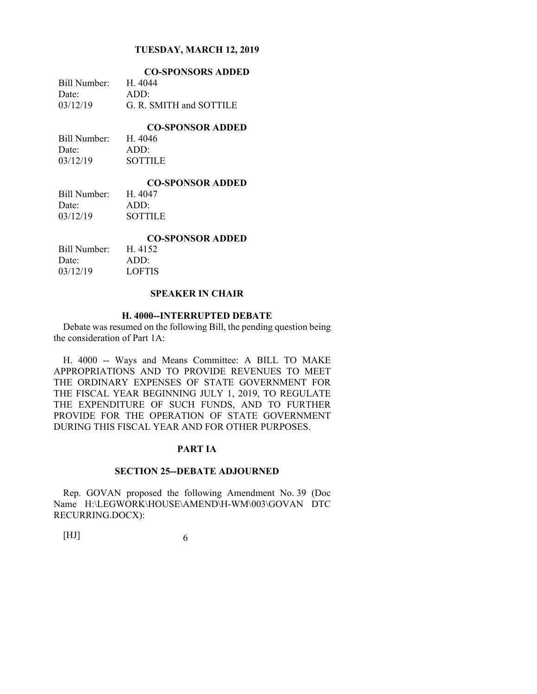|              | <b>CO-SPONSORS ADDED</b> |
|--------------|--------------------------|
| Bill Number: | H. 4044                  |
| Date:        | $ADD^+$                  |
| 03/12/19     | G. R. SMITH and SOTTILE  |

**CO-SPONSOR ADDED** 

| Bill Number: | H. 4046        |
|--------------|----------------|
| Date:        | ADD:           |
| 03/12/19     | <b>SOTTILE</b> |

#### **CO-SPONSOR ADDED**

Bill Number: H. 4047 Date: ADD: 03/12/19 SOTTILE

#### **CO-SPONSOR ADDED**

| Bill Number: | H. 4152       |
|--------------|---------------|
| Date:        | ADD:          |
| 03/12/19     | <b>LOFTIS</b> |

#### **SPEAKER IN CHAIR**

#### **H. 4000--INTERRUPTED DEBATE**

Debate was resumed on the following Bill, the pending question being the consideration of Part 1A:

H. 4000 -- Ways and Means Committee: A BILL TO MAKE APPROPRIATIONS AND TO PROVIDE REVENUES TO MEET THE ORDINARY EXPENSES OF STATE GOVERNMENT FOR THE FISCAL YEAR BEGINNING JULY 1, 2019, TO REGULATE THE EXPENDITURE OF SUCH FUNDS, AND TO FURTHER PROVIDE FOR THE OPERATION OF STATE GOVERNMENT DURING THIS FISCAL YEAR AND FOR OTHER PURPOSES.

#### **PART IA**

#### **SECTION 25--DEBATE ADJOURNED**

Rep. GOVAN proposed the following Amendment No. 39 (Doc Name H:\LEGWORK\HOUSE\AMEND\H-WM\003\GOVAN DTC RECURRING.DOCX):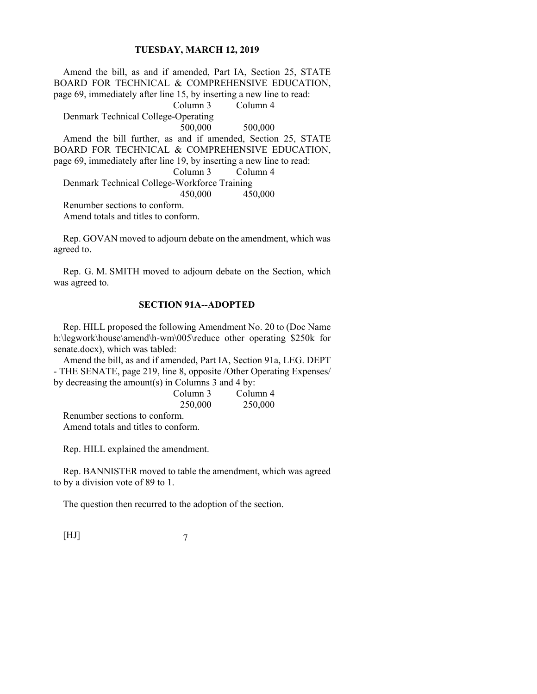Amend the bill, as and if amended, Part IA, Section 25, STATE BOARD FOR TECHNICAL & COMPREHENSIVE EDUCATION, page 69, immediately after line 15, by inserting a new line to read: Column 3 Column 4 Denmark Technical College-Operating 500,000 500,000 Amend the bill further, as and if amended, Section 25, STATE BOARD FOR TECHNICAL & COMPREHENSIVE EDUCATION, page 69, immediately after line 19, by inserting a new line to read: Column 3 Column 4 Denmark Technical College-Workforce Training 450,000 450,000 Renumber sections to conform.

Amend totals and titles to conform.

Rep. GOVAN moved to adjourn debate on the amendment, which was agreed to.

Rep. G. M. SMITH moved to adjourn debate on the Section, which was agreed to.

#### **SECTION 91A--ADOPTED**

Rep. HILL proposed the following Amendment No. 20 to (Doc Name h:\legwork\house\amend\h-wm\005\reduce other operating \$250k for senate.docx), which was tabled:

Amend the bill, as and if amended, Part IA, Section 91a, LEG. DEPT - THE SENATE, page 219, line 8, opposite /Other Operating Expenses/ by decreasing the amount(s) in Columns 3 and 4 by:

| Column 3 | Column 4 |
|----------|----------|
| 250,000  | 250,000  |

Renumber sections to conform. Amend totals and titles to conform.

Rep. HILL explained the amendment.

Rep. BANNISTER moved to table the amendment, which was agreed to by a division vote of 89 to 1.

The question then recurred to the adoption of the section.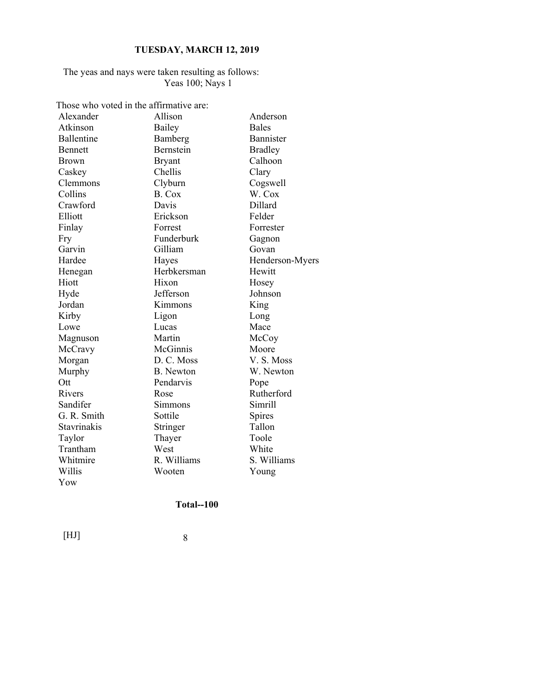#### The yeas and nays were taken resulting as follows: Yeas 100; Nays 1

Those who voted in the affirmative are:

| Alexander      | Allison          | Anderson        |
|----------------|------------------|-----------------|
| Atkinson       | Bailey           | <b>Bales</b>    |
| Ballentine     | Bamberg          | Bannister       |
| <b>Bennett</b> | Bernstein        | <b>Bradley</b>  |
| Brown          | <b>Bryant</b>    | Calhoon         |
| Caskey         | Chellis          | Clary           |
| Clemmons       | Clyburn          | Cogswell        |
| Collins        | B. Cox           | W. Cox          |
| Crawford       | Davis            | Dillard         |
| Elliott        | Erickson         | Felder          |
| Finlay         | Forrest          | Forrester       |
| Fry            | Funderburk       | Gagnon          |
| Garvin         | Gilliam          | Govan           |
| Hardee         | Hayes            | Henderson-Myers |
| Henegan        | Herbkersman      | Hewitt          |
| Hiott          | Hixon            | Hosey           |
| Hyde           | Jefferson        | Johnson         |
| Jordan         | Kimmons          | King            |
| Kirby          | Ligon            | Long            |
| Lowe           | Lucas            | Mace            |
| Magnuson       | Martin           | McCoy           |
| McCravy        | McGinnis         | Moore           |
| Morgan         | D. C. Moss       | V.S. Moss       |
| Murphy         | <b>B.</b> Newton | W. Newton       |
| Ott            | Pendarvis        | Pope            |
| Rivers         | Rose             | Rutherford      |
| Sandifer       | Simmons          | Simrill         |
| G. R. Smith    | Sottile          | Spires          |
| Stavrinakis    | Stringer         | Tallon          |
| Taylor         | Thayer           | Toole           |
| Trantham       | West             | White           |
| Whitmire       | R. Williams      | S. Williams     |
| Willis         | Wooten           | Young           |
| Yow            |                  |                 |

### **Total--100**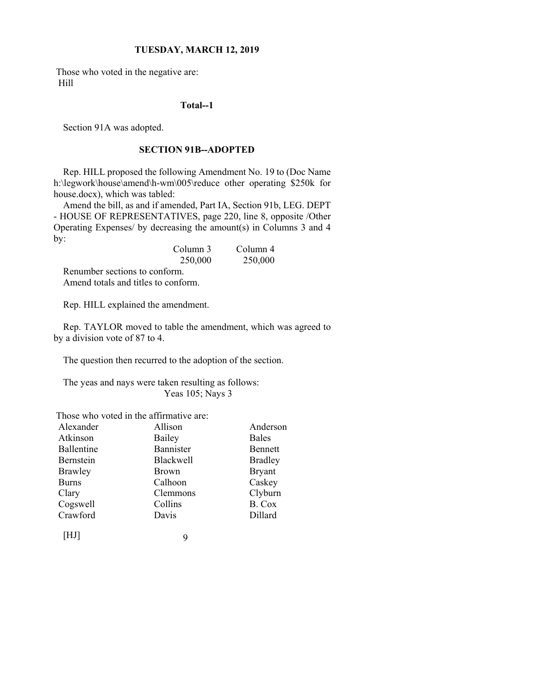Those who voted in the negative are: Hill

#### **Total--1**

Section 91A was adopted.

### **SECTION 91B--ADOPTED**

Rep. HILL proposed the following Amendment No. 19 to (Doc Name h:\legwork\house\amend\h-wm\005\reduce other operating \$250k for house.docx), which was tabled:

Amend the bill, as and if amended, Part IA, Section 91b, LEG. DEPT - HOUSE OF REPRESENTATIVES, page 220, line 8, opposite /Other Operating Expenses/ by decreasing the amount(s) in Columns 3 and 4 by:

|                               | Column 3 | Column 4 |
|-------------------------------|----------|----------|
|                               | 250,000  | 250,000  |
| Renumber sections to conform. |          |          |

Amend totals and titles to conform.

Rep. HILL explained the amendment.

Rep. TAYLOR moved to table the amendment, which was agreed to by a division vote of 87 to 4.

The question then recurred to the adoption of the section.

The yeas and nays were taken resulting as follows: Yeas 105; Nays 3

Those who voted in the affirmative are:

| Alexander    | Allison      | Anderson       |
|--------------|--------------|----------------|
| Atkinson     | Bailey       | Bales          |
| Ballentine   | Bannister    | Bennett        |
| Bernstein    | Blackwell    | <b>Bradley</b> |
| Brawley      | <b>Brown</b> | <b>Bryant</b>  |
| <b>Burns</b> | Calhoon      | Caskey         |
| Clary        | Clemmons     | Clyburn        |
| Cogswell     | Collins      | B. Cox         |
| Crawford     | Davis        | Dillard        |
|              |              |                |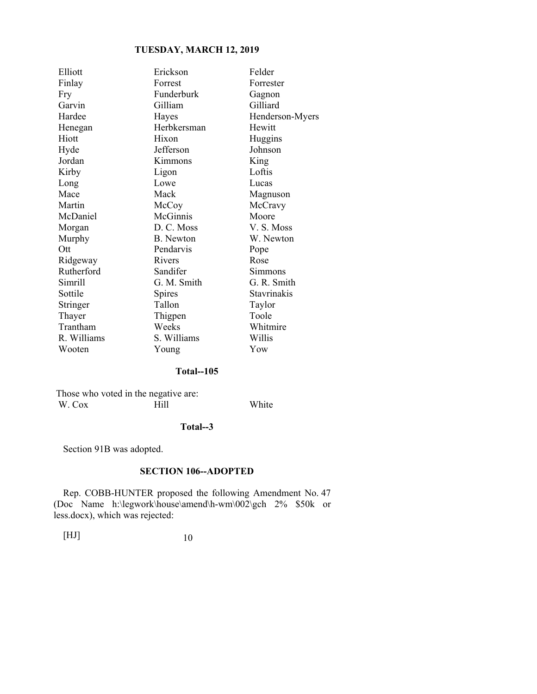| Erickson    | Felder             |
|-------------|--------------------|
| Forrest     | Forrester          |
| Funderburk  | Gagnon             |
| Gilliam     | Gilliard           |
| Hayes       | Henderson-Myers    |
| Herbkersman | Hewitt             |
| Hixon       | Huggins            |
| Jefferson   | Johnson            |
| Kimmons     | King               |
| Ligon       | Loftis             |
| Lowe        | Lucas              |
| Mack        | Magnuson           |
| McCoy       | McCravy            |
| McGinnis    | Moore              |
| D. C. Moss  | V.S. Moss          |
| B. Newton   | W. Newton          |
| Pendarvis   | Pope               |
| Rivers      | Rose               |
| Sandifer    | Simmons            |
| G. M. Smith | G. R. Smith        |
| Spires      | <b>Stavrinakis</b> |
| Tallon      | Taylor             |
| Thigpen     | Toole              |
| Weeks       | Whitmire           |
| S. Williams | Willis             |
| Young       | Yow                |
|             |                    |

### **Total--105**

Those who voted in the negative are:<br>W. Cox Hill W. Cox Hill White

#### **Total--3**

Section 91B was adopted.

#### **SECTION 106--ADOPTED**

Rep. COBB-HUNTER proposed the following Amendment No. 47 (Doc Name h:\legwork\house\amend\h-wm\002\gch 2% \$50k or less.docx), which was rejected: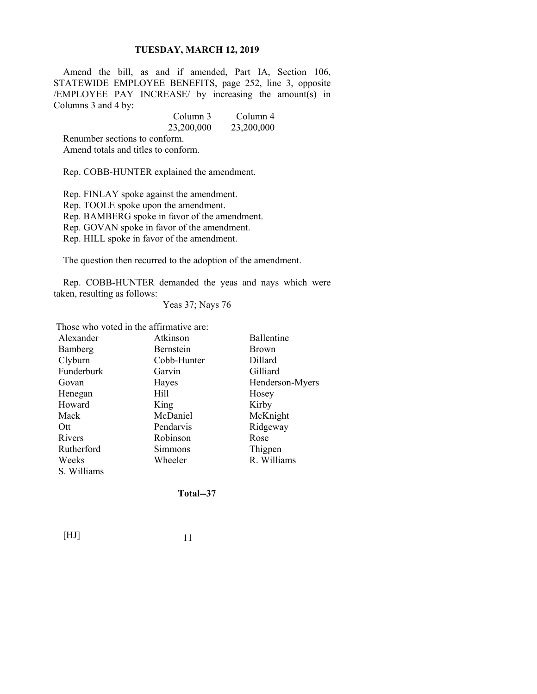Amend the bill, as and if amended, Part IA, Section 106, STATEWIDE EMPLOYEE BENEFITS, page 252, line 3, opposite /EMPLOYEE PAY INCREASE/ by increasing the amount(s) in Columns 3 and 4 by:

|                               | Column 3   | Column 4   |
|-------------------------------|------------|------------|
|                               | 23,200,000 | 23,200,000 |
| Renumber sections to conform. |            |            |

Amend totals and titles to conform.

Rep. COBB-HUNTER explained the amendment.

Rep. FINLAY spoke against the amendment. Rep. TOOLE spoke upon the amendment. Rep. BAMBERG spoke in favor of the amendment. Rep. GOVAN spoke in favor of the amendment. Rep. HILL spoke in favor of the amendment.

The question then recurred to the adoption of the amendment.

Rep. COBB-HUNTER demanded the yeas and nays which were taken, resulting as follows:

Yeas 37; Nays 76

Those who voted in the affirmative are:

| Alexander   | Atkinson    | Ballentine      |
|-------------|-------------|-----------------|
| Bamberg     | Bernstein   | <b>Brown</b>    |
| Clyburn     | Cobb-Hunter | Dillard         |
| Funderburk  | Garvin      | Gilliard        |
| Govan       | Hayes       | Henderson-Myers |
| Henegan     | Hill        | Hosey           |
| Howard      | King        | Kirby           |
| Mack        | McDaniel    | McKnight        |
| Ott         | Pendarvis   | Ridgeway        |
| Rivers      | Robinson    | Rose            |
| Rutherford  | Simmons     | Thigpen         |
| Weeks       | Wheeler     | R. Williams     |
| S. Williams |             |                 |

**Total--37**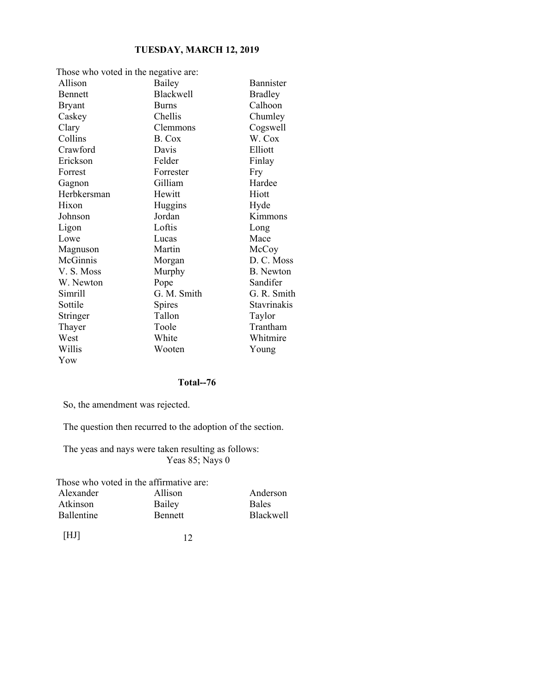| Those who voted in the negative are: |                  |                  |
|--------------------------------------|------------------|------------------|
| Allison                              | Bailey           | <b>Bannister</b> |
| <b>Bennett</b>                       | <b>Blackwell</b> | <b>Bradley</b>   |
| <b>Bryant</b>                        | <b>Burns</b>     | Calhoon          |
| Caskey                               | Chellis          | Chumley          |
| Clary                                | Clemmons         | Cogswell         |
| Collins                              | B. Cox           | W. Cox           |
| Crawford                             | Davis            | Elliott          |
| Erickson                             | Felder           | Finlay           |
| Forrest                              | Forrester        | Fry              |
| Gagnon                               | Gilliam          | Hardee           |
| Herbkersman                          | Hewitt           | Hiott            |
| Hixon                                | Huggins          | Hyde             |
| Johnson                              | Jordan           | Kimmons          |
| Ligon                                | Loftis           | Long             |
| Lowe                                 | Lucas            | Mace             |
| Magnuson                             | Martin           | McCoy            |
| McGinnis                             | Morgan           | D. C. Moss       |
| V. S. Moss                           | Murphy           | <b>B.</b> Newton |
| W. Newton                            | Pope             | Sandifer         |
| Simrill                              | G. M. Smith      | G. R. Smith      |
| Sottile                              | Spires           | Stavrinakis      |
| Stringer                             | Tallon           | Taylor           |
| Thayer                               | Toole            | Trantham         |
| West                                 | White            | Whitmire         |
| Willis                               | Wooten           | Young            |
| Yow                                  |                  |                  |

#### **Total--76**

So, the amendment was rejected.

The question then recurred to the adoption of the section.

The yeas and nays were taken resulting as follows: Yeas 85; Nays 0

Those who voted in the affirmative are:

| Alexander  | Allison        | Anderson         |
|------------|----------------|------------------|
| Atkinson   | Bailey         | <b>Bales</b>     |
| Ballentine | <b>Bennett</b> | <b>Blackwell</b> |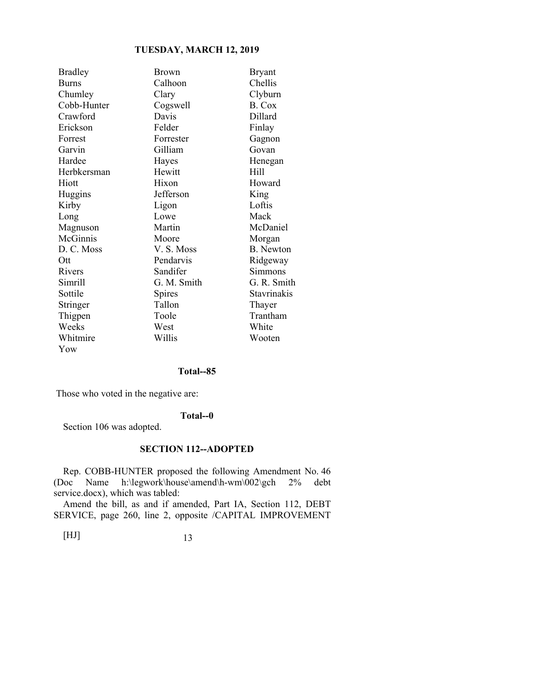| <b>Bradley</b> | <b>Brown</b> | <b>Bryant</b> |
|----------------|--------------|---------------|
| <b>Burns</b>   | Calhoon      | Chellis       |
| Chumley        | Clary        | Clyburn       |
| Cobb-Hunter    | Cogswell     | B. Cox        |
| Crawford       | Davis        | Dillard       |
| Erickson       | Felder       | Finlay        |
| Forrest        | Forrester    | Gagnon        |
| Garvin         | Gilliam      | Govan         |
| Hardee         | Hayes        | Henegan       |
| Herbkersman    | Hewitt       | Hill          |
| Hiott          | Hixon        | Howard        |
| Huggins        | Jefferson    | King          |
| Kirby          | Ligon        | Loftis        |
| Long           | Lowe         | Mack          |
| Magnuson       | Martin       | McDaniel      |
| McGinnis       | Moore        | Morgan        |
| D. C. Moss     | V. S. Moss   | B. Newton     |
| Ott            | Pendarvis    | Ridgeway      |
| Rivers         | Sandifer     | Simmons       |
| Simrill        | G. M. Smith  | G. R. Smith   |
| Sottile        | Spires       | Stavrinakis   |
| Stringer       | Tallon       | Thayer        |
| Thigpen        | Toole        | Trantham      |
| Weeks          | West         | White         |
| Whitmire       | Willis       | Wooten        |
| Yow            |              |               |

#### **Total--85**

Those who voted in the negative are:

#### **Total--0**

Section 106 was adopted.

#### **SECTION 112--ADOPTED**

Rep. COBB-HUNTER proposed the following Amendment No. 46 (Doc Name h:\legwork\house\amend\h-wm\002\gch 2% debt service.docx), which was tabled:

Amend the bill, as and if amended, Part IA, Section 112, DEBT SERVICE, page 260, line 2, opposite /CAPITAL IMPROVEMENT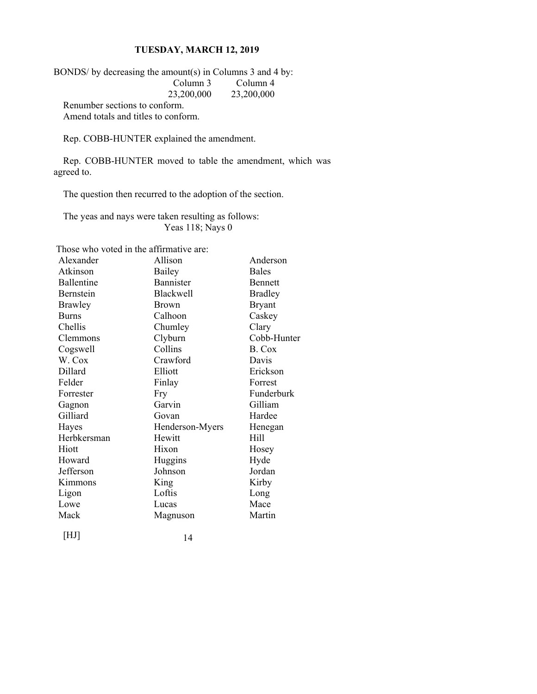BONDS/ by decreasing the amount(s) in Columns 3 and 4 by:<br>Column 3 Column 4 Column 3<br> $23,200,000$ 23,200,000 23,200,000

Renumber sections to conform. Amend totals and titles to conform.

Rep. COBB-HUNTER explained the amendment.

Rep. COBB-HUNTER moved to table the amendment, which was agreed to.

The question then recurred to the adoption of the section.

The yeas and nays were taken resulting as follows: Yeas 118; Nays 0

|                   | Those who voted in the affirmative are: |              |
|-------------------|-----------------------------------------|--------------|
| Alexander         | Allison                                 | Ander        |
| Atkinson          | Bailey                                  | <b>Bales</b> |
| <b>Rallentine</b> | Rannister                               | Renne        |

| Alexander      | Allison          | Anderson       |
|----------------|------------------|----------------|
| Atkinson       | Bailey           | <b>Bales</b>   |
| Ballentine     | Bannister        | <b>Bennett</b> |
| Bernstein      | <b>Blackwell</b> | <b>Bradley</b> |
| <b>Brawley</b> | <b>Brown</b>     | <b>Bryant</b>  |
| <b>Burns</b>   | Calhoon          | Caskey         |
| Chellis        | Chumley          | Clary          |
| Clemmons       | Clyburn          | Cobb-Hunter    |
| Cogswell       | Collins          | B. Cox         |
| W. Cox         | Crawford         | Davis          |
| Dillard        | Elliott          | Erickson       |
| Felder         | Finlay           | Forrest        |
| Forrester      | Fry              | Funderburk     |
| Gagnon         | Garvin           | Gilliam        |
| Gilliard       | Govan            | Hardee         |
| Hayes          | Henderson-Myers  | Henegan        |
| Herbkersman    | Hewitt           | Hill           |
| Hiott          | Hixon            | Hosey          |
| Howard         | Huggins          | Hyde           |
| Jefferson      | Johnson          | Jordan         |
| Kimmons        | King             | Kirby          |
| Ligon          | Loftis           | Long           |
| Lowe           | Lucas            | Mace           |
| Mack           | Magnuson         | Martin         |
|                |                  |                |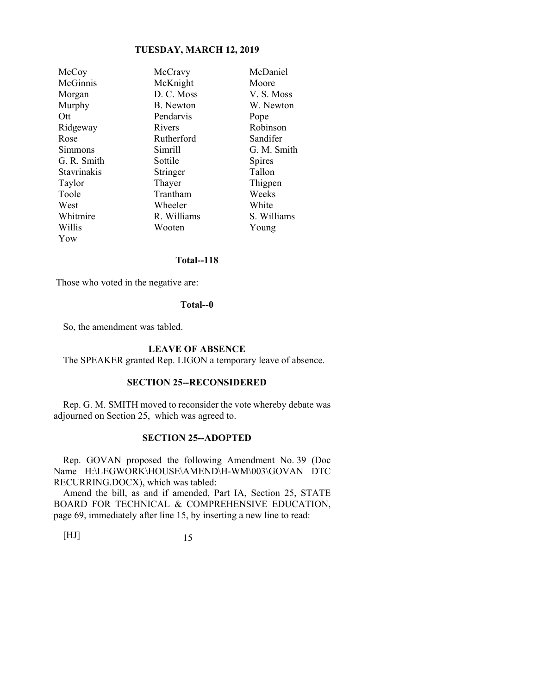| McCoy       | McCravy     | McDaniel      |
|-------------|-------------|---------------|
| McGinnis    | McKnight    | Moore         |
| Morgan      | D. C. Moss  | V.S. Moss     |
| Murphy      | B. Newton   | W. Newton     |
| Ott         | Pendarvis   | Pope          |
| Ridgeway    | Rivers      | Robinson      |
| Rose        | Rutherford  | Sandifer      |
| Simmons     | Simrill     | G. M. Smith   |
| G. R. Smith | Sottile     | <b>Spires</b> |
| Stavrinakis | Stringer    | Tallon        |
| Taylor      | Thayer      | Thigpen       |
| Toole       | Trantham    | Weeks         |
| West        | Wheeler     | White         |
| Whitmire    | R. Williams | S. Williams   |
| Willis      | Wooten      | Young         |
| Yow         |             |               |

#### **Total--118**

Those who voted in the negative are:

#### **Total--0**

So, the amendment was tabled.

#### **LEAVE OF ABSENCE**

The SPEAKER granted Rep. LIGON a temporary leave of absence.

#### **SECTION 25--RECONSIDERED**

Rep. G. M. SMITH moved to reconsider the vote whereby debate was adjourned on Section 25, which was agreed to.

#### **SECTION 25--ADOPTED**

Rep. GOVAN proposed the following Amendment No. 39 (Doc Name H:\LEGWORK\HOUSE\AMEND\H-WM\003\GOVAN DTC RECURRING.DOCX), which was tabled:

Amend the bill, as and if amended, Part IA, Section 25, STATE BOARD FOR TECHNICAL & COMPREHENSIVE EDUCATION, page 69, immediately after line 15, by inserting a new line to read: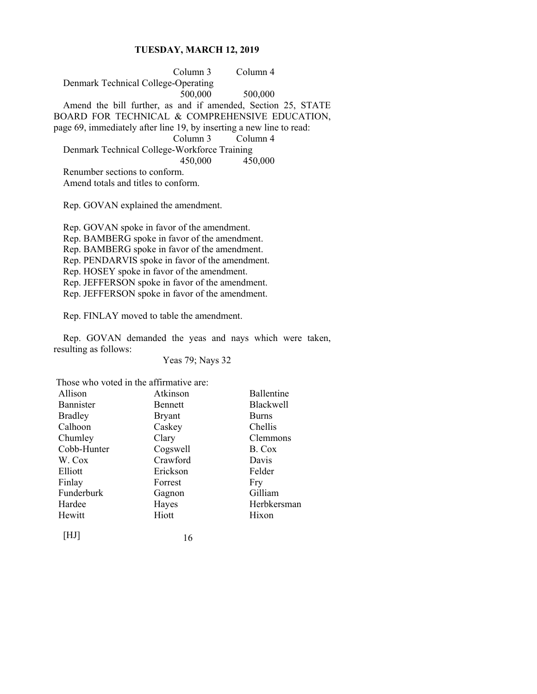Column 3 Column 4 Denmark Technical College-Operating 500,000 500,000 Amend the bill further, as and if amended, Section 25, STATE BOARD FOR TECHNICAL & COMPREHENSIVE EDUCATION, page 69, immediately after line 19, by inserting a new line to read: Column 3 Column 4 Denmark Technical College-Workforce Training 450,000 450,000 Renumber sections to conform. Amend totals and titles to conform.

Rep. GOVAN explained the amendment.

Rep. GOVAN spoke in favor of the amendment. Rep. BAMBERG spoke in favor of the amendment. Rep. BAMBERG spoke in favor of the amendment. Rep. PENDARVIS spoke in favor of the amendment. Rep. HOSEY spoke in favor of the amendment. Rep. JEFFERSON spoke in favor of the amendment. Rep. JEFFERSON spoke in favor of the amendment.

Rep. FINLAY moved to table the amendment.

Rep. GOVAN demanded the yeas and nays which were taken, resulting as follows:

Yeas 79; Nays 32

Those who voted in the affirmative are:

| Allison        | Atkinson       | Ballentine       |
|----------------|----------------|------------------|
| Bannister      | <b>Bennett</b> | <b>Blackwell</b> |
| <b>Bradley</b> | <b>Bryant</b>  | <b>Burns</b>     |
| Calhoon        | Caskey         | Chellis          |
| Chumley        | Clary          | Clemmons         |
| Cobb-Hunter    | Cogswell       | B. Cox           |
| W. Cox         | Crawford       | Davis            |
| Elliott        | Erickson       | Felder           |
| Finlay         | Forrest        | Fry              |
| Funderburk     | Gagnon         | Gilliam          |
| Hardee         | Hayes          | Herbkersman      |
| Hewitt         | Hiott          | Hixon            |
| I HJ I         | 16             |                  |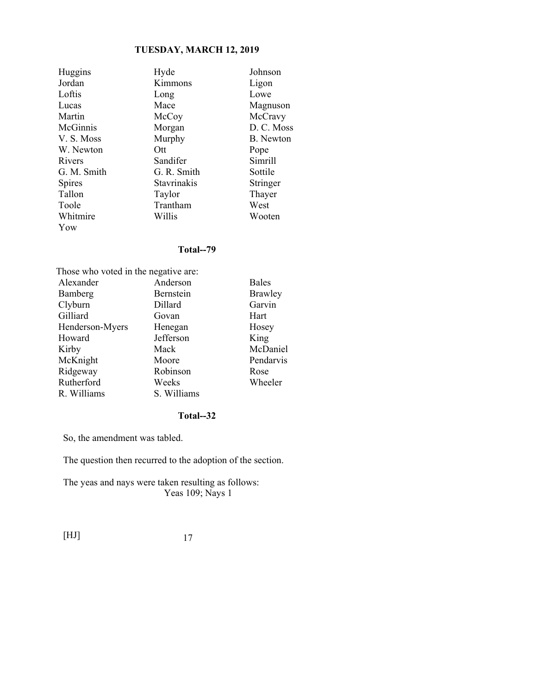| Huggins     | Hyde        | Johnson    |
|-------------|-------------|------------|
| Jordan      | Kimmons     | Ligon      |
| Loftis      | Long        | Lowe       |
| Lucas       | Mace        | Magnuson   |
| Martin      | McCoy       | McCravy    |
| McGinnis    | Morgan      | D. C. Moss |
| V.S. Moss   | Murphy      | B. Newton  |
| W. Newton   | Ott         | Pope       |
| Rivers      | Sandifer    | Simrill    |
| G. M. Smith | G. R. Smith | Sottile    |
| Spires      | Stavrinakis | Stringer   |
| Tallon      | Taylor      | Thayer     |
| Toole       | Trantham    | West       |
| Whitmire    | Willis      | Wooten     |
| Yow         |             |            |

#### **Total--79**

| Those who voted in the negative are: |             |              |
|--------------------------------------|-------------|--------------|
| Alexander                            | Anderson    | <b>Bales</b> |
| Bamberg                              | Bernstein   | Brawley      |
| Clyburn                              | Dillard     | Garvin       |
| Gilliard                             | Govan       | Hart         |
| Henderson-Myers                      | Henegan     | Hosey        |
| Howard                               | Jefferson   | King         |
| Kirby                                | Mack        | McDaniel     |
| McKnight                             | Moore       | Pendarvis    |
| Ridgeway                             | Robinson    | Rose         |
| Rutherford                           | Weeks       | Wheeler      |
| R. Williams                          | S. Williams |              |

### **Total--32**

So, the amendment was tabled.

The question then recurred to the adoption of the section.

The yeas and nays were taken resulting as follows: Yeas 109; Nays 1

[HJ] 17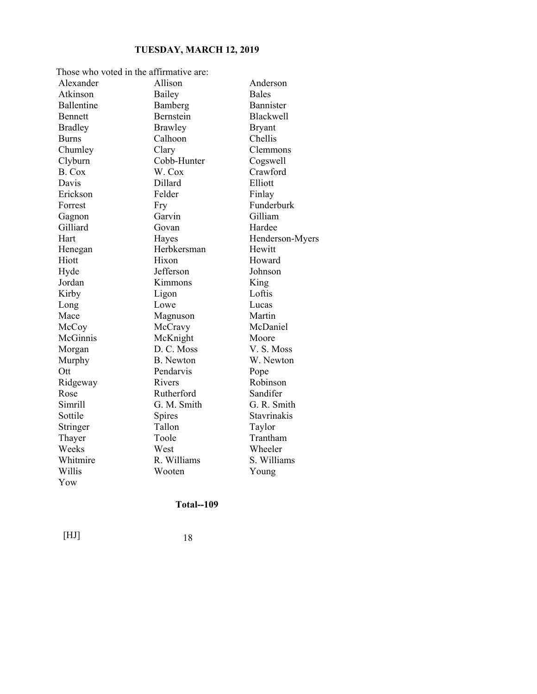| Those who voted in the affirmative are: |                  |                  |
|-----------------------------------------|------------------|------------------|
| Alexander                               | Allison          | Anderson         |
| Atkinson                                | Bailey           | <b>Bales</b>     |
| <b>Ballentine</b>                       | Bamberg          | <b>Bannister</b> |
| <b>Bennett</b>                          | Bernstein        | <b>Blackwell</b> |
| <b>Bradley</b>                          | <b>Brawley</b>   | <b>Bryant</b>    |
| Burns                                   | Calhoon          | Chellis          |
| Chumley                                 | Clary            | Clemmons         |
| Clyburn                                 | Cobb-Hunter      | Cogswell         |
| B. Cox                                  | W. Cox           | Crawford         |
| Davis                                   | Dillard          | Elliott          |
| Erickson                                | Felder           | Finlay           |
| Forrest                                 | Fry              | Funderburk       |
| Gagnon                                  | Garvin           | Gilliam          |
| Gilliard                                | Govan            | Hardee           |
| Hart                                    | Hayes            | Henderson-Myers  |
| Henegan                                 | Herbkersman      | Hewitt           |
| Hiott                                   | Hixon            | Howard           |
| Hyde                                    | Jefferson        | Johnson          |
| Jordan                                  | Kimmons          | King             |
| Kirby                                   | Ligon            | Loftis           |
| Long                                    | Lowe             | Lucas            |
| Mace                                    | Magnuson         | Martin           |
| McCoy                                   | McCravy          | McDaniel         |
| McGinnis                                | McKnight         | Moore            |
| Morgan                                  | D. C. Moss       | V. S. Moss       |
| Murphy                                  | <b>B.</b> Newton | W. Newton        |
| Ott                                     | Pendarvis        | Pope             |
| Ridgeway                                | Rivers           | Robinson         |
| Rose                                    | Rutherford       | Sandifer         |
| Simrill                                 | G. M. Smith      | G. R. Smith      |
| Sottile                                 | Spires           | Stavrinakis      |
| Stringer                                | Tallon           | Taylor           |
| Thayer                                  | Toole            | Trantham         |
| Weeks                                   | West             | Wheeler          |
| Whitmire                                | R. Williams      | S. Williams      |
| Willis                                  | Wooten           | Young            |
| Yow                                     |                  |                  |

### **Total--109**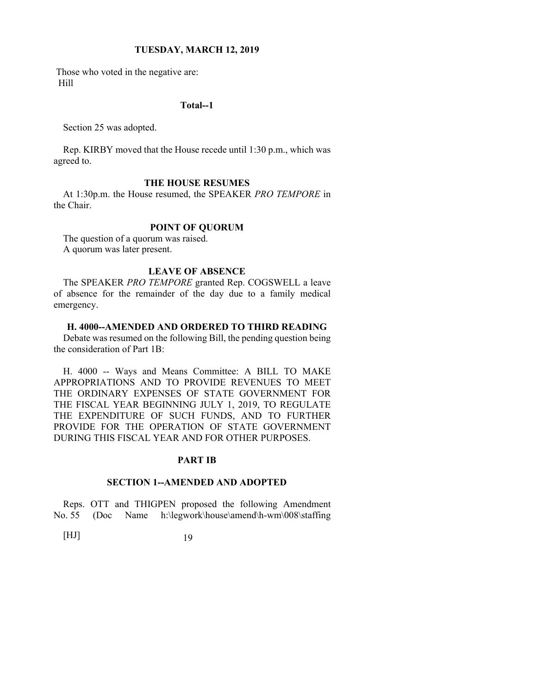Those who voted in the negative are: Hill

#### **Total--1**

Section 25 was adopted.

Rep. KIRBY moved that the House recede until 1:30 p.m., which was agreed to.

#### **THE HOUSE RESUMES**

At 1:30p.m. the House resumed, the SPEAKER *PRO TEMPORE* in the Chair.

#### **POINT OF QUORUM**

The question of a quorum was raised. A quorum was later present.

#### **LEAVE OF ABSENCE**

The SPEAKER *PRO TEMPORE* granted Rep. COGSWELL a leave of absence for the remainder of the day due to a family medical emergency.

#### **H. 4000--AMENDED AND ORDERED TO THIRD READING**

Debate was resumed on the following Bill, the pending question being the consideration of Part 1B:

H. 4000 -- Ways and Means Committee: A BILL TO MAKE APPROPRIATIONS AND TO PROVIDE REVENUES TO MEET THE ORDINARY EXPENSES OF STATE GOVERNMENT FOR THE FISCAL YEAR BEGINNING JULY 1, 2019, TO REGULATE THE EXPENDITURE OF SUCH FUNDS, AND TO FURTHER PROVIDE FOR THE OPERATION OF STATE GOVERNMENT DURING THIS FISCAL YEAR AND FOR OTHER PURPOSES.

#### **PART IB**

#### **SECTION 1--AMENDED AND ADOPTED**

Reps. OTT and THIGPEN proposed the following Amendment No. 55 (Doc Name h:\legwork\house\amend\h-wm\008\staffing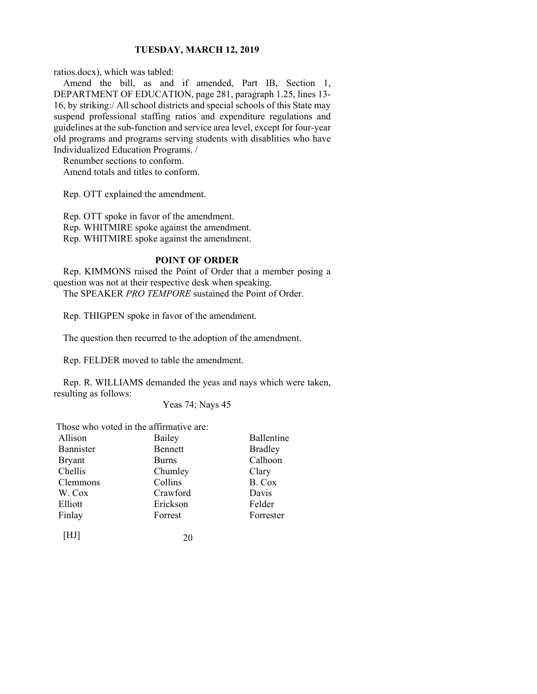ratios.docx), which was tabled:

Amend the bill, as and if amended, Part IB, Section 1, DEPARTMENT OF EDUCATION, page 281, paragraph 1.25, lines 13- 16, by striking:/ All school districts and special schools of this State may suspend professional staffing ratios and expenditure regulations and guidelines at the sub-function and service area level, except for four-year old programs and programs serving students with disablities who have Individualized Education Programs. /

Renumber sections to conform.

Amend totals and titles to conform.

Rep. OTT explained the amendment.

Rep. OTT spoke in favor of the amendment. Rep. WHITMIRE spoke against the amendment.

Rep. WHITMIRE spoke against the amendment.

#### **POINT OF ORDER**

Rep. KIMMONS raised the Point of Order that a member posing a question was not at their respective desk when speaking. The SPEAKER *PRO TEMPORE* sustained the Point of Order.

Rep. THIGPEN spoke in favor of the amendment.

The question then recurred to the adoption of the amendment.

Rep. FELDER moved to table the amendment.

Rep. R. WILLIAMS demanded the yeas and nays which were taken, resulting as follows:

Yeas 74; Nays 45

Those who voted in the affirmative are:

| Allison       | Bailey       | Ballentine     |
|---------------|--------------|----------------|
| Bannister     | Bennett      | <b>Bradley</b> |
| <b>Bryant</b> | <b>Burns</b> | Calhoon        |
| Chellis       | Chumley      | Clary          |
| Clemmons      | Collins      | B. Cox         |
| W. Cox        | Crawford     | Davis          |
| Elliott       | Erickson     | Felder         |
| Finlay        | Forrest      | Forrester      |
| [HJ]          | 20           |                |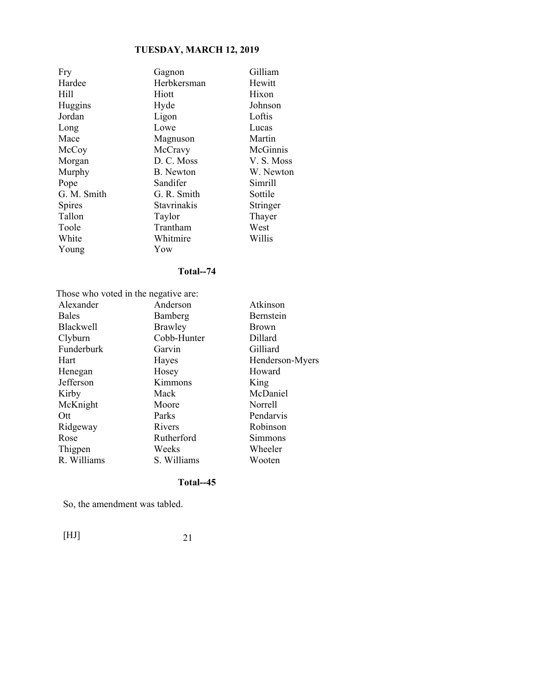| Fry         | Gagnon      | Gilliam    |
|-------------|-------------|------------|
| Hardee      | Herbkersman | Hewitt     |
| Hill        | Hiott       | Hixon      |
| Huggins     | Hyde        | Johnson    |
| Jordan      | Ligon       | Loftis     |
| Long        | Lowe        | Lucas      |
| Mace        | Magnuson    | Martin     |
| McCoy       | McCravy     | McGinnis   |
| Morgan      | D. C. Moss  | V. S. Moss |
| Murphy      | B. Newton   | W. Newton  |
| Pope        | Sandifer    | Simrill    |
| G. M. Smith | G. R. Smith | Sottile    |
| Spires      | Stavrinakis | Stringer   |
| Tallon      | Taylor      | Thayer     |
| Toole       | Trantham    | West       |
| White       | Whitmire    | Willis     |
| Young       | Yow         |            |

### **Total--74**

 Those who voted in the negative are: Alexander Anderson Atkinson

| 1.107            | $\sqrt{2}$  |                 |
|------------------|-------------|-----------------|
| <b>Bales</b>     | Bamberg     | Bernstein       |
| <b>Blackwell</b> | Brawley     | <b>Brown</b>    |
| Clyburn          | Cobb-Hunter | Dillard         |
| Funderburk       | Garvin      | Gilliard        |
| Hart             | Hayes       | Henderson-Myers |
| Henegan          | Hosey       | Howard          |
| Jefferson        | Kimmons     | King            |
| Kirby            | Mack        | McDaniel        |
| McKnight         | Moore       | Norrell         |
| Ott              | Parks       | Pendarvis       |
| Ridgeway         | Rivers      | Robinson        |
| Rose             | Rutherford  | Simmons         |
| Thigpen          | Weeks       | Wheeler         |
| R. Williams      | S. Williams | Wooten          |
|                  |             |                 |

#### **Total--45**

So, the amendment was tabled.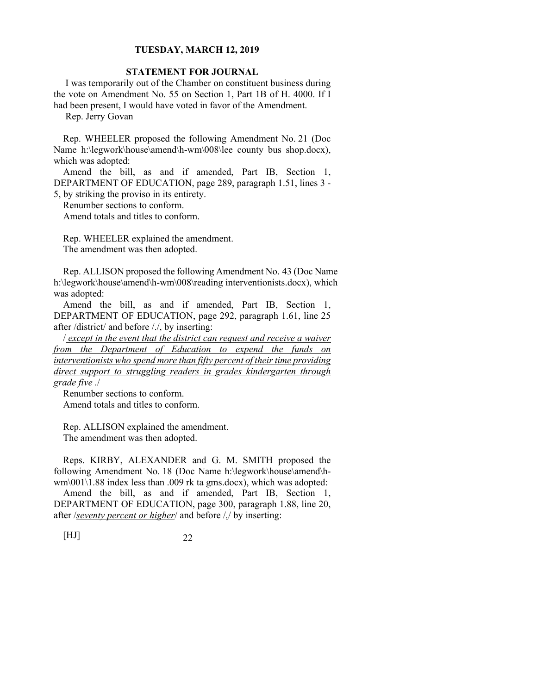#### **STATEMENT FOR JOURNAL**

 I was temporarily out of the Chamber on constituent business during the vote on Amendment No. 55 on Section 1, Part 1B of H. 4000. If I had been present, I would have voted in favor of the Amendment.

Rep. Jerry Govan

Rep. WHEELER proposed the following Amendment No. 21 (Doc Name h:\legwork\house\amend\h-wm\008\lee county bus shop.docx), which was adopted:

Amend the bill, as and if amended, Part IB, Section 1, DEPARTMENT OF EDUCATION, page 289, paragraph 1.51, lines 3 - 5, by striking the proviso in its entirety.

Renumber sections to conform.

Amend totals and titles to conform.

Rep. WHEELER explained the amendment. The amendment was then adopted.

Rep. ALLISON proposed the following Amendment No. 43 (Doc Name h:\legwork\house\amend\h-wm\008\reading interventionists.docx), which was adopted:

Amend the bill, as and if amended, Part IB, Section 1, DEPARTMENT OF EDUCATION, page 292, paragraph 1.61, line 25 after /district/ and before /./, by inserting:

/ *except in the event that the district can request and receive a waiver from the Department of Education to expend the funds on interventionists who spend more than fifty percent of their time providing direct support to struggling readers in grades kindergarten through grade five .*/

Renumber sections to conform. Amend totals and titles to conform.

Rep. ALLISON explained the amendment. The amendment was then adopted.

Reps. KIRBY, ALEXANDER and G. M. SMITH proposed the following Amendment No. 18 (Doc Name h:\legwork\house\amend\hwm\001\1.88 index less than .009 rk ta gms.docx), which was adopted:

Amend the bill, as and if amended, Part IB, Section 1, DEPARTMENT OF EDUCATION, page 300, paragraph 1.88, line 20, after /*seventy percent or higher*/ and before /*.*/ by inserting: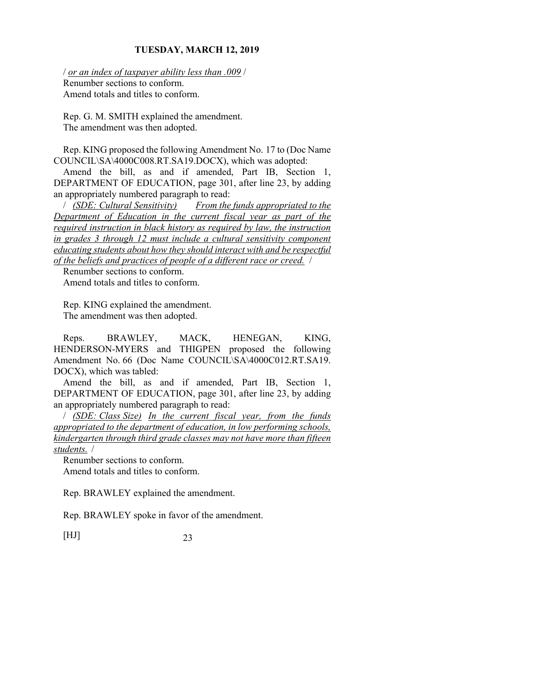/ *or an index of taxpayer ability less than .009* / Renumber sections to conform. Amend totals and titles to conform.

Rep. G. M. SMITH explained the amendment. The amendment was then adopted.

Rep. KING proposed the following Amendment No. 17 to (Doc Name COUNCIL\SA\4000C008.RT.SA19.DOCX), which was adopted:

Amend the bill, as and if amended, Part IB, Section 1, DEPARTMENT OF EDUCATION, page 301, after line 23, by adding an appropriately numbered paragraph to read:

/ *(SDE: Cultural Sensitivity) From the funds appropriated to the Department of Education in the current fiscal year as part of the required instruction in black history as required by law, the instruction in grades 3 through 12 must include a cultural sensitivity component educating students about how they should interact with and be respectful of the beliefs and practices of people of a different race or creed.* /

Renumber sections to conform. Amend totals and titles to conform.

Rep. KING explained the amendment. The amendment was then adopted.

Reps. BRAWLEY, MACK, HENEGAN, KING, HENDERSON-MYERS and THIGPEN proposed the following Amendment No. 66 (Doc Name COUNCIL\SA\4000C012.RT.SA19. DOCX), which was tabled:

Amend the bill, as and if amended, Part IB, Section 1, DEPARTMENT OF EDUCATION, page 301, after line 23, by adding an appropriately numbered paragraph to read:

/ *(SDE: Class Size) In the current fiscal year, from the funds appropriated to the department of education, in low performing schools, kindergarten through third grade classes may not have more than fifteen students.* /

Renumber sections to conform. Amend totals and titles to conform.

Rep. BRAWLEY explained the amendment.

Rep. BRAWLEY spoke in favor of the amendment.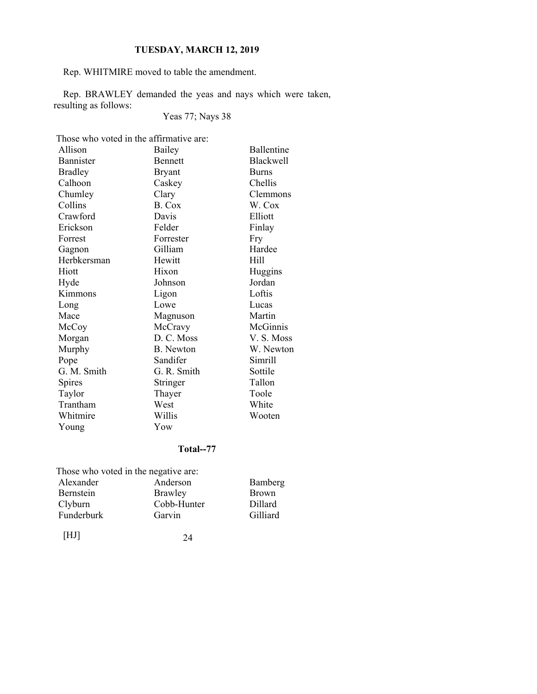Rep. WHITMIRE moved to table the amendment.

Rep. BRAWLEY demanded the yeas and nays which were taken, resulting as follows:

Yeas 77; Nays 38

Those who voted in the affirmative are:

| Allison        | Bailey         | Ballentine       |
|----------------|----------------|------------------|
| Bannister      | <b>Bennett</b> | <b>Blackwell</b> |
| <b>Bradley</b> | <b>Bryant</b>  | <b>Burns</b>     |
| Calhoon        | Caskey         | Chellis          |
| Chumley        | Clary          | Clemmons         |
| Collins        | B. Cox         | W. Cox           |
| Crawford       | Davis          | Elliott          |
| Erickson       | Felder         | Finlay           |
| Forrest        | Forrester      | Fry              |
| Gagnon         | Gilliam        | Hardee           |
| Herbkersman    | Hewitt         | Hill             |
| Hiott          | Hixon          | Huggins          |
| Hyde           | Johnson        | Jordan           |
| Kimmons        | Ligon          | Loftis           |
| Long           | Lowe           | Lucas            |
| Mace           | Magnuson       | Martin           |
| McCoy          | McCravy        | McGinnis         |
| Morgan         | D. C. Moss     | V.S. Moss        |
| Murphy         | B. Newton      | W. Newton        |
| Pope           | Sandifer       | Simrill          |
| G. M. Smith    | G. R. Smith    | Sottile          |
| Spires         | Stringer       | Tallon           |
| Taylor         | Thayer         | Toole            |
| Trantham       | West           | White            |
| Whitmire       | Willis         | Wooten           |
| Young          | Yow            |                  |

### **Total--77**

| Those who voted in the negative are: |             |                |
|--------------------------------------|-------------|----------------|
| Alexander                            | Anderson    | Bamberg        |
| <b>Bernstein</b>                     | Brawley     | <b>Brown</b>   |
| Clyburn                              | Cobb-Hunter | <b>Dillard</b> |
| Funderburk                           | Garvin      | Gilliard       |
|                                      |             |                |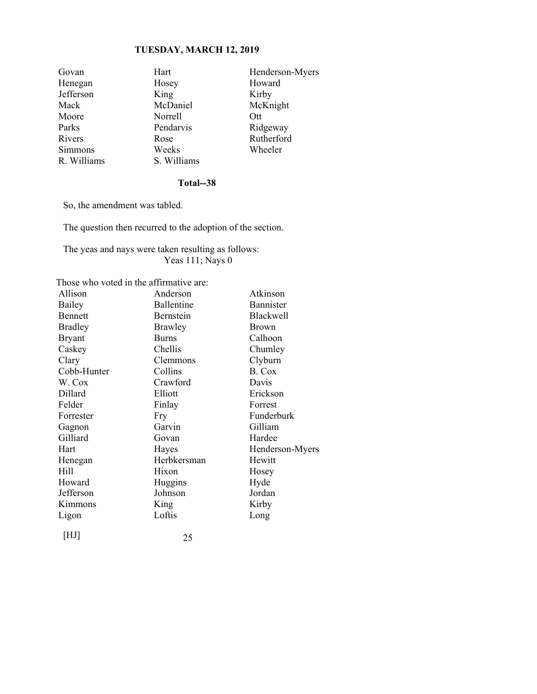| Govan          | Hart        | Henderson-Myers |
|----------------|-------------|-----------------|
| Henegan        | Hosey       | Howard          |
| Jefferson      | King        | Kirby           |
| Mack           | McDaniel    | McKnight        |
| Moore          | Norrell     | Ott             |
| Parks          | Pendarvis   | Ridgeway        |
| Rivers         | Rose        | Rutherford      |
| <b>Simmons</b> | Weeks       | Wheeler         |
| R. Williams    | S. Williams |                 |

#### **Total--38**

So, the amendment was tabled.

The question then recurred to the adoption of the section.

The yeas and nays were taken resulting as follows: Yeas 111; Nays 0

Those who voted in the affirmative are:

| Allison        | Anderson       | Atkinson        |
|----------------|----------------|-----------------|
| Bailey         | Ballentine     | Bannister       |
| <b>Bennett</b> | Bernstein      | Blackwell       |
| <b>Bradley</b> | <b>Brawley</b> | Brown           |
| <b>Bryant</b>  | <b>Burns</b>   | Calhoon         |
| Caskey         | Chellis        | Chumley         |
| Clary          | Clemmons       | Clyburn         |
| Cobb-Hunter    | Collins        | B. Cox          |
| W. Cox         | Crawford       | Davis           |
| Dillard        | Elliott        | Erickson        |
| Felder         | Finlay         | Forrest         |
| Forrester      | Fry            | Funderburk      |
| Gagnon         | Garvin         | Gilliam         |
| Gilliard       | Govan          | Hardee          |
| Hart           | Hayes          | Henderson-Myers |
| Henegan        | Herbkersman    | Hewitt          |
| Hill           | Hixon          | Hosey           |
| Howard         | Huggins        | Hyde            |
| Jefferson      | Johnson        | Jordan          |
| Kimmons        | King           | Kirby           |
| Ligon          | Loftis         | Long            |
| HJ             | 25             |                 |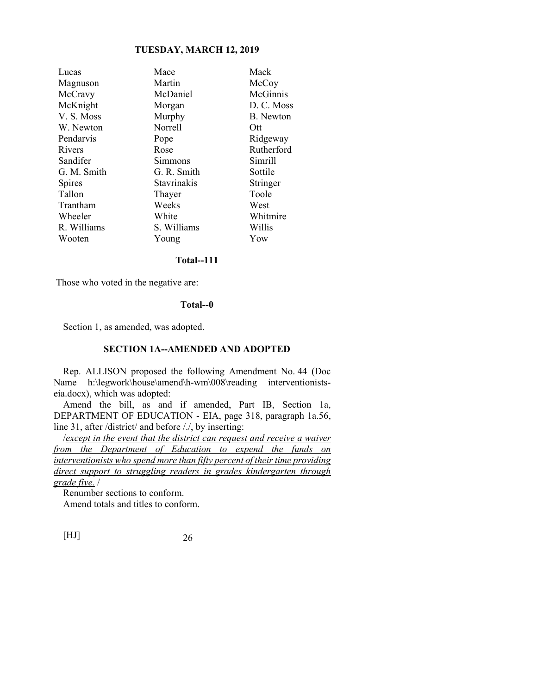| Lucas       | Mace        | Mack             |
|-------------|-------------|------------------|
| Magnuson    | Martin      | McCoy            |
| McCravy     | McDaniel    | McGinnis         |
| McKnight    | Morgan      | D. C. Moss       |
| V.S. Moss   | Murphy      | <b>B.</b> Newton |
| W. Newton   | Norrell     | Ott              |
| Pendarvis   | Pope        | Ridgeway         |
| Rivers      | Rose        | Rutherford       |
| Sandifer    | Simmons     | Simrill          |
| G. M. Smith | G. R. Smith | Sottile          |
| Spires      | Stavrinakis | Stringer         |
| Tallon      | Thayer      | Toole            |
| Trantham    | Weeks       | West             |
| Wheeler     | White       | Whitmire         |
| R. Williams | S. Williams | Willis           |
| Wooten      | Young       | Yow              |
|             |             |                  |

#### **Total--111**

Those who voted in the negative are:

#### **Total--0**

Section 1, as amended, was adopted.

#### **SECTION 1A--AMENDED AND ADOPTED**

Rep. ALLISON proposed the following Amendment No. 44 (Doc Name h:\legwork\house\amend\h-wm\008\reading interventionistseia.docx), which was adopted:

Amend the bill, as and if amended, Part IB, Section 1a, DEPARTMENT OF EDUCATION - EIA, page 318, paragraph 1a.56, line 31, after /district/ and before /./, by inserting:

/*except in the event that the district can request and receive a waiver from the Department of Education to expend the funds on interventionists who spend more than fifty percent of their time providing direct support to struggling readers in grades kindergarten through grade five.* /

Renumber sections to conform.

Amend totals and titles to conform.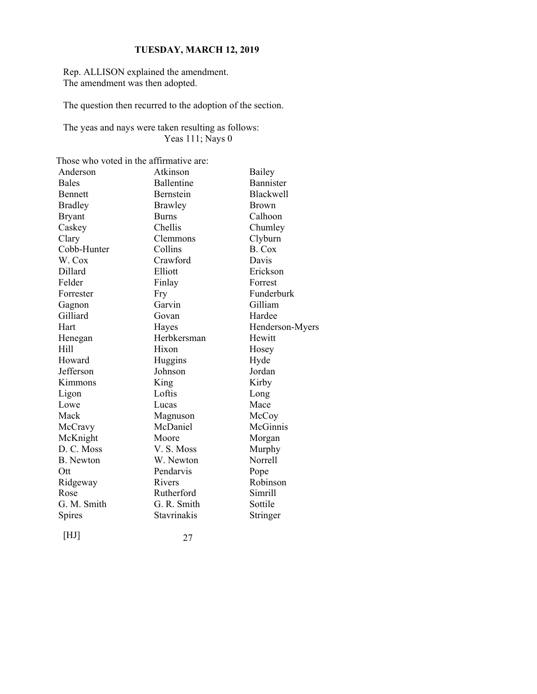Rep. ALLISON explained the amendment. The amendment was then adopted.

The question then recurred to the adoption of the section.

The yeas and nays were taken resulting as follows: Yeas 111; Nays 0

| Those who voted in the affirmative are: |                    |                  |
|-----------------------------------------|--------------------|------------------|
| Anderson                                | Atkinson           | Bailey           |
| <b>Bales</b>                            | Ballentine         | Bannister        |
| Bennett                                 | Bernstein          | <b>Blackwell</b> |
| <b>Bradley</b>                          | <b>Brawley</b>     | <b>Brown</b>     |
| <b>Bryant</b>                           | <b>Burns</b>       | Calhoon          |
| Caskey                                  | Chellis            | Chumley          |
| Clary                                   | Clemmons           | Clyburn          |
| Cobb-Hunter                             | Collins            | B. Cox           |
| W. Cox                                  | Crawford           | Davis            |
| Dillard                                 | Elliott            | Erickson         |
| Felder                                  | Finlay             | Forrest          |
| Forrester                               | Fry                | Funderburk       |
| Gagnon                                  | Garvin             | Gilliam          |
| Gilliard                                | Govan              | Hardee           |
| Hart                                    | Hayes              | Henderson-Myers  |
| Henegan                                 | Herbkersman        | Hewitt           |
| H <sub>ill</sub>                        | Hixon              | Hosey            |
| Howard                                  | Huggins            | Hyde             |
| Jefferson                               | Johnson            | Jordan           |
| Kimmons                                 | King               | Kirby            |
| Ligon                                   | Loftis             | Long             |
| Lowe                                    | Lucas              | Mace             |
| Mack                                    | Magnuson           | McCoy            |
| McCravy                                 | McDaniel           | McGinnis         |
| McKnight                                | Moore              | Morgan           |
| D. C. Moss                              | V. S. Moss         | Murphy           |
| <b>B.</b> Newton                        | W. Newton          | Norrell          |
| Ott                                     | Pendarvis          | Pope             |
| Ridgeway                                | Rivers             | Robinson         |
| Rose                                    | Rutherford         | Simrill          |
| G. M. Smith                             | G. R. Smith        | Sottile          |
| Spires                                  | <b>Stavrinakis</b> | Stringer         |
| [HJ]                                    | 27                 |                  |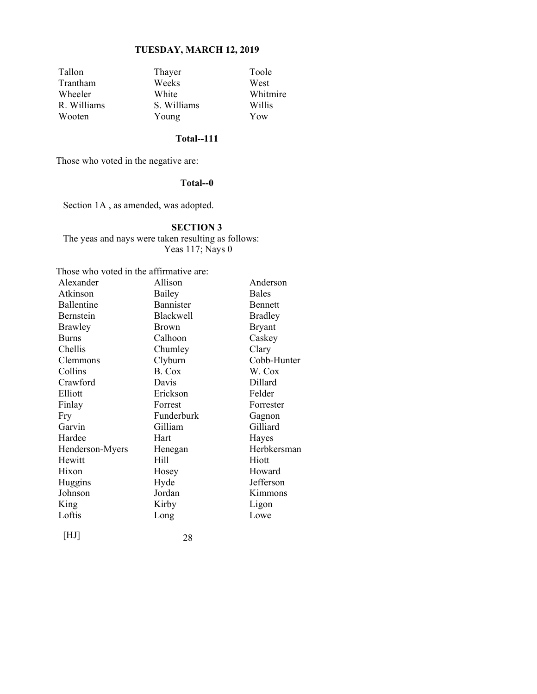| Tallon      | Thayer      | Toole    |
|-------------|-------------|----------|
| Trantham    | Weeks       | West     |
| Wheeler     | White       | Whitmire |
| R. Williams | S. Williams | Willis   |
| Wooten      | Young       | Yow      |

### **Total--111**

Those who voted in the negative are:

#### **Total--0**

Section 1A , as amended, was adopted.

#### **SECTION 3**

The yeas and nays were taken resulting as follows: Yeas 117; Nays 0

| Those who voted in the affirmative are: |                  |                |  |
|-----------------------------------------|------------------|----------------|--|
| Alexander                               | Allison          | Anderson       |  |
| Atkinson                                | Bailey           | <b>Bales</b>   |  |
| Ballentine                              | <b>Bannister</b> | <b>Bennett</b> |  |
| Bernstein                               | Blackwell        | <b>Bradley</b> |  |
| <b>Brawley</b>                          | <b>Brown</b>     | <b>Bryant</b>  |  |
| <b>Burns</b>                            | Calhoon          | Caskey         |  |
| Chellis                                 | Chumley          | Clary          |  |
| Clemmons                                | Clyburn          | Cobb-Hunter    |  |
| Collins                                 | B. Cox           | W. Cox         |  |
| Crawford                                | Davis            | Dillard        |  |
| Elliott                                 | Erickson         | Felder         |  |
| Finlay                                  | Forrest          | Forrester      |  |
| Fry                                     | Funderburk       | Gagnon         |  |
| Garvin                                  | Gilliam          | Gilliard       |  |
| Hardee                                  | Hart             | Hayes          |  |
| Henderson-Myers                         | Henegan          | Herbkersman    |  |
| Hewitt                                  | Hill             | Hiott          |  |
| Hixon                                   | Hosey            | Howard         |  |
| Huggins                                 | Hyde             | Jefferson      |  |
| Johnson                                 | Jordan           | Kimmons        |  |
| King                                    | Kirby            | Ligon          |  |
| Loftis                                  | Long             | Lowe           |  |
|                                         |                  |                |  |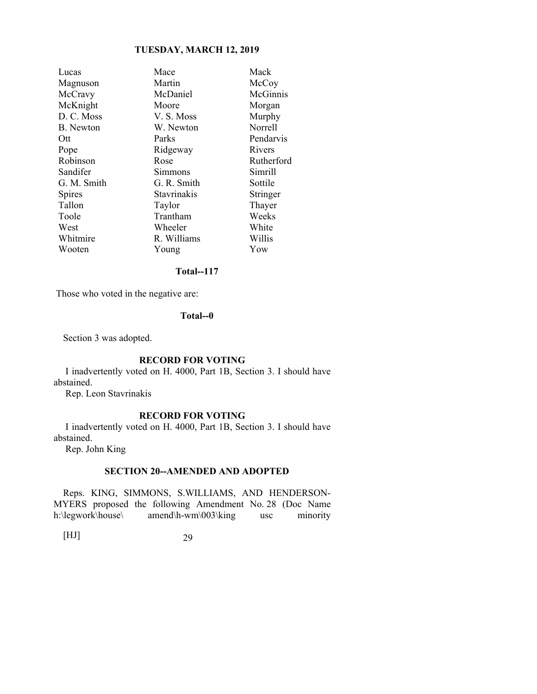| Lucas            | Mace        | Mack       |
|------------------|-------------|------------|
| Magnuson         | Martin      | McCoy      |
| McCravy          | McDaniel    | McGinnis   |
| McKnight         | Moore       | Morgan     |
| D. C. Moss       | V. S. Moss  | Murphy     |
| <b>B.</b> Newton | W. Newton   | Norrell    |
| Ott              | Parks       | Pendarvis  |
| Pope             | Ridgeway    | Rivers     |
| Robinson         | Rose        | Rutherford |
| Sandifer         | Simmons     | Simrill    |
| G. M. Smith      | G. R. Smith | Sottile    |
| Spires           | Stavrinakis | Stringer   |
| Tallon           | Taylor      | Thayer     |
| Toole            | Trantham    | Weeks      |
| West             | Wheeler     | White      |
| Whitmire         | R. Williams | Willis     |
| Wooten           | Young       | Yow        |
|                  |             |            |

### **Total--117**

Those who voted in the negative are:

#### **Total--0**

Section 3 was adopted.

#### **RECORD FOR VOTING**

 I inadvertently voted on H. 4000, Part 1B, Section 3. I should have abstained.

Rep. Leon Stavrinakis

#### **RECORD FOR VOTING**

 I inadvertently voted on H. 4000, Part 1B, Section 3. I should have abstained.

Rep. John King

#### **SECTION 20--AMENDED AND ADOPTED**

Reps. KING, SIMMONS, S.WILLIAMS, AND HENDERSON-MYERS proposed the following Amendment No. 28 (Doc Name h:\legwork\house\ amend\h-wm\003\king usc minority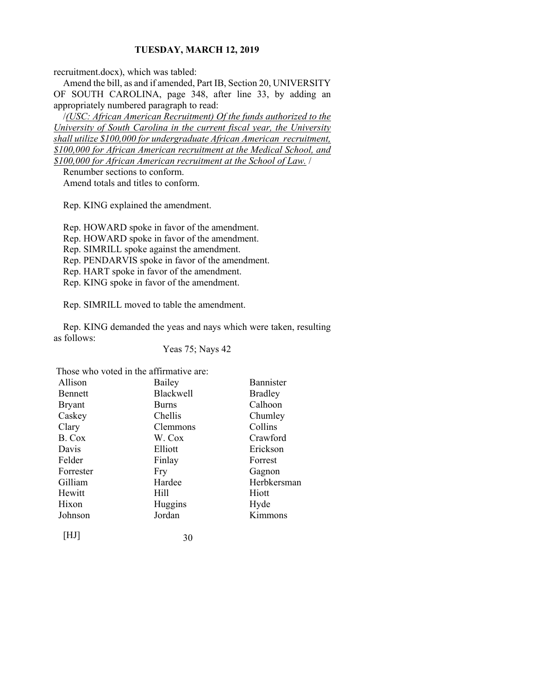recruitment.docx), which was tabled:

Amend the bill, as and if amended, Part IB, Section 20, UNIVERSITY OF SOUTH CAROLINA, page 348, after line 33, by adding an appropriately numbered paragraph to read:

/*(USC: African American Recruitment) Of the funds authorized to the University of South Carolina in the current fiscal year, the University shall utilize \$100,000 for undergraduate African American recruitment, \$100,000 for African American recruitment at the Medical School, and \$100,000 for African American recruitment at the School of Law.* /

Renumber sections to conform. Amend totals and titles to conform.

Rep. KING explained the amendment.

Rep. HOWARD spoke in favor of the amendment.

Rep. HOWARD spoke in favor of the amendment.

Rep. SIMRILL spoke against the amendment.

Rep. PENDARVIS spoke in favor of the amendment.

Rep. HART spoke in favor of the amendment.

Rep. KING spoke in favor of the amendment.

Rep. SIMRILL moved to table the amendment.

Rep. KING demanded the yeas and nays which were taken, resulting as follows:

Yeas 75; Nays 42

Those who voted in the affirmative are:

| Allison        | Bailey           | <b>Bannister</b> |
|----------------|------------------|------------------|
| <b>Bennett</b> | <b>Blackwell</b> | <b>Bradley</b>   |
| <b>Bryant</b>  | <b>Burns</b>     | Calhoon          |
| Caskey         | Chellis          | Chumley          |
| Clary          | Clemmons         | Collins          |
| B. Cox         | W. Cox           | Crawford         |
| Davis          | Elliott          | Erickson         |
| Felder         | Finlay           | Forrest          |
| Forrester      | Fry              | Gagnon           |
| Gilliam        | Hardee           | Herbkersman      |
| Hewitt         | Hill             | Hiott            |
| Hixon          | Huggins          | Hyde             |
| Johnson        | Jordan           | Kimmons          |
| [HJ]           | 30               |                  |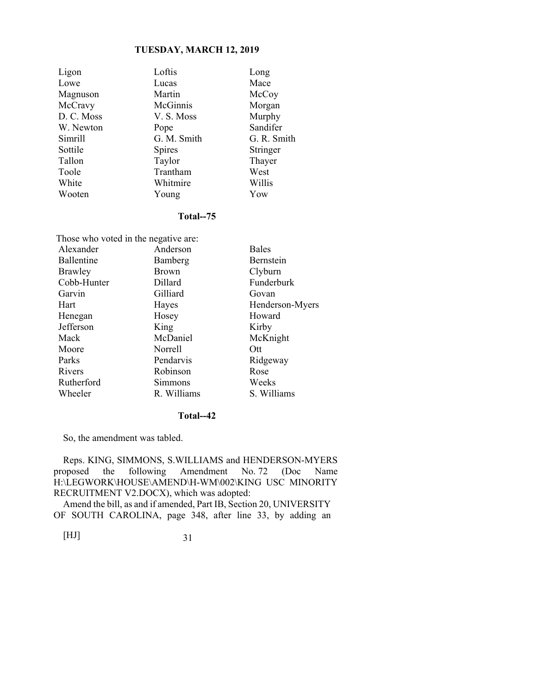| Ligon      | Loftis        | Long        |
|------------|---------------|-------------|
| Lowe       | Lucas         | Mace        |
| Magnuson   | Martin        | McCoy       |
| McCravy    | McGinnis      | Morgan      |
| D. C. Moss | V. S. Moss    | Murphy      |
| W. Newton  | Pope          | Sandifer    |
| Simrill    | G. M. Smith   | G. R. Smith |
| Sottile    | <b>Spires</b> | Stringer    |
| Tallon     | Taylor        | Thayer      |
| Toole      | Trantham      | West        |
| White      | Whitmire      | Willis      |
| Wooten     | Young         | Yow         |

#### **Total--75**

| Those who voted in the negative are: |              |                 |  |
|--------------------------------------|--------------|-----------------|--|
| Alexander                            | Anderson     | <b>Bales</b>    |  |
| <b>Ballentine</b>                    | Bamberg      | Bernstein       |  |
| <b>Brawley</b>                       | <b>Brown</b> | Clyburn         |  |
| Cobb-Hunter                          | Dillard      | Funderburk      |  |
| Garvin                               | Gilliard     | Govan           |  |
| Hart                                 | Hayes        | Henderson-Myers |  |
| Henegan                              | Hosey        | Howard          |  |
| Jefferson                            | King         | Kirby           |  |
| Mack                                 | McDaniel     | McKnight        |  |
| Moore                                | Norrell      | Ott             |  |
| Parks                                | Pendarvis    | Ridgeway        |  |
| Rivers                               | Robinson     | Rose            |  |
| Rutherford                           | Simmons      | Weeks           |  |
| Wheeler                              | R. Williams  | S. Williams     |  |

#### **Total--42**

So, the amendment was tabled.

Reps. KING, SIMMONS, S.WILLIAMS and HENDERSON-MYERS proposed the following Amendment No. 72 (Doc Name H:\LEGWORK\HOUSE\AMEND\H-WM\002\KING USC MINORITY RECRUITMENT V2.DOCX), which was adopted:

Amend the bill, as and if amended, Part IB, Section 20, UNIVERSITY OF SOUTH CAROLINA, page 348, after line 33, by adding an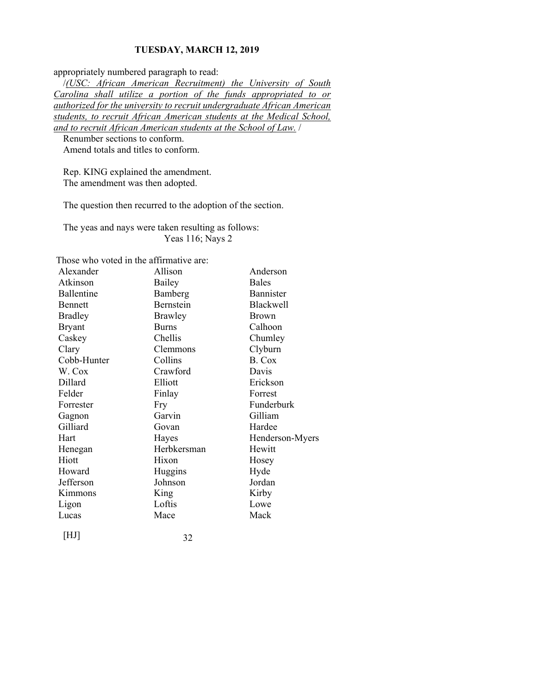appropriately numbered paragraph to read:

/*(USC: African American Recruitment) the University of South Carolina shall utilize a portion of the funds appropriated to or authorized for the university to recruit undergraduate African American students, to recruit African American students at the Medical School, and to recruit African American students at the School of Law.* /

Renumber sections to conform. Amend totals and titles to conform.

Rep. KING explained the amendment. The amendment was then adopted.

The question then recurred to the adoption of the section.

The yeas and nays were taken resulting as follows: Yeas 116; Nays 2

Those who voted in the affirmative are:

| Alexander      | Allison          | Anderson         |
|----------------|------------------|------------------|
| Atkinson       | Bailey           | <b>Bales</b>     |
| Ballentine     | Bamberg          | Bannister        |
| <b>Bennett</b> | <b>Bernstein</b> | <b>Blackwell</b> |
| <b>Bradley</b> | <b>Brawley</b>   | <b>Brown</b>     |
| Bryant         | <b>Burns</b>     | Calhoon          |
| Caskey         | Chellis          | Chumley          |
| Clary          | Clemmons         | Clyburn          |
| Cobb-Hunter    | Collins          | B. Cox           |
| W. Cox         | Crawford         | Davis            |
| Dillard        | Elliott          | Erickson         |
| Felder         | Finlay           | Forrest          |
| Forrester      | Fry              | Funderburk       |
| Gagnon         | Garvin           | Gilliam          |
| Gilliard       | Govan            | Hardee           |
| Hart           | Hayes            | Henderson-Myers  |
| Henegan        | Herbkersman      | Hewitt           |
| Hiott          | Hixon            | Hosey            |
| Howard         | Huggins          | Hyde             |
| Jefferson      | Johnson          | Jordan           |
| Kimmons        | King             | Kirby            |
| Ligon          | Loftis           | Lowe             |
| Lucas          | Mace             | Mack             |
|                |                  |                  |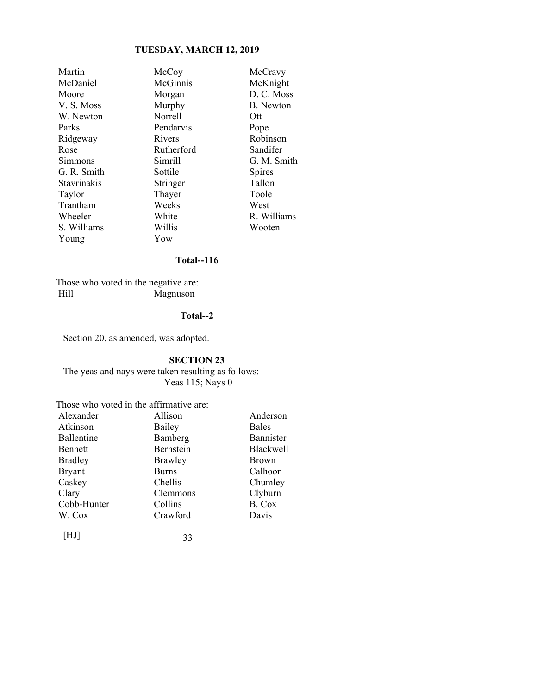| Martin      | McCoy      | McCravy    |
|-------------|------------|------------|
| McDaniel    | McGinnis   | McKnight   |
| Moore       | Morgan     | D. C. Mos  |
| V. S. Moss  | Murphy     | B. Newton  |
| W. Newton   | Norrell    | Ott        |
| Parks       | Pendarvis  | Pope       |
| Ridgeway    | Rivers     | Robinson   |
| Rose        | Rutherford | Sandifer   |
| Simmons     | Simrill    | G. M. Sm   |
| G. R. Smith | Sottile    | Spires     |
| Stavrinakis | Stringer   | Tallon     |
| Taylor      | Thayer     | Toole      |
| Trantham    | Weeks      | West       |
| Wheeler     | White      | R. Willian |
| S. Williams | Willis     | Wooten     |
| Young       | Yow        |            |
|             |            |            |

McKnight Morgan D. C. Moss Murphy B. Newton Norrell Ott Pendarvis Pope Rivers Robinson Rutherford Sandifer Simrill G. M. Smith Sottile Spires Stringer Tallon<br>Thaver Toole Weeks West White R. Williams Willis Wooten

#### **Total--116**

 Those who voted in the negative are: Hill Magnuson

#### **Total--2**

Section 20, as amended, was adopted.

#### **SECTION 23**

The yeas and nays were taken resulting as follows: Yeas 115; Nays 0

#### Those who voted in the affirmative are:

| Alexander      | Allison        | Anderson     |
|----------------|----------------|--------------|
| Atkinson       | Bailey         | <b>Bales</b> |
| Ballentine     | Bamberg        | Bannister    |
| Bennett        | Bernstein      | Blackwell    |
| <b>Bradley</b> | <b>Brawley</b> | <b>Brown</b> |
| <b>Bryant</b>  | <b>Burns</b>   | Calhoon      |
| Caskey         | Chellis        | Chumley      |
| Clary          | Clemmons       | Clyburn      |
| Cobb-Hunter    | Collins        | B. Cox       |
| W. Cox         | Crawford       | Davis        |
|                |                |              |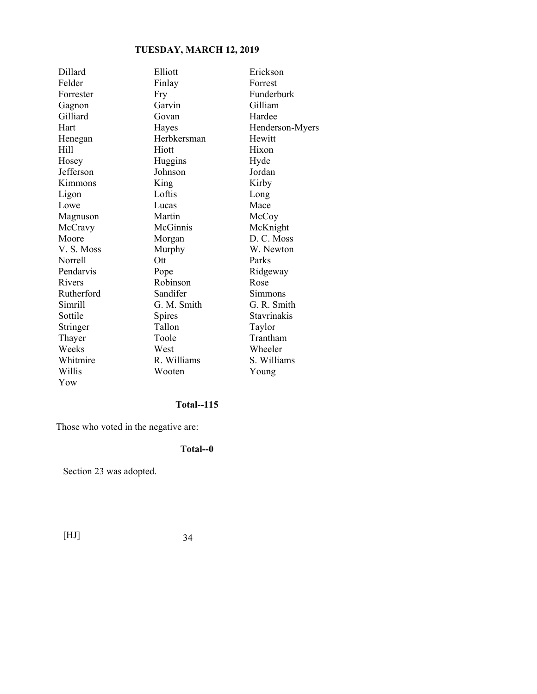| Dillard    | Elliott       | Erickson        |
|------------|---------------|-----------------|
| Felder     | Finlay        | Forrest         |
| Forrester  | Fry           | Funderburk      |
| Gagnon     | Garvin        | Gilliam         |
| Gilliard   | Govan         | Hardee          |
| Hart       | Hayes         | Henderson-Myers |
| Henegan    | Herbkersman   | Hewitt          |
| Hill       | Hiott         | Hixon           |
| Hosey      | Huggins       | Hyde            |
| Jefferson  | Johnson       | Jordan          |
| Kimmons    | King          | Kirby           |
| Ligon      | Loftis        | Long            |
| Lowe       | Lucas         | Mace            |
| Magnuson   | Martin        | McCoy           |
| McCravy    | McGinnis      | McKnight        |
| Moore      | Morgan        | D. C. Moss      |
| V.S. Moss  | Murphy        | W. Newton       |
| Norrell    | Ott           | Parks           |
| Pendarvis  | Pope          | Ridgeway        |
| Rivers     | Robinson      | Rose            |
| Rutherford | Sandifer      | Simmons         |
| Simrill    | G. M. Smith   | G. R. Smith     |
| Sottile    | <b>Spires</b> | Stavrinakis     |
| Stringer   | Tallon        | Taylor          |
| Thayer     | Toole         | Trantham        |
| Weeks      | West          | Wheeler         |
| Whitmire   | R. Williams   | S. Williams     |
| Willis     | Wooten        | Young           |
| Yow        |               |                 |

### **Total--115**

Those who voted in the negative are:

### **Total--0**

Section 23 was adopted.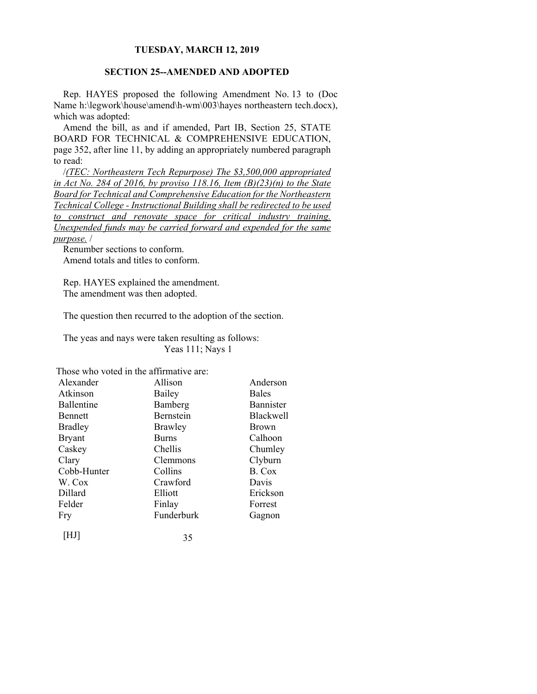#### **SECTION 25--AMENDED AND ADOPTED**

Rep. HAYES proposed the following Amendment No. 13 to (Doc Name h:\legwork\house\amend\h-wm\003\hayes northeastern tech.docx), which was adopted:

Amend the bill, as and if amended, Part IB, Section 25, STATE BOARD FOR TECHNICAL & COMPREHENSIVE EDUCATION, page 352, after line 11, by adding an appropriately numbered paragraph to read:

/*(TEC: Northeastern Tech Repurpose) The \$3,500,000 appropriated in Act No. 284 of 2016, by proviso 118.16, Item (B)(23)(n) to the State Board for Technical and Comprehensive Education for the Northeastern Technical College - Instructional Building shall be redirected to be used to construct and renovate space for critical industry training. Unexpended funds may be carried forward and expended for the same purpose.* /

Renumber sections to conform. Amend totals and titles to conform.

Rep. HAYES explained the amendment. The amendment was then adopted.

The question then recurred to the adoption of the section.

The yeas and nays were taken resulting as follows: Yeas 111; Nays 1

Those who voted in the affirmative are:

| Alexander      | Allison      | Anderson         |
|----------------|--------------|------------------|
| Atkinson       | Bailey       | <b>Bales</b>     |
| Ballentine     | Bamberg      | Bannister        |
| <b>Bennett</b> | Bernstein    | <b>Blackwell</b> |
| <b>Bradley</b> | Brawley      | <b>Brown</b>     |
| <b>Bryant</b>  | <b>Burns</b> | Calhoon          |
| Caskey         | Chellis      | Chumley          |
| Clary          | Clemmons     | Clyburn          |
| Cobb-Hunter    | Collins      | B. Cox           |
| W. Cox         | Crawford     | Davis            |
| Dillard        | Elliott      | Erickson         |
| Felder         | Finlay       | Forrest          |
| Fry            | Funderburk   | Gagnon           |
| I HJ I         | 35           |                  |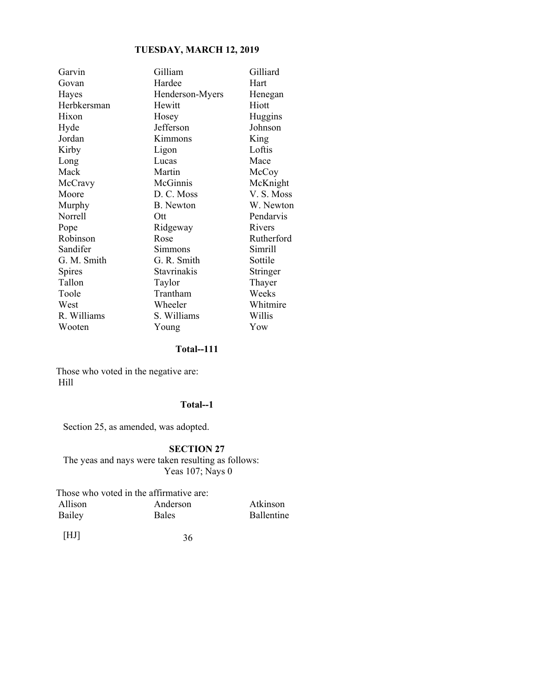| Garvin      | Gilliam         | Gilliard   |
|-------------|-----------------|------------|
| Govan       | Hardee          | Hart       |
| Hayes       | Henderson-Myers | Henegan    |
| Herbkersman | Hewitt          | Hiott      |
| Hixon       | Hosey           | Huggins    |
| Hyde        | Jefferson       | Johnson    |
| Jordan      | Kimmons         | King       |
| Kirby       | Ligon           | Loftis     |
| Long        | Lucas           | Mace       |
| Mack        | Martin          | McCoy      |
| McCravy     | McGinnis        | McKnight   |
| Moore       | D. C. Moss      | V.S. Moss  |
| Murphy      | B. Newton       | W. Newton  |
| Norrell     | Ott             | Pendarvis  |
| Pope        | Ridgeway        | Rivers     |
| Robinson    | Rose            | Rutherford |
| Sandifer    | Simmons         | Simrill    |
| G. M. Smith | G. R. Smith     | Sottile    |
| Spires      | Stavrinakis     | Stringer   |
| Tallon      | Taylor          | Thayer     |
| Toole       | Trantham        | Weeks      |
| West        | Wheeler         | Whitmire   |
| R. Williams | S. Williams     | Willis     |
| Wooten      | Young           | Yow        |

#### **Total--111**

 Those who voted in the negative are: Hill

#### **Total--1**

Section 25, as amended, was adopted.

### **SECTION 27**

The yeas and nays were taken resulting as follows: Yeas 107; Nays 0

Those who voted in the affirmative are:<br>Allison Anderson Allison Anderson Atkinson<br>Bailey Bales Ballentine **Ballentine**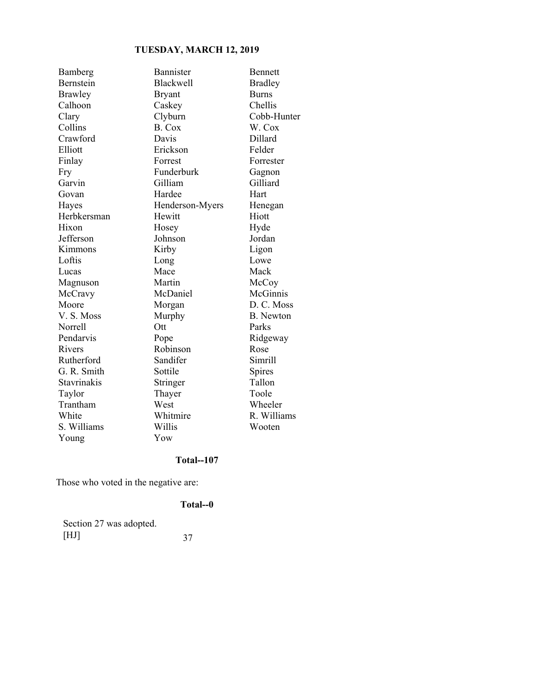| Bamberg     | Bannister        | <b>Bennett</b>   |
|-------------|------------------|------------------|
| Bernstein   | <b>Blackwell</b> | <b>Bradley</b>   |
| Brawley     | <b>Bryant</b>    | <b>Burns</b>     |
| Calhoon     | Caskey           | Chellis          |
| Clary       | Clyburn          | Cobb-Hunter      |
| Collins     | B. Cox           | W. Cox           |
| Crawford    | Davis            | Dillard          |
| Elliott     | Erickson         | Felder           |
| Finlay      | Forrest          | Forrester        |
| Fry         | Funderburk       | Gagnon           |
| Garvin      | Gilliam          | Gilliard         |
| Govan       | Hardee           | Hart             |
| Hayes       | Henderson-Myers  | Henegan          |
| Herbkersman | Hewitt           | Hiott            |
| Hixon       | Hosey            | Hyde             |
| Jefferson   | Johnson          | Jordan           |
| Kimmons     | Kirby            | Ligon            |
| Loftis      | Long             | Lowe             |
| Lucas       | Mace             | Mack             |
| Magnuson    | Martin           | McCoy            |
| McCravy     | McDaniel         | McGinnis         |
| Moore       | Morgan           | D. C. Moss       |
| V.S. Moss   | Murphy           | <b>B.</b> Newton |
| Norrell     | Ott              | Parks            |
| Pendarvis   | Pope             | Ridgeway         |
| Rivers      | Robinson         | Rose             |
| Rutherford  | Sandifer         | Simrill          |
| G. R. Smith | Sottile          | Spires           |
| Stavrinakis | Stringer         | Tallon           |
| Taylor      | Thayer           | Toole            |
| Trantham    | West             | Wheeler          |
| White       | Whitmire         | R. Williams      |
| S. Williams | Willis           | Wooten           |
| Young       | Yow              |                  |

# **Total--107**

Those who voted in the negative are:

# **Total--0**

| Section 27 was adopted. |    |
|-------------------------|----|
| [HJ]                    | 37 |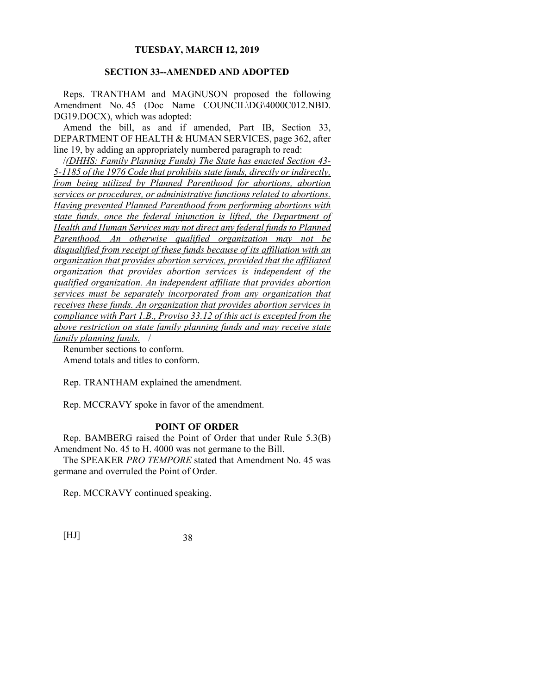## **SECTION 33--AMENDED AND ADOPTED**

Reps. TRANTHAM and MAGNUSON proposed the following Amendment No. 45 (Doc Name COUNCIL\DG\4000C012.NBD. DG19.DOCX), which was adopted:

Amend the bill, as and if amended, Part IB, Section 33, DEPARTMENT OF HEALTH & HUMAN SERVICES, page 362, after line 19, by adding an appropriately numbered paragraph to read:

/*(DHHS: Family Planning Funds) The State has enacted Section 43- 5-1185 of the 1976 Code that prohibits state funds, directly or indirectly, from being utilized by Planned Parenthood for abortions, abortion services or procedures, or administrative functions related to abortions. Having prevented Planned Parenthood from performing abortions with state funds, once the federal injunction is lifted, the Department of Health and Human Services may not direct any federal funds to Planned Parenthood. An otherwise qualified organization may not be disqualified from receipt of these funds because of its affiliation with an organization that provides abortion services, provided that the affiliated organization that provides abortion services is independent of the qualified organization. An independent affiliate that provides abortion services must be separately incorporated from any organization that receives these funds. An organization that provides abortion services in compliance with Part 1.B., Proviso 33.12 of this act is excepted from the above restriction on state family planning funds and may receive state family planning funds.* /

Renumber sections to conform. Amend totals and titles to conform.

Rep. TRANTHAM explained the amendment.

Rep. MCCRAVY spoke in favor of the amendment.

## **POINT OF ORDER**

Rep. BAMBERG raised the Point of Order that under Rule 5.3(B) Amendment No. 45 to H. 4000 was not germane to the Bill.

The SPEAKER *PRO TEMPORE* stated that Amendment No. 45 was germane and overruled the Point of Order.

Rep. MCCRAVY continued speaking.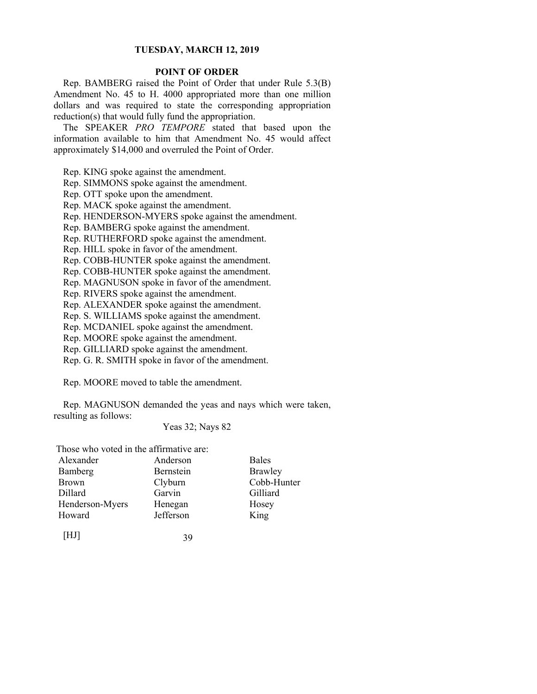## **POINT OF ORDER**

Rep. BAMBERG raised the Point of Order that under Rule 5.3(B) Amendment No. 45 to H. 4000 appropriated more than one million dollars and was required to state the corresponding appropriation reduction(s) that would fully fund the appropriation.

The SPEAKER *PRO TEMPORE* stated that based upon the information available to him that Amendment No. 45 would affect approximately \$14,000 and overruled the Point of Order.

Rep. KING spoke against the amendment.

Rep. SIMMONS spoke against the amendment.

Rep. OTT spoke upon the amendment.

Rep. MACK spoke against the amendment.

Rep. HENDERSON-MYERS spoke against the amendment.

Rep. BAMBERG spoke against the amendment.

Rep. RUTHERFORD spoke against the amendment.

Rep. HILL spoke in favor of the amendment.

Rep. COBB-HUNTER spoke against the amendment.

Rep. COBB-HUNTER spoke against the amendment.

Rep. MAGNUSON spoke in favor of the amendment.

Rep. RIVERS spoke against the amendment.

Rep. ALEXANDER spoke against the amendment.

Rep. S. WILLIAMS spoke against the amendment.

Rep. MCDANIEL spoke against the amendment.

Rep. MOORE spoke against the amendment.

Rep. GILLIARD spoke against the amendment.

Rep. G. R. SMITH spoke in favor of the amendment.

Rep. MOORE moved to table the amendment.

Rep. MAGNUSON demanded the yeas and nays which were taken, resulting as follows:

#### Yeas 32; Nays 82

Those who voted in the affirmative are:

| Alexander       | Anderson  | <b>Bales</b> |
|-----------------|-----------|--------------|
| Bamberg         | Bernstein | Brawley      |
| <b>Brown</b>    | Clyburn   | Cobb-Hunter  |
| Dillard         | Garvin    | Gilliard     |
| Henderson-Myers | Henegan   | Hosey        |
| Howard          | Jefferson | King         |
|                 |           |              |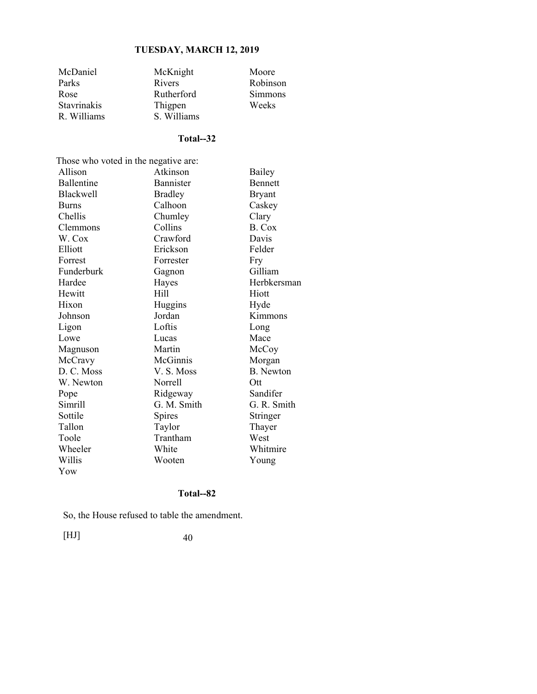| McDaniel           | McKnight      | Moore          |
|--------------------|---------------|----------------|
| Parks              | <b>Rivers</b> | Robinson       |
| Rose               | Rutherford    | <b>Simmons</b> |
| <b>Stavrinakis</b> | Thigpen       | Weeks          |
| R. Williams        | S. Williams   |                |

# **Total--32**

| Those who voted in the negative are: |                  |                  |  |
|--------------------------------------|------------------|------------------|--|
| Allison                              | Atkinson         | Bailey           |  |
| <b>Ballentine</b>                    | <b>Bannister</b> | <b>Bennett</b>   |  |
| <b>Blackwell</b>                     | <b>Bradley</b>   | <b>Bryant</b>    |  |
| <b>Burns</b>                         | Calhoon          | Caskey           |  |
| Chellis                              | Chumley          | Clary            |  |
| Clemmons                             | Collins          | B. Cox           |  |
| W. Cox                               | Crawford         | Davis            |  |
| Elliott                              | Erickson         | Felder           |  |
| Forrest                              | Forrester        | Fry              |  |
| Funderburk                           | Gagnon           | Gilliam          |  |
| Hardee                               | Hayes            | Herbkersman      |  |
| Hewitt                               | Hill             | Hiott            |  |
| Hixon                                | Huggins          | Hyde             |  |
| Johnson                              | Jordan           | Kimmons          |  |
| Ligon                                | Loftis           | Long             |  |
| Lowe                                 | Lucas            | Mace             |  |
| Magnuson                             | Martin           | McCoy            |  |
| McCravy                              | McGinnis         | Morgan           |  |
| D. C. Moss                           | V. S. Moss       | <b>B.</b> Newton |  |
| W. Newton                            | Norrell          | Ott              |  |
| Pope                                 | Ridgeway         | Sandifer         |  |
| Simrill                              | G. M. Smith      | G. R. Smith      |  |
| Sottile                              | Spires           | Stringer         |  |
| Tallon                               | Taylor           | Thayer           |  |
| Toole                                | Trantham         | West             |  |
| Wheeler                              | White            | Whitmire         |  |
| Willis                               | Wooten           | Young            |  |
| Yow                                  |                  |                  |  |

## **Total--82**

So, the House refused to table the amendment.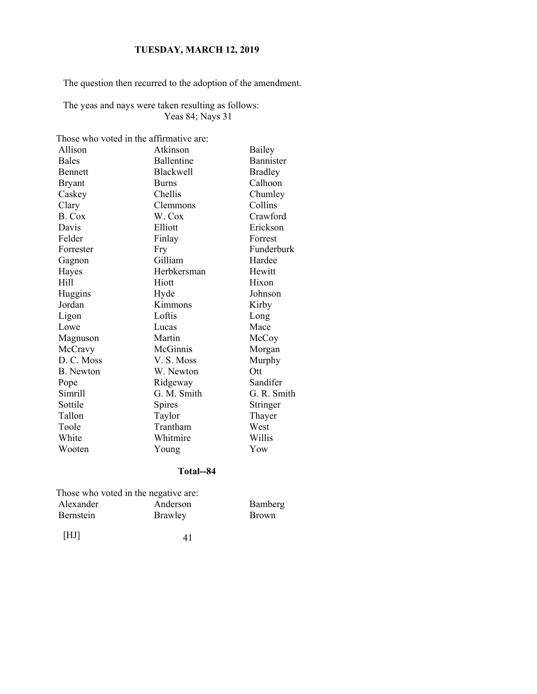The question then recurred to the adoption of the amendment.

The yeas and nays were taken resulting as follows: Yeas 84; Nays 31

Those who voted in the affirmative are:

| Allison        | Atkinson         | Bailey         |
|----------------|------------------|----------------|
| <b>Bales</b>   | Ballentine       | Bannister      |
| <b>Bennett</b> | <b>Blackwell</b> | <b>Bradley</b> |
| <b>Bryant</b>  | <b>Burns</b>     | Calhoon        |
| Caskey         | Chellis          | Chumley        |
| Clary          | Clemmons         | Collins        |
| B. Cox         | W. Cox           | Crawford       |
| Davis          | Elliott          | Erickson       |
| Felder         | Finlay           | Forrest        |
| Forrester      | Fry              | Funderburk     |
| Gagnon         | Gilliam          | Hardee         |
| Hayes          | Herbkersman      | Hewitt         |
| Hill           | Hiott            | Hixon          |
| Huggins        | Hyde             | Johnson        |
| Jordan         | Kimmons          | Kirby          |
| Ligon          | Loftis           | Long           |
| Lowe           | Lucas            | Mace           |
| Magnuson       | Martin           | McCoy          |
| McCravy        | McGinnis         | Morgan         |
| D. C. Moss     | V. S. Moss       | Murphy         |
| B. Newton      | W. Newton        | Ott            |
| Pope           | Ridgeway         | Sandifer       |
| Simrill        | G. M. Smith      | G. R. Smith    |
| Sottile        | Spires           | Stringer       |
| Tallon         | Taylor           | Thayer         |
| Toole          | Trantham         | West           |
| White          | Whitmire         | Willis         |
| Wooten         | Young            | Yow            |

## **Total--84**

| Those who voted in the negative are: |              |
|--------------------------------------|--------------|
| Anderson                             | Bamberg      |
| Brawley                              | <b>Brown</b> |
|                                      |              |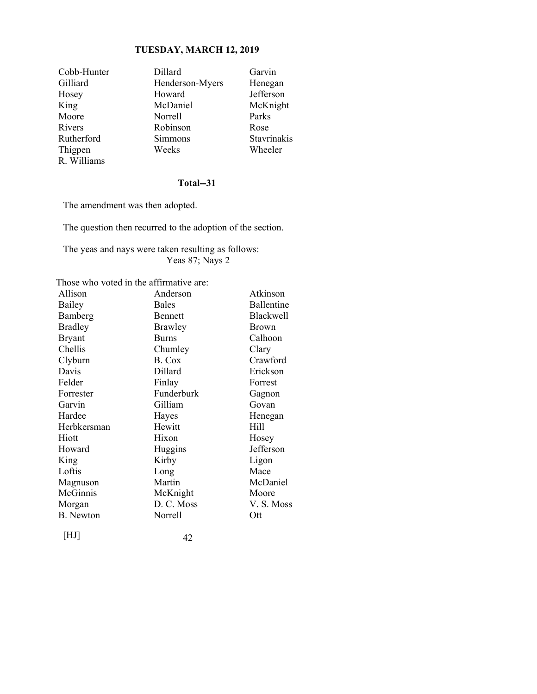| Cobb-Hunter | Dillard         | Garvin      |
|-------------|-----------------|-------------|
| Gilliard    | Henderson-Myers | Henegan     |
| Hosey       | Howard          | Jefferson   |
| King        | McDaniel        | McKnight    |
| Moore       | Norrell         | Parks       |
| Rivers      | Robinson        | Rose        |
| Rutherford  | Simmons         | Stavrinakis |
| Thigpen     | Weeks           | Wheeler     |
| R. Williams |                 |             |

## **Total--31**

The amendment was then adopted.

The question then recurred to the adoption of the section.

The yeas and nays were taken resulting as follows: Yeas 87; Nays 2

Those who voted in the affirmative are:

| Allison          | Anderson       | Atkinson     |
|------------------|----------------|--------------|
| Bailey           | <b>Bales</b>   | Ballentine   |
| Bamberg          | Bennett        | Blackwell    |
| <b>Bradley</b>   | <b>Brawley</b> | <b>Brown</b> |
| <b>Bryant</b>    | <b>Burns</b>   | Calhoon      |
| Chellis          | Chumley        | Clary        |
| Clyburn          | B. Cox         | Crawford     |
| Davis            | Dillard        | Erickson     |
| Felder           | Finlay         | Forrest      |
| Forrester        | Funderburk     | Gagnon       |
| Garvin           | Gilliam        | Govan        |
| Hardee           | Hayes          | Henegan      |
| Herbkersman      | Hewitt         | Hill         |
| Hiott            | Hixon          | Hosey        |
| Howard           | Huggins        | Jefferson    |
| King             | Kirby          | Ligon        |
| Loftis           | Long           | Mace         |
| Magnuson         | Martin         | McDaniel     |
| McGinnis         | McKnight       | Moore        |
| Morgan           | D. C. Moss     | V.S. Moss    |
| <b>B.</b> Newton | Norrell        | Ott          |
|                  |                |              |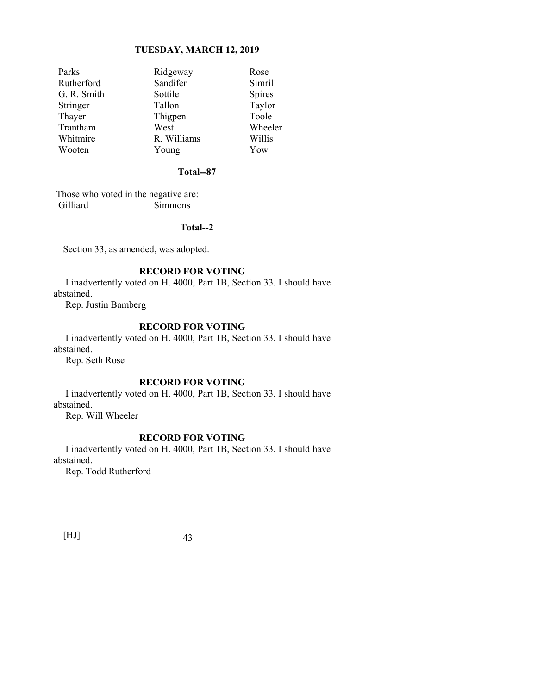| Parks       | Ridgeway    | Rose          |
|-------------|-------------|---------------|
| Rutherford  | Sandifer    | Simrill       |
| G. R. Smith | Sottile     | <b>Spires</b> |
| Stringer    | Tallon      | Taylor        |
| Thayer      | Thigpen     | Toole         |
| Trantham    | West        | Wheeler       |
| Whitmire    | R. Williams | Willis        |
| Wooten      | Young       | Yow           |

## **Total--87**

 Those who voted in the negative are: Gilliard Simmons

## **Total--2**

Section 33, as amended, was adopted.

## **RECORD FOR VOTING**

 I inadvertently voted on H. 4000, Part 1B, Section 33. I should have abstained.

Rep. Justin Bamberg

#### **RECORD FOR VOTING**

 I inadvertently voted on H. 4000, Part 1B, Section 33. I should have abstained.

Rep. Seth Rose

#### **RECORD FOR VOTING**

 I inadvertently voted on H. 4000, Part 1B, Section 33. I should have abstained.

Rep. Will Wheeler

#### **RECORD FOR VOTING**

 I inadvertently voted on H. 4000, Part 1B, Section 33. I should have abstained.

Rep. Todd Rutherford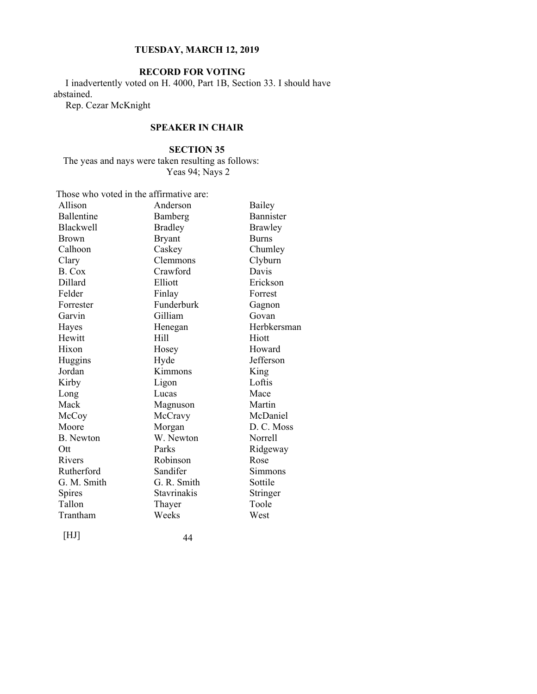## **RECORD FOR VOTING**

 I inadvertently voted on H. 4000, Part 1B, Section 33. I should have abstained.

Rep. Cezar McKnight

## **SPEAKER IN CHAIR**

## **SECTION 35**

The yeas and nays were taken resulting as follows: Yeas 94; Nays 2

Those who voted in the affirmative are:

| Allison          | Anderson       | Bailey         |
|------------------|----------------|----------------|
| Ballentine       | Bamberg        | Bannister      |
| Blackwell        | <b>Bradley</b> | <b>Brawley</b> |
| <b>Brown</b>     | <b>Bryant</b>  | <b>Burns</b>   |
| Calhoon          | Caskey         | Chumley        |
| Clary            | Clemmons       | Clyburn        |
| B. Cox           | Crawford       | Davis          |
| Dillard          | Elliott        | Erickson       |
| Felder           | Finlay         | Forrest        |
| Forrester        | Funderburk     | Gagnon         |
| Garvin           | Gilliam        | Govan          |
| Hayes            | Henegan        | Herbkersman    |
| Hewitt           | Hill           | Hiott          |
| Hixon            | Hosey          | Howard         |
| Huggins          | Hyde           | Jefferson      |
| Jordan           | Kimmons        | King           |
| Kirby            | Ligon          | Loftis         |
| Long             | Lucas          | Mace           |
| Mack             | Magnuson       | Martin         |
| McCoy            | McCravy        | McDaniel       |
| Moore            | Morgan         | D. C. Moss     |
| <b>B.</b> Newton | W. Newton      | Norrell        |
| Ott              | Parks          | Ridgeway       |
| Rivers           | Robinson       | Rose           |
| Rutherford       | Sandifer       | Simmons        |
| G. M. Smith      | G. R. Smith    | Sottile        |
| Spires           | Stavrinakis    | Stringer       |
| Tallon           | Thayer         | Toole          |
| Trantham         | Weeks          | West           |
|                  |                |                |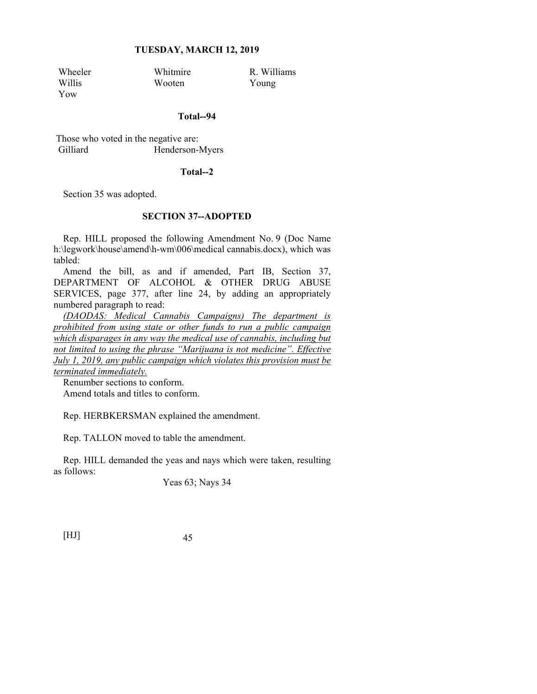Yow

Wheeler Whitmire R. Williams<br>Willis Wooten Young Wooten Young

#### **Total--94**

 Those who voted in the negative are: Gilliard Henderson-Myers

#### **Total--2**

Section 35 was adopted.

## **SECTION 37--ADOPTED**

Rep. HILL proposed the following Amendment No. 9 (Doc Name h:\legwork\house\amend\h-wm\006\medical cannabis.docx), which was tabled:

Amend the bill, as and if amended, Part IB, Section 37, DEPARTMENT OF ALCOHOL & OTHER DRUG ABUSE SERVICES, page 377, after line 24, by adding an appropriately numbered paragraph to read:

*(DAODAS: Medical Cannabis Campaigns) The department is prohibited from using state or other funds to run a public campaign which disparages in any way the medical use of cannabis, including but not limited to using the phrase "Marijuana is not medicine". Effective July 1, 2019, any public campaign which violates this provision must be terminated immediately.*

Renumber sections to conform.

Amend totals and titles to conform.

Rep. HERBKERSMAN explained the amendment.

Rep. TALLON moved to table the amendment.

Rep. HILL demanded the yeas and nays which were taken, resulting as follows:

Yeas 63; Nays 34

[HJ] 45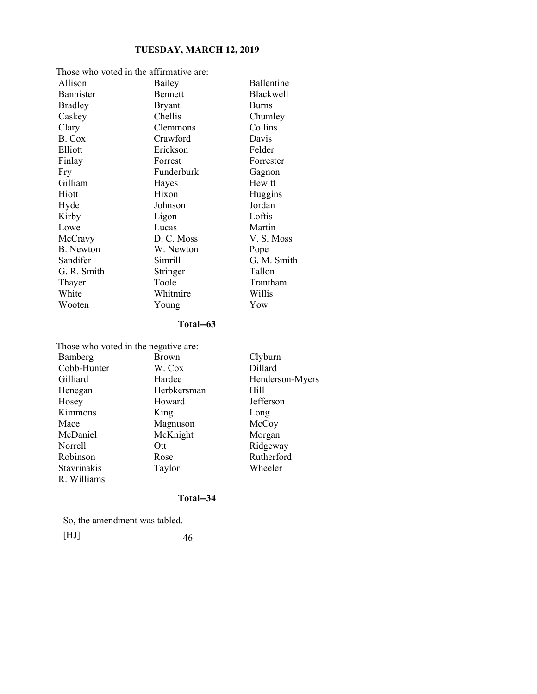| Those who voted in the affirmative are: |                |              |
|-----------------------------------------|----------------|--------------|
| Allison                                 | Bailey         | Ballentine   |
| Bannister                               | <b>Bennett</b> | Blackwell    |
| <b>Bradley</b>                          | <b>Bryant</b>  | <b>Burns</b> |
| Caskey                                  | Chellis        | Chumley      |
| Clary                                   | Clemmons       | Collins      |
| B. Cox                                  | Crawford       | Davis        |
| Elliott                                 | Erickson       | Felder       |
| Finlay                                  | Forrest        | Forrester    |
| Fry                                     | Funderburk     | Gagnon       |
| Gilliam                                 | Hayes          | Hewitt       |
| Hiott                                   | Hixon          | Huggins      |
| Hyde                                    | Johnson        | Jordan       |
| Kirby                                   | Ligon          | Loftis       |
| Lowe                                    | Lucas          | Martin       |
| McCravy                                 | D. C. Moss     | V. S. Moss   |
| <b>B.</b> Newton                        | W. Newton      | Pope         |
| Sandifer                                | Simrill        | G. M. Smith  |
| G. R. Smith                             | Stringer       | Tallon       |
| Thayer                                  | Toole          | Trantham     |
| White                                   | Whitmire       | Willis       |
| Wooten                                  | Young          | Yow          |

## **Total--63**

| Those who voted in the negative are: |              |                 |  |
|--------------------------------------|--------------|-----------------|--|
| Bamberg                              | <b>Brown</b> | Clyburn         |  |
| Cobb-Hunter                          | W. Cox       | Dillard         |  |
| Gilliard                             | Hardee       | Henderson-Myers |  |
| Henegan                              | Herbkersman  | Hill            |  |
| Hosey                                | Howard       | Jefferson       |  |
| Kimmons                              | King         | Long            |  |
| Mace                                 | Magnuson     | McCoy           |  |
| McDaniel                             | McKnight     | Morgan          |  |
| Norrell                              | Ott          | Ridgeway        |  |
| Robinson                             | Rose         | Rutherford      |  |
| <b>Stavrinakis</b>                   | Taylor       | Wheeler         |  |
| R. Williams                          |              |                 |  |

## **Total--34**

So, the amendment was tabled.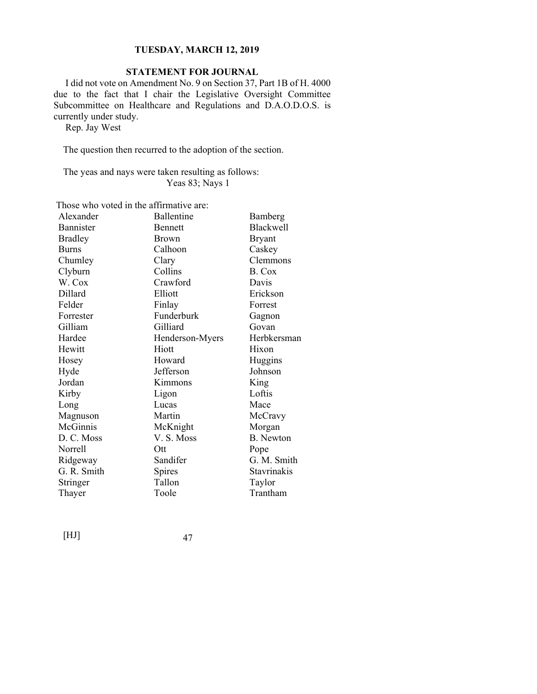## **STATEMENT FOR JOURNAL**

 I did not vote on Amendment No. 9 on Section 37, Part 1B of H. 4000 due to the fact that I chair the Legislative Oversight Committee Subcommittee on Healthcare and Regulations and D.A.O.D.O.S. is currently under study.

Rep. Jay West

The question then recurred to the adoption of the section.

The yeas and nays were taken resulting as follows: Yeas 83; Nays 1

Those who voted in the affirmative are:

| Alexander      | Ballentine      | Bamberg          |
|----------------|-----------------|------------------|
| Bannister      | Bennett         | <b>Blackwell</b> |
| <b>Bradley</b> | <b>Brown</b>    | <b>Bryant</b>    |
| <b>Burns</b>   | Calhoon         | Caskey           |
| Chumley        | Clary           | Clemmons         |
| Clyburn        | Collins         | B. Cox           |
| W. Cox         | Crawford        | Davis            |
| Dillard        | Elliott         | Erickson         |
| Felder         | Finlay          | Forrest          |
| Forrester      | Funderburk      | Gagnon           |
| Gilliam        | Gilliard        | Govan            |
| Hardee         | Henderson-Myers | Herbkersman      |
| Hewitt         | Hiott           | Hixon            |
| Hosey          | Howard          | Huggins          |
| Hyde           | Jefferson       | Johnson          |
| Jordan         | Kimmons         | King             |
| Kirby          | Ligon           | Loftis           |
| Long           | Lucas           | Mace             |
| Magnuson       | Martin          | McCravy          |
| McGinnis       | McKnight        | Morgan           |
| D. C. Moss     | V.S. Moss       | <b>B.</b> Newton |
| Norrell        | Ott             | Pope             |
| Ridgeway       | Sandifer        | G. M. Smith      |
| G. R. Smith    | Spires          | Stavrinakis      |
| Stringer       | Tallon          | Taylor           |
| Thayer         | Toole           | Trantham         |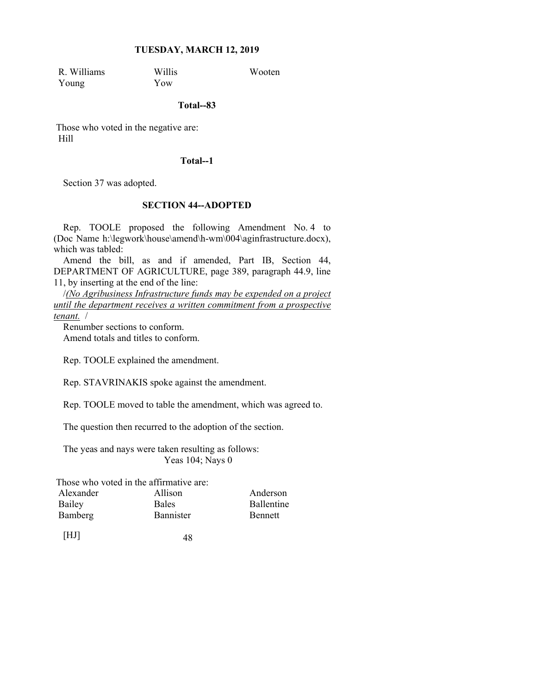R. Williams Willis Wooten Young Yow

#### **Total--83**

 Those who voted in the negative are: Hill

## **Total--1**

Section 37 was adopted.

## **SECTION 44--ADOPTED**

Rep. TOOLE proposed the following Amendment No. 4 to (Doc Name h:\legwork\house\amend\h-wm\004\aginfrastructure.docx), which was tabled:

Amend the bill, as and if amended, Part IB, Section 44, DEPARTMENT OF AGRICULTURE, page 389, paragraph 44.9, line 11, by inserting at the end of the line:

/*(No Agribusiness Infrastructure funds may be expended on a project until the department receives a written commitment from a prospective tenant.* /

Renumber sections to conform. Amend totals and titles to conform.

Rep. TOOLE explained the amendment.

Rep. STAVRINAKIS spoke against the amendment.

Rep. TOOLE moved to table the amendment, which was agreed to.

The question then recurred to the adoption of the section.

The yeas and nays were taken resulting as follows: Yeas 104; Nays 0

Those who voted in the affirmative are:

| Alexander | Allison          | Anderson          |
|-----------|------------------|-------------------|
| Bailey    | <b>Bales</b>     | <b>Ballentine</b> |
| Bamberg   | <b>Bannister</b> | <b>Bennett</b>    |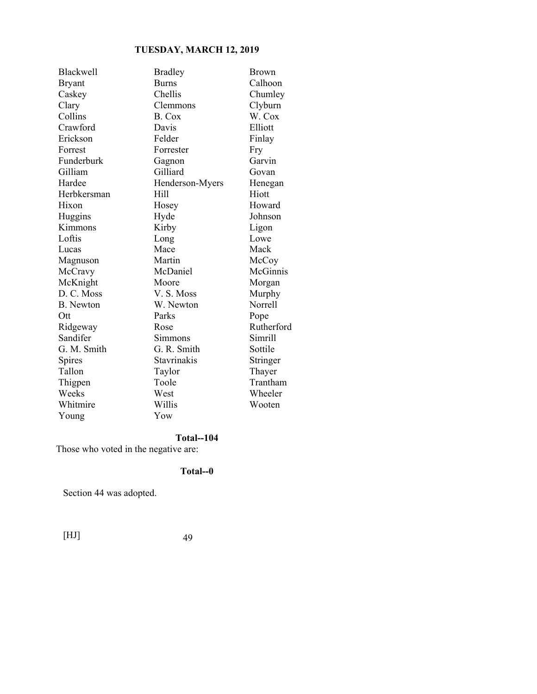| Blackwell        | <b>Bradley</b>  | <b>Brown</b>   |
|------------------|-----------------|----------------|
| Bryant           | <b>Burns</b>    | Calhoon        |
| Caskey           | Chellis         | Chumley        |
| Clary            | Clemmons        | Clyburn        |
| Collins          | B. Cox          | W. Cox         |
| Crawford         | Davis           | Elliott        |
| Erickson         | Felder          | Finlay         |
| Forrest          | Forrester       | Fry            |
| Funderburk       | Gagnon          | Garvin         |
| Gilliam          | Gilliard        | Govan          |
| Hardee           | Henderson-Myers | Henegan        |
| Herbkersman      | Hill            | Hiott          |
| Hixon            | Hosey           | Howard         |
| Huggins          | Hyde            | Johnson        |
| Kimmons          | Kirby           | Ligon          |
| Loftis           | Long            | Lowe           |
| Lucas            | Mace            | Mack           |
| Magnuson         | Martin          | McCoy          |
| McCravy          | McDaniel        | McGinnis       |
| McKnight         | Moore           | Morgan         |
| D. C. Moss       | V. S. Moss      | Murphy         |
| <b>B.</b> Newton | W. Newton       | <b>Norrell</b> |
| Ott              | Parks           | Pope           |
| Ridgeway         | Rose            | Rutherford     |
| Sandifer         | Simmons         | Simrill        |
| G. M. Smith      | G. R. Smith     | Sottile        |
| Spires           | Stavrinakis     | Stringer       |
| Tallon           | Taylor          | Thayer         |
| Thigpen          | Toole           | Trantham       |
| Weeks            | West            | Wheeler        |
| Whitmire         | Willis          | Wooten         |
| Young            | Yow             |                |

# **Total--104**

Those who voted in the negative are:

# **Total--0**

Section 44 was adopted.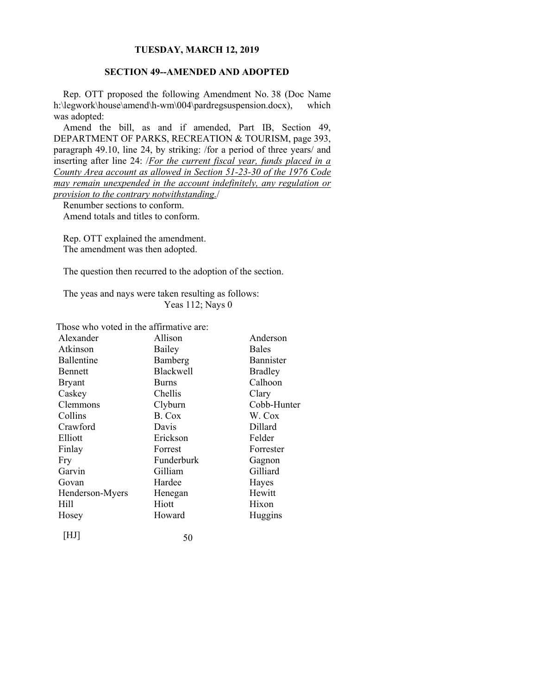## **SECTION 49--AMENDED AND ADOPTED**

Rep. OTT proposed the following Amendment No. 38 (Doc Name h:\legwork\house\amend\h-wm\004\pardregsuspension.docx), which was adopted:

Amend the bill, as and if amended, Part IB, Section 49, DEPARTMENT OF PARKS, RECREATION & TOURISM, page 393, paragraph 49.10, line 24, by striking: /for a period of three years/ and inserting after line 24: /*For the current fiscal year, funds placed in a County Area account as allowed in Section 51-23-30 of the 1976 Code may remain unexpended in the account indefinitely, any regulation or provision to the contrary notwithstanding.*/

Renumber sections to conform. Amend totals and titles to conform.

Rep. OTT explained the amendment. The amendment was then adopted.

The question then recurred to the adoption of the section.

The yeas and nays were taken resulting as follows: Yeas 112; Nays 0

Those who voted in the affirmative are:

| Alexander       | Allison          | Anderson         |
|-----------------|------------------|------------------|
| Atkinson        | Bailey           | <b>Bales</b>     |
| Ballentine      | Bamberg          | <b>Bannister</b> |
| Bennett         | <b>Blackwell</b> | <b>Bradley</b>   |
| Bryant          | <b>Burns</b>     | Calhoon          |
| Caskey          | Chellis          | Clary            |
| Clemmons        | Clyburn          | Cobb-Hunter      |
| Collins         | B. Cox           | W. Cox           |
| Crawford        | Davis            | Dillard          |
| Elliott         | Erickson         | Felder           |
| Finlay          | Forrest          | Forrester        |
| Fry             | Funderburk       | Gagnon           |
| Garvin          | Gilliam          | Gilliard         |
| Govan           | Hardee           | Hayes            |
| Henderson-Myers | Henegan          | Hewitt           |
| Hill            | Hiott            | Hixon            |
| Hosey           | Howard           | Huggins          |
| HJ              | 50               |                  |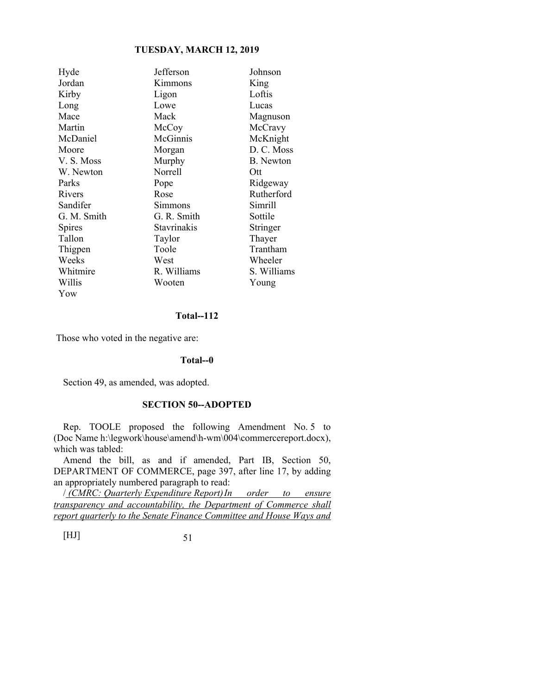| Hyde        | Jefferson   | Johnson          |
|-------------|-------------|------------------|
| Jordan      | Kimmons     | King             |
| Kirby       | Ligon       | Loftis           |
| Long        | Lowe        | Lucas            |
| Mace        | Mack        | Magnuson         |
| Martin      | McCoy       | McCravy          |
| McDaniel    | McGinnis    | McKnight         |
| Moore       | Morgan      | D. C. Moss       |
| V.S. Moss   | Murphy      | <b>B.</b> Newton |
| W. Newton   | Norrell     | Ott              |
| Parks       | Pope        | Ridgeway         |
| Rivers      | Rose        | Rutherford       |
| Sandifer    | Simmons     | Simrill          |
| G. M. Smith | G. R. Smith | Sottile          |
| Spires      | Stavrinakis | Stringer         |
| Tallon      | Taylor      | Thayer           |
| Thigpen     | Toole       | Trantham         |
| Weeks       | West        | Wheeler          |
| Whitmire    | R. Williams | S. Williams      |
| Willis      | Wooten      | Young            |
| Yow         |             |                  |

#### **Total--112**

Those who voted in the negative are:

### **Total--0**

Section 49, as amended, was adopted.

## **SECTION 50--ADOPTED**

Rep. TOOLE proposed the following Amendment No. 5 to (Doc Name h:\legwork\house\amend\h-wm\004\commercereport.docx), which was tabled:

Amend the bill, as and if amended, Part IB, Section 50, DEPARTMENT OF COMMERCE, page 397, after line 17, by adding an appropriately numbered paragraph to read:

/ *(CMRC: Quarterly Expenditure Report) In order to ensure transparency and accountability, the Department of Commerce shall report quarterly to the Senate Finance Committee and House Ways and*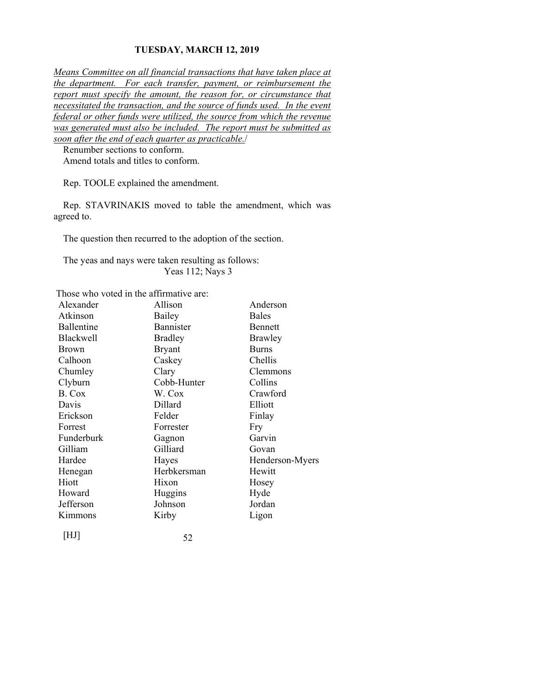*Means Committee on all financial transactions that have taken place at the department. For each transfer, payment, or reimbursement the report must specify the amount, the reason for, or circumstance that necessitated the transaction, and the source of funds used. In the event federal or other funds were utilized, the source from which the revenue was generated must also be included. The report must be submitted as soon after the end of each quarter as practicable.*/

Renumber sections to conform. Amend totals and titles to conform.

Rep. TOOLE explained the amendment.

Rep. STAVRINAKIS moved to table the amendment, which was agreed to.

The question then recurred to the adoption of the section.

The yeas and nays were taken resulting as follows: Yeas 112; Nays 3

Those who voted in the affirmative are:

| Alexander        | Allison          | Anderson        |
|------------------|------------------|-----------------|
| Atkinson         | Bailey           | <b>Bales</b>    |
| Ballentine       | <b>Bannister</b> | Bennett         |
| <b>Blackwell</b> | <b>Bradley</b>   | Brawley         |
| <b>Brown</b>     | <b>Bryant</b>    | <b>Burns</b>    |
| Calhoon          | Caskey           | Chellis         |
| Chumley          | Clary            | Clemmons        |
| Clyburn          | Cobb-Hunter      | Collins         |
| B. Cox           | W. Cox           | Crawford        |
| Davis            | Dillard          | Elliott         |
| Erickson         | Felder           | Finlay          |
| Forrest          | Forrester        | Fry             |
| Funderburk       | Gagnon           | Garvin          |
| Gilliam          | Gilliard         | Govan           |
| Hardee           | Hayes            | Henderson-Myers |
| Henegan          | Herbkersman      | Hewitt          |
| Hiott            | Hixon            | Hosey           |
| Howard           | Huggins          | Hyde            |
| Jefferson        | Johnson          | Jordan          |
| Kimmons          | Kirby            | Ligon           |
| [HJ]             | 52               |                 |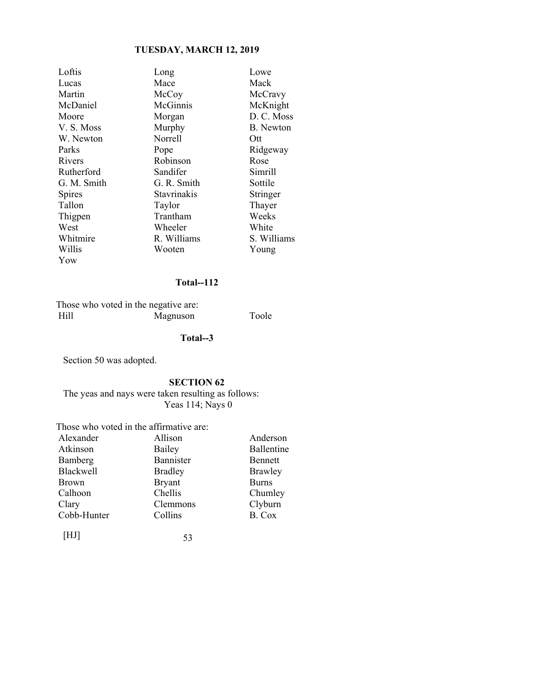| Loftis        | Long               | Lowe        |
|---------------|--------------------|-------------|
| Lucas         | Mace               | Mack        |
| Martin        | McCoy              | McCravy     |
| McDaniel      | McGinnis           | McKnight    |
| Moore         | Morgan             | D. C. Moss  |
| V.S. Moss     | Murphy             | B. Newton   |
| W. Newton     | Norrell            | Ott         |
| Parks         | Pope               | Ridgeway    |
| Rivers        | Robinson           | Rose        |
| Rutherford    | Sandifer           | Simrill     |
| G. M. Smith   | G. R. Smith        | Sottile     |
| <b>Spires</b> | <b>Stavrinakis</b> | Stringer    |
| Tallon        | Taylor             | Thayer      |
| Thigpen       | Trantham           | Weeks       |
| West          | Wheeler            | White       |
| Whitmire      | R. Williams        | S. Williams |
| Willis        | Wooten             | Young       |
| Yow           |                    |             |

## **Total--112**

 Those who voted in the negative are: Hill Magnuson Toole

## **Total--3**

Section 50 was adopted.

## **SECTION 62**

The yeas and nays were taken resulting as follows: Yeas 114; Nays 0

Those who voted in the affirmative are:

| Alexander        | Allison        | Anderson          |
|------------------|----------------|-------------------|
| Atkinson         | Bailey         | <b>Ballentine</b> |
| Bamberg          | Bannister      | Bennett           |
| <b>Blackwell</b> | <b>Bradley</b> | Brawley           |
| <b>Brown</b>     | <b>Bryant</b>  | <b>Burns</b>      |
| Calhoon          | Chellis        | Chumley           |
| Clary            | Clemmons       | Clyburn           |
| Cobb-Hunter      | Collins        | B. Cox            |
|                  |                |                   |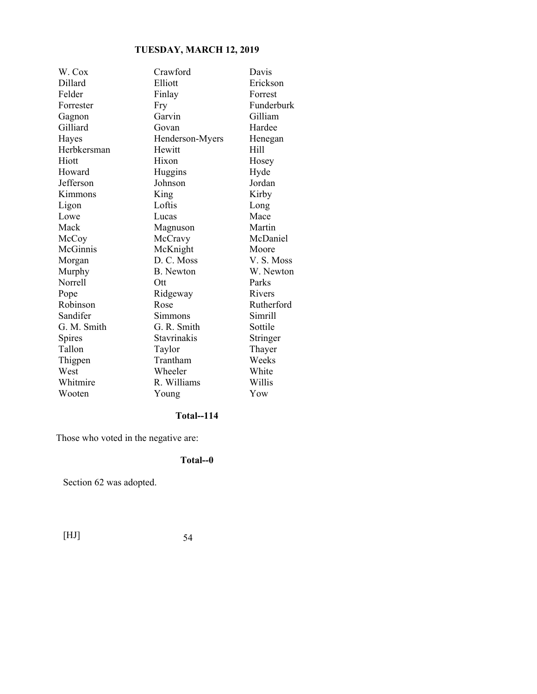| W. Cox      | Crawford         | Davis      |
|-------------|------------------|------------|
| Dillard     | Elliott          | Erickson   |
| Felder      | Finlay           | Forrest    |
| Forrester   | Fry              | Funderburk |
| Gagnon      | Garvin           | Gilliam    |
| Gilliard    | Govan            | Hardee     |
| Hayes       | Henderson-Myers  | Henegan    |
| Herbkersman | Hewitt           | Hill       |
| Hiott       | Hixon            | Hosey      |
| Howard      | Huggins          | Hyde       |
| Jefferson   | Johnson          | Jordan     |
| Kimmons     | King             | Kirby      |
| Ligon       | Loftis           | Long       |
| Lowe        | Lucas            | Mace       |
| Mack        | Magnuson         | Martin     |
| McCoy       | McCravy          | McDaniel   |
| McGinnis    | McKnight         | Moore      |
| Morgan      | D. C. Moss       | V.S. Moss  |
| Murphy      | <b>B.</b> Newton | W. Newton  |
| Norrell     | Ott              | Parks      |
| Pope        | Ridgeway         | Rivers     |
| Robinson    | Rose             | Rutherford |
| Sandifer    | Simmons          | Simrill    |
| G. M. Smith | G. R. Smith      | Sottile    |
| Spires      | Stavrinakis      | Stringer   |
| Tallon      | Taylor           | Thayer     |
| Thigpen     | Trantham         | Weeks      |
| West        | Wheeler          | White      |
| Whitmire    | R. Williams      | Willis     |
| Wooten      | Young            | Yow        |

# **Total--114**

Those who voted in the negative are:

## **Total--0**

Section 62 was adopted.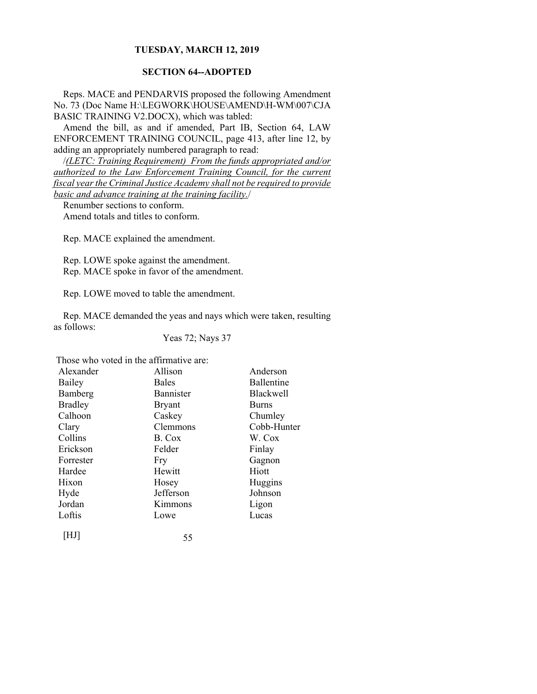## **SECTION 64--ADOPTED**

Reps. MACE and PENDARVIS proposed the following Amendment No. 73 (Doc Name H:\LEGWORK\HOUSE\AMEND\H-WM\007\CJA BASIC TRAINING V2.DOCX), which was tabled:

Amend the bill, as and if amended, Part IB, Section 64, LAW ENFORCEMENT TRAINING COUNCIL, page 413, after line 12, by adding an appropriately numbered paragraph to read:

/*(LETC: Training Requirement) From the funds appropriated and/or authorized to the Law Enforcement Training Council, for the current fiscal year the Criminal Justice Academy shall not be required to provide basic and advance training at the training facility.*/

Renumber sections to conform.

Amend totals and titles to conform.

Rep. MACE explained the amendment.

Rep. LOWE spoke against the amendment. Rep. MACE spoke in favor of the amendment.

Rep. LOWE moved to table the amendment.

Rep. MACE demanded the yeas and nays which were taken, resulting as follows:

Yeas 72; Nays 37

Those who voted in the affirmative are:

| Alexander      | Allison          | Anderson         |
|----------------|------------------|------------------|
| Bailey         | <b>Bales</b>     | Ballentine       |
| Bamberg        | <b>Bannister</b> | <b>Blackwell</b> |
| <b>Bradley</b> | <b>Bryant</b>    | <b>Burns</b>     |
| Calhoon        | Caskey           | Chumley          |
| Clary          | Clemmons         | Cobb-Hunter      |
| Collins        | B. Cox           | W. Cox           |
| Erickson       | Felder           | Finlay           |
| Forrester      | Fry              | Gagnon           |
| Hardee         | Hewitt           | Hiott            |
| Hixon          | Hosey            | Huggins          |
| Hyde           | Jefferson        | Johnson          |
| Jordan         | Kimmons          | Ligon            |
| Loftis         | Lowe             | Lucas            |
| [HJ]           | 55               |                  |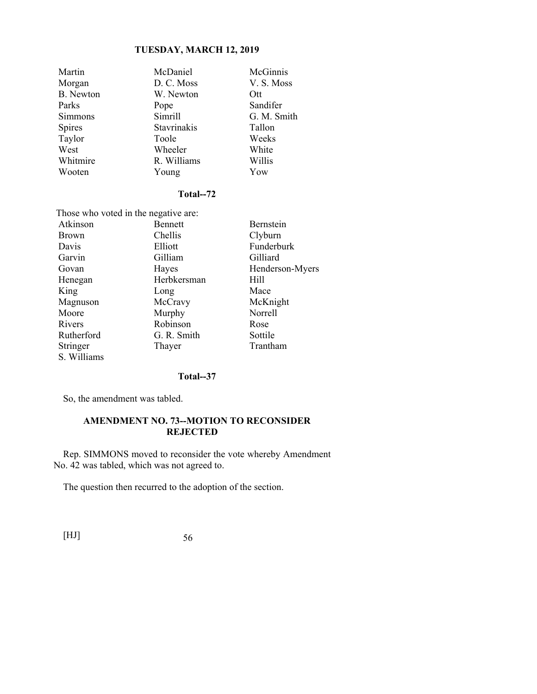| Martin           | McDaniel    | McGinnis    |
|------------------|-------------|-------------|
| Morgan           | D. C. Moss  | V. S. Moss  |
| <b>B.</b> Newton | W. Newton   | Ott         |
| Parks            | Pope        | Sandifer    |
| Simmons          | Simrill     | G. M. Smith |
| <b>Spires</b>    | Stavrinakis | Tallon      |
| Taylor           | Toole       | Weeks       |
| West             | Wheeler     | White       |
| Whitmire         | R. Williams | Willis      |
| Wooten           | Young       | Yow         |

## **Total--72**

| Those who voted in the negative are: |                |                 |  |
|--------------------------------------|----------------|-----------------|--|
| Atkinson                             | <b>Bennett</b> | Bernstein       |  |
| <b>Brown</b>                         | Chellis        | Clyburn         |  |
| Davis                                | Elliott        | Funderburk      |  |
| Garvin                               | Gilliam        | Gilliard        |  |
| Govan                                | Hayes          | Henderson-Myers |  |
| Henegan                              | Herbkersman    | Hill            |  |
| King                                 | Long           | Mace            |  |
| Magnuson                             | McCravy        | McKnight        |  |
| Moore                                | Murphy         | <b>Norrell</b>  |  |
| Rivers                               | Robinson       | Rose            |  |
| Rutherford                           | G. R. Smith    | Sottile         |  |
| Stringer                             | Thayer         | Trantham        |  |
| S. Williams                          |                |                 |  |

## **Total--37**

So, the amendment was tabled.

## **AMENDMENT NO. 73--MOTION TO RECONSIDER REJECTED**

Rep. SIMMONS moved to reconsider the vote whereby Amendment No. 42 was tabled, which was not agreed to.

The question then recurred to the adoption of the section.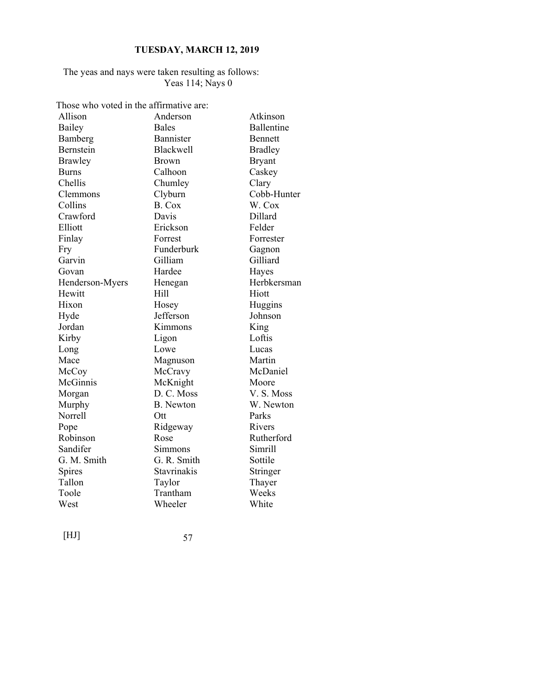## The yeas and nays were taken resulting as follows: Yeas 114; Nays 0

Those who voted in the affirmative are:

| Allison         | Anderson         | Atkinson       |
|-----------------|------------------|----------------|
| Bailey          | <b>Bales</b>     | Ballentine     |
| Bamberg         | Bannister        | Bennett        |
| Bernstein       | <b>Blackwell</b> | <b>Bradley</b> |
| Brawley         | Brown            | <b>Bryant</b>  |
| <b>Burns</b>    | Calhoon          | Caskey         |
| Chellis         | Chumley          | Clary          |
| Clemmons        | Clyburn          | Cobb-Hunter    |
| Collins         | B. Cox           | W. Cox         |
| Crawford        | Davis            | Dillard        |
| Elliott         | Erickson         | Felder         |
| Finlay          | Forrest          | Forrester      |
| Fry             | Funderburk       | Gagnon         |
| Garvin          | Gilliam          | Gilliard       |
| Govan           | Hardee           | Hayes          |
| Henderson-Myers | Henegan          | Herbkersman    |
| Hewitt          | Hill             | Hiott          |
| Hixon           | Hosey            | Huggins        |
| Hyde            | Jefferson        | Johnson        |
| Jordan          | Kimmons          | King           |
| Kirby           | Ligon            | Loftis         |
| Long            | Lowe             | Lucas          |
| Mace            | Magnuson         | Martin         |
| McCoy           | McCravy          | McDaniel       |
| McGinnis        | McKnight         | Moore          |
| Morgan          | D. C. Moss       | V.S. Moss      |
| Murphy          | <b>B.</b> Newton | W. Newton      |
| Norrell         | Ott              | Parks          |
| Pope            | Ridgeway         | Rivers         |
| Robinson        | Rose             | Rutherford     |
| Sandifer        | Simmons          | Simrill        |
| G. M. Smith     | G. R. Smith      | Sottile        |
| Spires          | Stavrinakis      | Stringer       |
| Tallon          | Taylor           | Thayer         |
| Toole           | Trantham         | Weeks          |
| West            | Wheeler          | White          |
|                 |                  |                |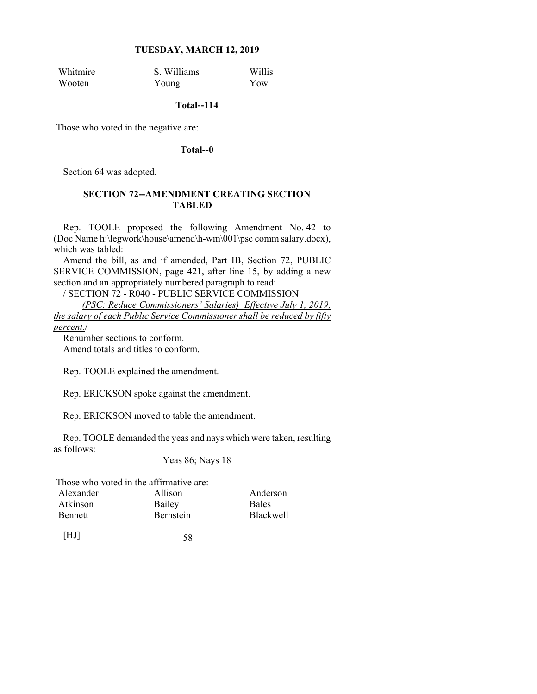Whitmire S. Williams Willis Wooten Young Yow

## **Total--114**

Those who voted in the negative are:

#### **Total--0**

Section 64 was adopted.

## **SECTION 72--AMENDMENT CREATING SECTION TABLED**

Rep. TOOLE proposed the following Amendment No. 42 to (Doc Name h:\legwork\house\amend\h-wm\001\psc comm salary.docx), which was tabled:

Amend the bill, as and if amended, Part IB, Section 72, PUBLIC SERVICE COMMISSION, page 421, after line 15, by adding a new section and an appropriately numbered paragraph to read:

/ SECTION 72 - R040 - PUBLIC SERVICE COMMISSION

 *(PSC: Reduce Commissioners' Salaries) Effective July 1, 2019, the salary of each Public Service Commissioner shall be reduced by fifty percent.*/

Renumber sections to conform. Amend totals and titles to conform.

Rep. TOOLE explained the amendment.

Rep. ERICKSON spoke against the amendment.

Rep. ERICKSON moved to table the amendment.

Rep. TOOLE demanded the yeas and nays which were taken, resulting as follows:

Yeas 86; Nays 18

| Those who voted in the affirmative are: |                  |  |
|-----------------------------------------|------------------|--|
| Allison                                 | Anderson         |  |
| Bailey                                  | <b>Bales</b>     |  |
| <b>Bernstein</b>                        | <b>Blackwell</b> |  |
|                                         |                  |  |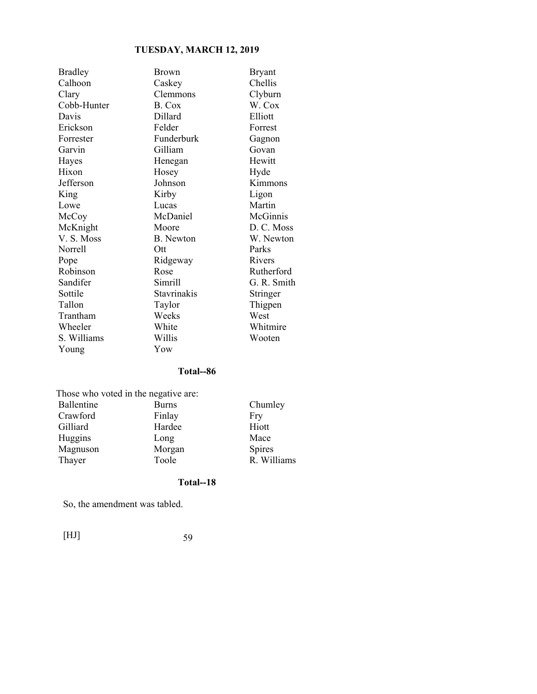| <b>Bradley</b> | Brown            | <b>Bryant</b> |
|----------------|------------------|---------------|
| Calhoon        | Caskey           | Chellis       |
| Clary          | Clemmons         | Clyburn       |
| Cobb-Hunter    | B. Cox           | W. Cox        |
| Davis          | Dillard          | Elliott       |
| Erickson       | Felder           | Forrest       |
| Forrester      | Funderburk       | Gagnon        |
| Garvin         | Gilliam          | Govan         |
| Hayes          | Henegan          | Hewitt        |
| Hixon          | Hosey            | Hyde          |
| Jefferson      | Johnson          | Kimmons       |
| King           | Kirby            | Ligon         |
| Lowe           | Lucas            | Martin        |
| McCoy          | McDaniel         | McGinnis      |
| McKnight       | Moore            | D. C. Moss    |
| V.S. Moss      | <b>B.</b> Newton | W. Newton     |
| Norrell        | Ott              | Parks         |
| Pope           | Ridgeway         | Rivers        |
| Robinson       | Rose             | Rutherford    |
| Sandifer       | Simrill          | G. R. Smith   |
| Sottile        | Stavrinakis      | Stringer      |
| Tallon         | Taylor           | Thigpen       |
| Trantham       | Weeks            | West          |
| Wheeler        | White            | Whitmire      |
| S. Williams    | Willis           | Wooten        |
| Young          | Yow              |               |

## **Total--86**

| Those who voted in the negative are: |              |             |  |
|--------------------------------------|--------------|-------------|--|
| Ballentine                           | <b>Burns</b> | Chumley     |  |
| Crawford                             | Finlay       | Fry         |  |
| Gilliard                             | Hardee       | Hiott       |  |
| Huggins                              | Long         | Mace        |  |
| Magnuson                             | Morgan       | Spires      |  |
| Thayer                               | Toole        | R. Williams |  |

## **Total--18**

So, the amendment was tabled.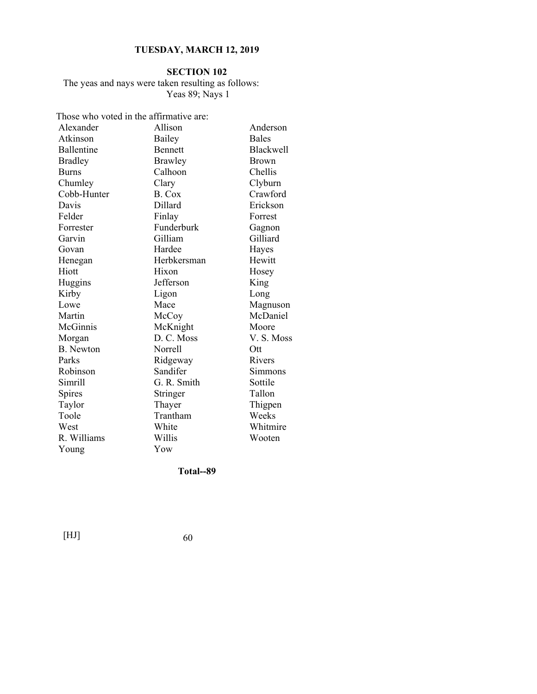#### **SECTION 102**

The yeas and nays were taken resulting as follows: Yeas 89; Nays 1

Those who voted in the affirmative are:

| Alexander        | Allison        | Anderson         |
|------------------|----------------|------------------|
| Atkinson         | Bailey         | <b>Bales</b>     |
| Ballentine       | <b>Bennett</b> | <b>Blackwell</b> |
| <b>Bradley</b>   | Brawley        | <b>Brown</b>     |
| <b>Burns</b>     | Calhoon        | Chellis          |
| Chumley          | Clary          | Clyburn          |
| Cobb-Hunter      | B. Cox         | Crawford         |
| Davis            | Dillard        | Erickson         |
| Felder           | Finlay         | Forrest          |
| Forrester        | Funderburk     | Gagnon           |
| Garvin           | Gilliam        | Gilliard         |
| Govan            | Hardee         | Hayes            |
| Henegan          | Herbkersman    | Hewitt           |
| Hiott            | Hixon          | Hosey            |
| Huggins          | Jefferson      | King             |
| Kirby            | Ligon          | Long             |
| Lowe             | Mace           | Magnuson         |
| Martin           | McCoy          | McDaniel         |
| McGinnis         | McKnight       | Moore            |
| Morgan           | D. C. Moss     | V.S. Moss        |
| <b>B.</b> Newton | Norrell        | Ott              |
| Parks            | Ridgeway       | Rivers           |
| Robinson         | Sandifer       | Simmons          |
| Simrill          | G. R. Smith    | Sottile          |
| Spires           | Stringer       | Tallon           |
| Taylor           | Thayer         | Thigpen          |
| Toole            | Trantham       | Weeks            |
| West             | White          | Whitmire         |
| R. Williams      | Willis         | Wooten           |
| Young            | Yow            |                  |

**Total--89**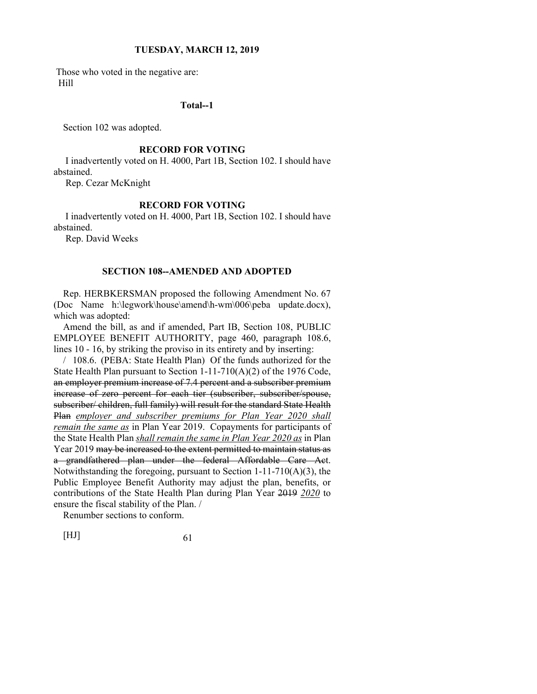Those who voted in the negative are: Hill

#### **Total--1**

Section 102 was adopted.

#### **RECORD FOR VOTING**

 I inadvertently voted on H. 4000, Part 1B, Section 102. I should have abstained.

Rep. Cezar McKnight

#### **RECORD FOR VOTING**

 I inadvertently voted on H. 4000, Part 1B, Section 102. I should have abstained.

Rep. David Weeks

#### **SECTION 108--AMENDED AND ADOPTED**

Rep. HERBKERSMAN proposed the following Amendment No. 67 (Doc Name h:\legwork\house\amend\h-wm\006\peba update.docx), which was adopted:

Amend the bill, as and if amended, Part IB, Section 108, PUBLIC EMPLOYEE BENEFIT AUTHORITY, page 460, paragraph 108.6, lines 10 - 16, by striking the proviso in its entirety and by inserting:

/ 108.6. (PEBA: State Health Plan) Of the funds authorized for the State Health Plan pursuant to Section 1-11-710(A)(2) of the 1976 Code, an employer premium increase of 7.4 percent and a subscriber premium increase of zero percent for each tier (subscriber, subscriber/spouse, subscriber/ children, full family) will result for the standard State Health Plan *employer and subscriber premiums for Plan Year 2020 shall remain the same as* in Plan Year 2019. Copayments for participants of the State Health Plan *shall remain the same in Plan Year 2020 as* in Plan Year 2019 may be increased to the extent permitted to maintain status as a grandfathered plan under the federal Affordable Care Act. Notwithstanding the foregoing, pursuant to Section 1-11-710(A)(3), the Public Employee Benefit Authority may adjust the plan, benefits, or contributions of the State Health Plan during Plan Year 2019 *2020* to ensure the fiscal stability of the Plan. /

Renumber sections to conform.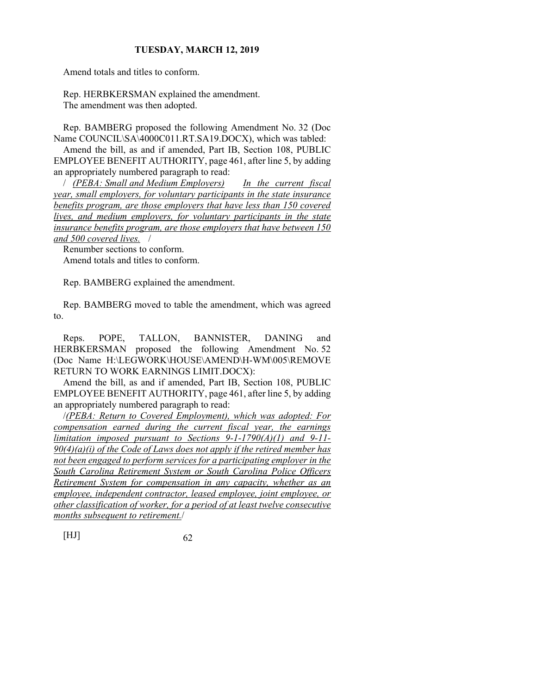Amend totals and titles to conform.

Rep. HERBKERSMAN explained the amendment. The amendment was then adopted.

Rep. BAMBERG proposed the following Amendment No. 32 (Doc Name COUNCIL\SA\4000C011.RT.SA19.DOCX), which was tabled:

Amend the bill, as and if amended, Part IB, Section 108, PUBLIC EMPLOYEE BENEFIT AUTHORITY, page 461, after line 5, by adding an appropriately numbered paragraph to read:

/ *(PEBA: Small and Medium Employers) In the current fiscal year, small employers, for voluntary participants in the state insurance benefits program, are those employers that have less than 150 covered lives, and medium employers, for voluntary participants in the state insurance benefits program, are those employers that have between 150 and 500 covered lives.* /

Renumber sections to conform. Amend totals and titles to conform.

Rep. BAMBERG explained the amendment.

Rep. BAMBERG moved to table the amendment, which was agreed to.

Reps. POPE, TALLON, BANNISTER, DANING and HERBKERSMAN proposed the following Amendment No. 52 (Doc Name H:\LEGWORK\HOUSE\AMEND\H-WM\005\REMOVE RETURN TO WORK EARNINGS LIMIT.DOCX):

Amend the bill, as and if amended, Part IB, Section 108, PUBLIC EMPLOYEE BENEFIT AUTHORITY, page 461, after line 5, by adding an appropriately numbered paragraph to read:

/*(PEBA: Return to Covered Employment), which was adopted: For compensation earned during the current fiscal year, the earnings limitation imposed pursuant to Sections 9-1-1790(A)(1) and 9-11- 90(4)(a)(i) of the Code of Laws does not apply if the retired member has not been engaged to perform services for a participating employer in the South Carolina Retirement System or South Carolina Police Officers Retirement System for compensation in any capacity, whether as an employee, independent contractor, leased employee, joint employee, or other classification of worker, for a period of at least twelve consecutive months subsequent to retirement.*/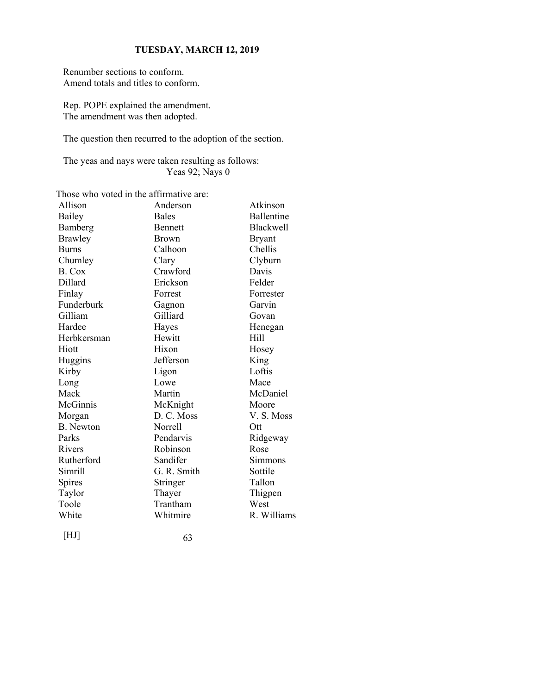Renumber sections to conform. Amend totals and titles to conform.

Rep. POPE explained the amendment. The amendment was then adopted.

The question then recurred to the adoption of the section.

The yeas and nays were taken resulting as follows: Yeas 92; Nays 0

Those who voted in the affirmative are:

| Allison          | Anderson       | Atkinson          |
|------------------|----------------|-------------------|
| Bailey           | <b>Bales</b>   | <b>Ballentine</b> |
| Bamberg          | <b>Bennett</b> | <b>Blackwell</b>  |
| <b>Brawley</b>   | <b>Brown</b>   | <b>Bryant</b>     |
| <b>Burns</b>     | Calhoon        | Chellis           |
| Chumley          | Clary          | Clyburn           |
| B. Cox           | Crawford       | Davis             |
| Dillard          | Erickson       | Felder            |
| Finlay           | Forrest        | Forrester         |
| Funderburk       | Gagnon         | Garvin            |
| Gilliam          | Gilliard       | Govan             |
| Hardee           | Hayes          | Henegan           |
| Herbkersman      | Hewitt         | Hill              |
| Hiott            | Hixon          | Hosey             |
| Huggins          | Jefferson      | King              |
| Kirby            | Ligon          | Loftis            |
| Long             | Lowe           | Mace              |
| Mack             | Martin         | McDaniel          |
| McGinnis         | McKnight       | Moore             |
| Morgan           | D. C. Moss     | V. S. Moss        |
| <b>B.</b> Newton | Norrell        | Ott               |
| Parks            | Pendarvis      | Ridgeway          |
| Rivers           | Robinson       | Rose              |
| Rutherford       | Sandifer       | Simmons           |
| Simrill          | G. R. Smith    | Sottile           |
| Spires           | Stringer       | Tallon            |
| Taylor           | Thayer         | Thigpen           |
| Toole            | Trantham       | West              |
| White            | Whitmire       | R. Williams       |
|                  |                |                   |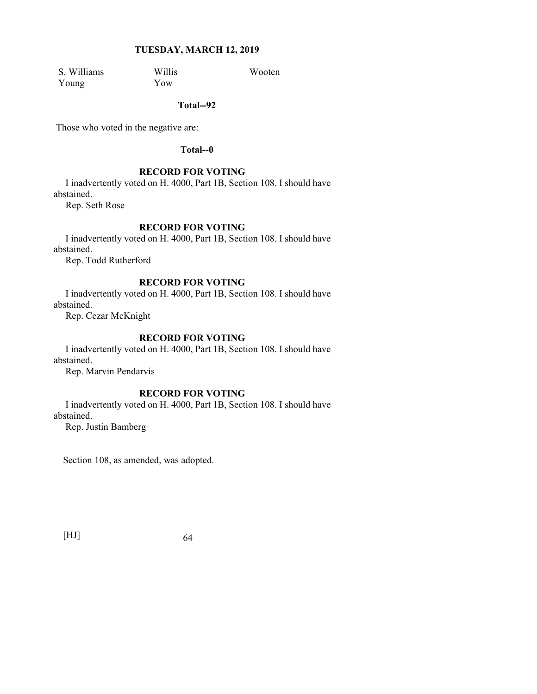S. Williams Willis Wooten<br>
Young Yow You Young Yow

**Total--92** 

Those who voted in the negative are:

#### **Total--0**

#### **RECORD FOR VOTING**

 I inadvertently voted on H. 4000, Part 1B, Section 108. I should have abstained.

Rep. Seth Rose

## **RECORD FOR VOTING**

 I inadvertently voted on H. 4000, Part 1B, Section 108. I should have abstained.

Rep. Todd Rutherford

### **RECORD FOR VOTING**

 I inadvertently voted on H. 4000, Part 1B, Section 108. I should have abstained.

Rep. Cezar McKnight

## **RECORD FOR VOTING**

 I inadvertently voted on H. 4000, Part 1B, Section 108. I should have abstained.

Rep. Marvin Pendarvis

## **RECORD FOR VOTING**

 I inadvertently voted on H. 4000, Part 1B, Section 108. I should have abstained.

Rep. Justin Bamberg

Section 108, as amended, was adopted.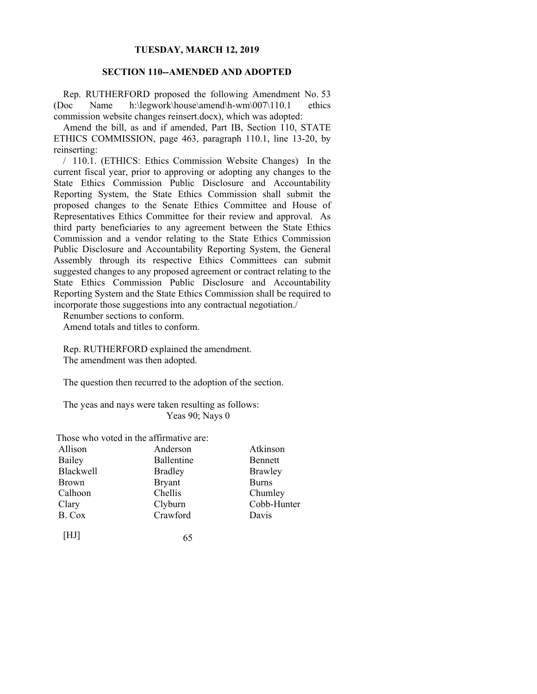## **SECTION 110--AMENDED AND ADOPTED**

Rep. RUTHERFORD proposed the following Amendment No. 53 (Doc Name h:\legwork\house\amend\h-wm\007\110.1 ethics commission website changes reinsert.docx), which was adopted:

Amend the bill, as and if amended, Part IB, Section 110, STATE ETHICS COMMISSION, page 463, paragraph 110.1, line 13-20, by reinserting:

/ 110.1. (ETHICS: Ethics Commission Website Changes) In the current fiscal year, prior to approving or adopting any changes to the State Ethics Commission Public Disclosure and Accountability Reporting System, the State Ethics Commission shall submit the proposed changes to the Senate Ethics Committee and House of Representatives Ethics Committee for their review and approval. As third party beneficiaries to any agreement between the State Ethics Commission and a vendor relating to the State Ethics Commission Public Disclosure and Accountability Reporting System, the General Assembly through its respective Ethics Committees can submit suggested changes to any proposed agreement or contract relating to the State Ethics Commission Public Disclosure and Accountability Reporting System and the State Ethics Commission shall be required to incorporate those suggestions into any contractual negotiation./

Renumber sections to conform. Amend totals and titles to conform.

Rep. RUTHERFORD explained the amendment. The amendment was then adopted.

The question then recurred to the adoption of the section.

The yeas and nays were taken resulting as follows: Yeas 90; Nays 0

Those who voted in the affirmative are:

| Allison          | Anderson       | Atkinson     |
|------------------|----------------|--------------|
| Bailey           | Ballentine     | Bennett      |
| <b>Blackwell</b> | <b>Bradley</b> | Brawley      |
| <b>Brown</b>     | <b>Bryant</b>  | <b>Burns</b> |
| Calhoon          | Chellis        | Chumley      |
| Clary            | Clyburn        | Cobb-Hunter  |
| B. Cox           | Crawford       | Davis        |
|                  |                |              |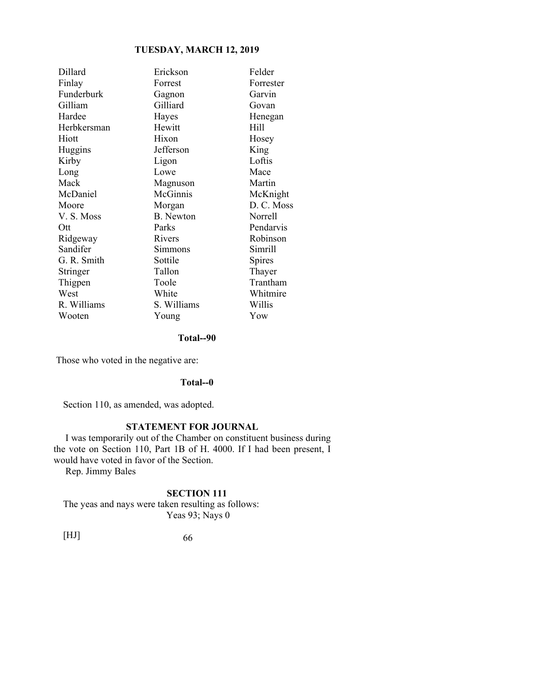| Dillard     | Erickson         | Felder     |
|-------------|------------------|------------|
| Finlay      | Forrest          | Forrester  |
| Funderburk  | Gagnon           | Garvin     |
| Gilliam     | Gilliard         | Govan      |
| Hardee      | Hayes            | Henegan    |
| Herbkersman | Hewitt           | Hill       |
| Hiott       | Hixon            | Hosey      |
| Huggins     | Jefferson        | King       |
| Kirby       | Ligon            | Loftis     |
| Long        | Lowe             | Mace       |
| Mack        | Magnuson         | Martin     |
| McDaniel    | McGinnis         | McKnight   |
| Moore       | Morgan           | D. C. Moss |
| V.S. Moss   | <b>B.</b> Newton | Norrell    |
| Ott         | Parks            | Pendarvis  |
| Ridgeway    | Rivers           | Robinson   |
| Sandifer    | Simmons          | Simrill    |
| G. R. Smith | Sottile          | Spires     |
| Stringer    | Tallon           | Thayer     |
| Thigpen     | Toole            | Trantham   |
| West        | White            | Whitmire   |
| R. Williams | S. Williams      | Willis     |
| Wooten      | Young            | Yow        |

**Total--90** 

Those who voted in the negative are:

#### **Total--0**

Section 110, as amended, was adopted.

## **STATEMENT FOR JOURNAL**

 I was temporarily out of the Chamber on constituent business during the vote on Section 110, Part 1B of H. 4000. If I had been present, I would have voted in favor of the Section.

Rep. Jimmy Bales

## **SECTION 111**

The yeas and nays were taken resulting as follows: Yeas 93; Nays 0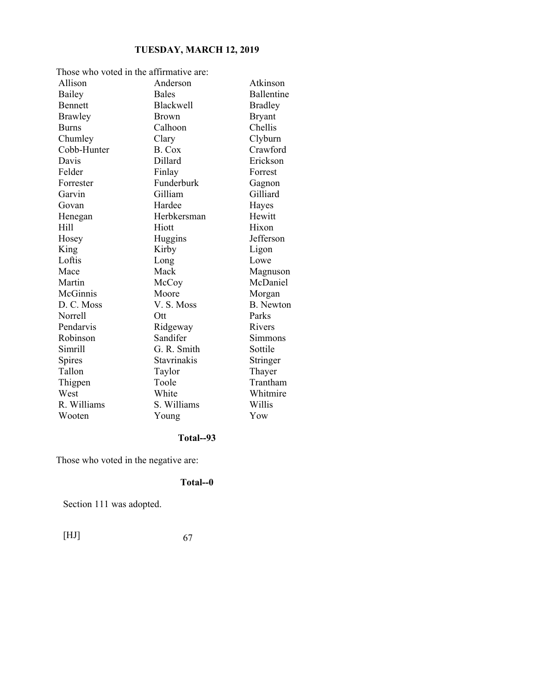| Those who voted in the affirmative are: |                  |                   |  |
|-----------------------------------------|------------------|-------------------|--|
| Allison                                 | Anderson         | Atkinson          |  |
| Bailey                                  | <b>Bales</b>     | <b>Ballentine</b> |  |
| <b>Bennett</b>                          | <b>Blackwell</b> | <b>Bradley</b>    |  |
| <b>Brawley</b>                          | <b>Brown</b>     | <b>Bryant</b>     |  |
| <b>Burns</b>                            | Calhoon          | Chellis           |  |
| Chumley                                 | Clary            | Clyburn           |  |
| Cobb-Hunter                             | B. Cox           | Crawford          |  |
| Davis                                   | Dillard          | Erickson          |  |
| Felder                                  | Finlay           | Forrest           |  |
| Forrester                               | Funderburk       | Gagnon            |  |
| Garvin                                  | Gilliam          | Gilliard          |  |
| Govan                                   | Hardee           | Hayes             |  |
| Henegan                                 | Herbkersman      | Hewitt            |  |
| Hill                                    | Hiott            | Hixon             |  |
| Hosey                                   | Huggins          | Jefferson         |  |
| King                                    | Kirby            | Ligon             |  |
| Loftis                                  | Long             | Lowe              |  |
| Mace                                    | Mack             | Magnuson          |  |
| Martin                                  | McCoy            | McDaniel          |  |
| McGinnis                                | Moore            | Morgan            |  |
| D. C. Moss                              | V. S. Moss       | <b>B.</b> Newton  |  |
| Norrell                                 | Ott              | Parks             |  |
| Pendarvis                               | Ridgeway         | Rivers            |  |
| Robinson                                | Sandifer         | Simmons           |  |
| Simrill                                 | G. R. Smith      | Sottile           |  |
| Spires                                  | Stavrinakis      | Stringer          |  |
| Tallon                                  | Taylor           | Thayer            |  |
| Thigpen                                 | Toole            | Trantham          |  |
| West                                    | White            | Whitmire          |  |
| R. Williams                             | S. Williams      | Willis            |  |
| Wooten                                  | Young            | Yow               |  |

# **Total--93**

Those who voted in the negative are:

## **Total--0**

Section 111 was adopted.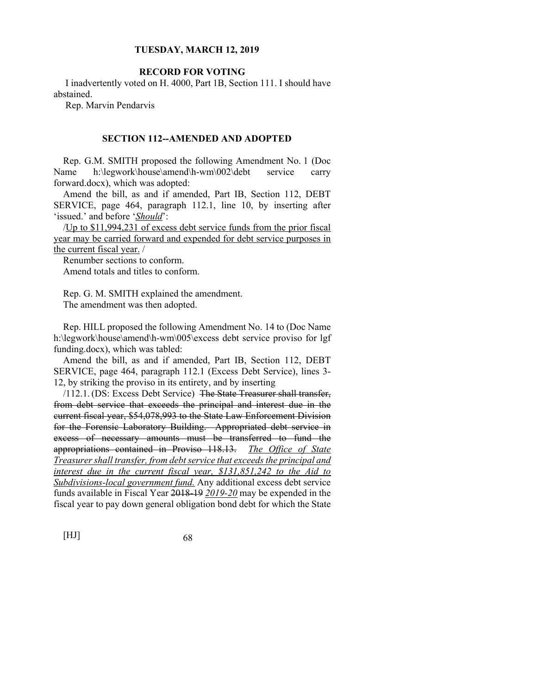## **RECORD FOR VOTING**

 I inadvertently voted on H. 4000, Part 1B, Section 111. I should have abstained.

Rep. Marvin Pendarvis

#### **SECTION 112--AMENDED AND ADOPTED**

Rep. G.M. SMITH proposed the following Amendment No. 1 (Doc Name h:\legwork\house\amend\h-wm\002\debt service carry forward.docx), which was adopted:

Amend the bill, as and if amended, Part IB, Section 112, DEBT SERVICE, page 464, paragraph 112.1, line 10, by inserting after 'issued.' and before '*Should*':

/Up to \$11,994,231 of excess debt service funds from the prior fiscal year may be carried forward and expended for debt service purposes in the current fiscal year. /

Renumber sections to conform. Amend totals and titles to conform.

Rep. G. M. SMITH explained the amendment. The amendment was then adopted.

Rep. HILL proposed the following Amendment No. 14 to (Doc Name h:\legwork\house\amend\h-wm\005\excess debt service proviso for lgf funding.docx), which was tabled:

Amend the bill, as and if amended, Part IB, Section 112, DEBT SERVICE, page 464, paragraph 112.1 (Excess Debt Service), lines 3- 12, by striking the proviso in its entirety, and by inserting

/112.1. (DS: Excess Debt Service) The State Treasurer shall transfer, from debt service that exceeds the principal and interest due in the current fiscal year, \$54,078,993 to the State Law Enforcement Division for the Forensic Laboratory Building. Appropriated debt service in excess of necessary amounts must be transferred to fund the appropriations contained in Proviso 118.13. *The Office of State Treasurer shall transfer, from debt service that exceeds the principal and interest due in the current fiscal year, \$131,851,242 to the Aid to Subdivisions-local government fund.* Any additional excess debt service funds available in Fiscal Year 2018-19 *2019-20* may be expended in the fiscal year to pay down general obligation bond debt for which the State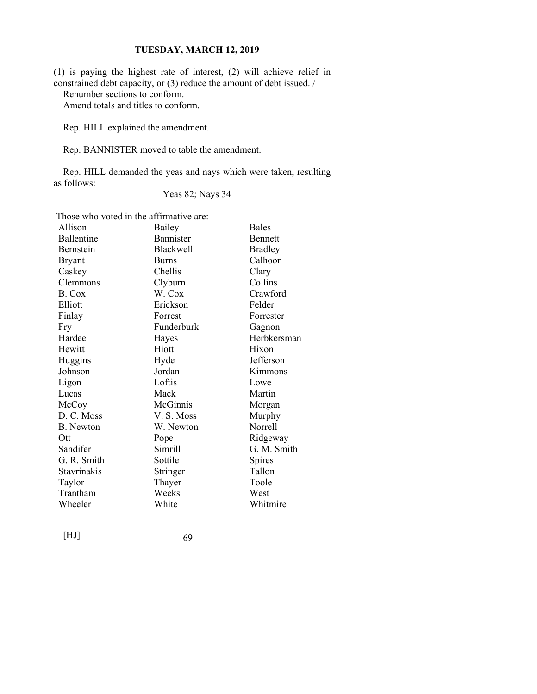(1) is paying the highest rate of interest, (2) will achieve relief in constrained debt capacity, or (3) reduce the amount of debt issued. /

Renumber sections to conform.

Amend totals and titles to conform.

Rep. HILL explained the amendment.

Rep. BANNISTER moved to table the amendment.

Rep. HILL demanded the yeas and nays which were taken, resulting as follows:

## Yeas 82; Nays 34

Those who voted in the affirmative are:

| Allison            | Bailey           | <b>Bales</b>   |
|--------------------|------------------|----------------|
| Ballentine         | Bannister        | <b>Bennett</b> |
| Bernstein          | <b>Blackwell</b> | <b>Bradley</b> |
| <b>Bryant</b>      | <b>Burns</b>     | Calhoon        |
| Caskey             | Chellis          | Clary          |
| Clemmons           | Clyburn          | Collins        |
| B. Cox             | W. Cox           | Crawford       |
| Elliott            | Erickson         | Felder         |
| Finlay             | Forrest          | Forrester      |
| Fry                | Funderburk       | Gagnon         |
| Hardee             | Hayes            | Herbkersman    |
| Hewitt             | Hiott            | Hixon          |
| Huggins            | Hyde             | Jefferson      |
| Johnson            | Jordan           | Kimmons        |
| Ligon              | Loftis           | Lowe           |
| Lucas              | Mack             | Martin         |
| McCoy              | McGinnis         | Morgan         |
| D. C. Moss         | V. S. Moss       | Murphy         |
| <b>B.</b> Newton   | W. Newton        | Norrell        |
| Ott                | Pope             | Ridgeway       |
| Sandifer           | Simrill          | G. M. Smith    |
| G. R. Smith        | Sottile          | Spires         |
| <b>Stavrinakis</b> | Stringer         | Tallon         |
| Taylor             | Thayer           | Toole          |
| Trantham           | Weeks            | West           |
| Wheeler            | White            | Whitmire       |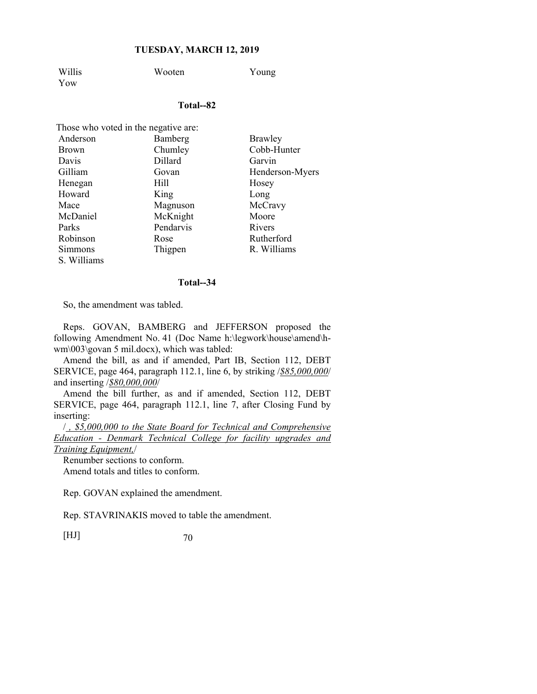Willis Wooten Young Yow

#### **Total--82**

| Those who voted in the negative are: |           |                 |  |  |
|--------------------------------------|-----------|-----------------|--|--|
| Anderson                             | Bamberg   | Brawley         |  |  |
| <b>Brown</b>                         | Chumley   | Cobb-Hunter     |  |  |
| Davis                                | Dillard   | Garvin          |  |  |
| Gilliam                              | Govan     | Henderson-Myers |  |  |
| Henegan                              | Hill      | Hosey           |  |  |
| Howard                               | King      | Long            |  |  |
| Mace                                 | Magnuson  | McCravy         |  |  |
| McDaniel                             | McKnight  | Moore           |  |  |
| Parks                                | Pendarvis | Rivers          |  |  |
| Robinson                             | Rose      | Rutherford      |  |  |
| Simmons                              | Thigpen   | R. Williams     |  |  |
| S. Williams                          |           |                 |  |  |

#### **Total--34**

So, the amendment was tabled.

Reps. GOVAN, BAMBERG and JEFFERSON proposed the following Amendment No. 41 (Doc Name h:\legwork\house\amend\hwm\003\govan 5 mil.docx), which was tabled:

Amend the bill, as and if amended, Part IB, Section 112, DEBT SERVICE, page 464, paragraph 112.1, line 6, by striking /*\$85,000,000*/ and inserting /*\$80,000,000*/

Amend the bill further, as and if amended, Section 112, DEBT SERVICE, page 464, paragraph 112.1, line 7, after Closing Fund by inserting:

/ *, \$5,000,000 to the State Board for Technical and Comprehensive Education - Denmark Technical College for facility upgrades and Training Equipment,*/

Renumber sections to conform. Amend totals and titles to conform.

Rep. GOVAN explained the amendment.

Rep. STAVRINAKIS moved to table the amendment.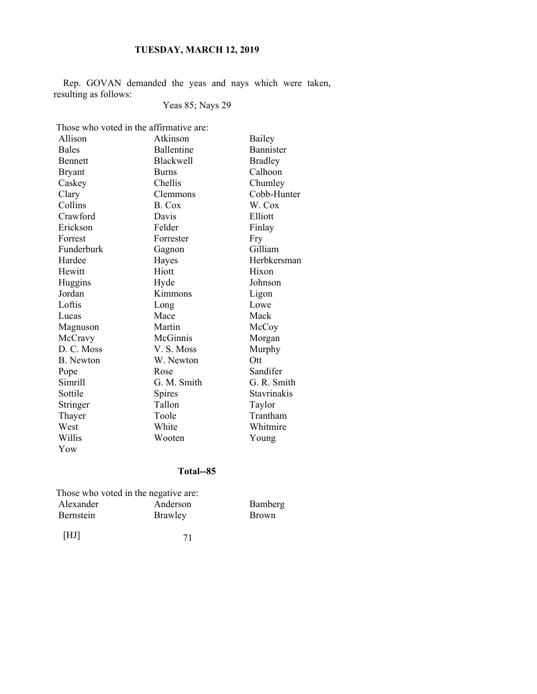Rep. GOVAN demanded the yeas and nays which were taken, resulting as follows:

## Yeas 85; Nays 29

Those who voted in the affirmative are:

| Allison          | Atkinson          | <b>Bailey</b>  |
|------------------|-------------------|----------------|
| <b>Bales</b>     | <b>Ballentine</b> | Bannister      |
| <b>Bennett</b>   | <b>Blackwell</b>  | <b>Bradley</b> |
| <b>Bryant</b>    | <b>Burns</b>      | Calhoon        |
| Caskey           | Chellis           | Chumley        |
| Clary            | Clemmons          | Cobb-Hunter    |
| Collins          | B. Cox            | W. Cox         |
| Crawford         | Davis             | Elliott        |
| Erickson         | Felder            | Finlay         |
| Forrest          | Forrester         | Fry            |
| Funderburk       | Gagnon            | Gilliam        |
| Hardee           | Hayes             | Herbkersman    |
| Hewitt           | Hiott             | Hixon          |
| Huggins          | Hyde              | Johnson        |
| Jordan           | Kimmons           | Ligon          |
| Loftis           | Long              | Lowe           |
| Lucas            | Mace              | Mack           |
| Magnuson         | Martin            | McCoy          |
| McCravy          | McGinnis          | Morgan         |
| D. C. Moss       | V. S. Moss        | Murphy         |
| <b>B.</b> Newton | W. Newton         | Ott            |
| Pope             | Rose              | Sandifer       |
| Simrill          | G. M. Smith       | G. R. Smith    |
| Sottile          | <b>Spires</b>     | Stavrinakis    |
| Stringer         | Tallon            | Taylor         |
| Thayer           | Toole             | Trantham       |
| West             | White             | Whitmire       |
| Willis           | Wooten            | Young          |
| Yow              |                   |                |

## **Total--85**

|                  | Those who voted in the negative are: |              |
|------------------|--------------------------------------|--------------|
| Alexander        | Anderson                             | Bamberg      |
| <b>Bernstein</b> | Brawley                              | <b>Brown</b> |
|                  |                                      |              |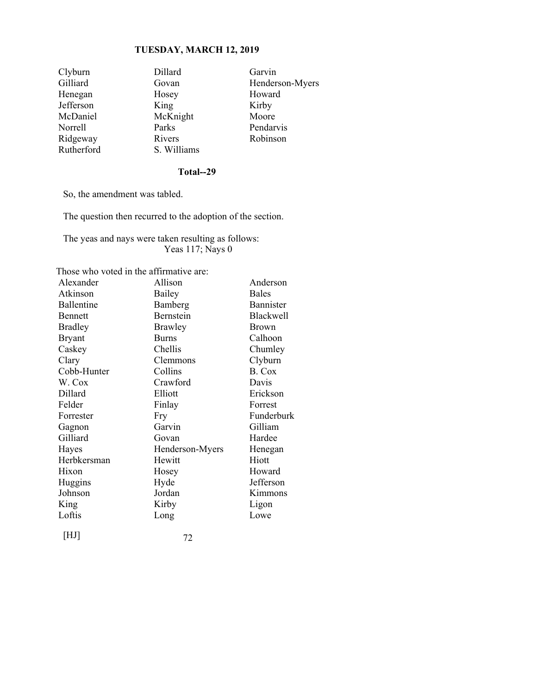| Clyburn    | Dillard     | Garvin          |
|------------|-------------|-----------------|
| Gilliard   | Govan       | Henderson-Myers |
| Henegan    | Hosey       | Howard          |
| Jefferson  | King        | Kirby           |
| McDaniel   | McKnight    | Moore           |
| Norrell    | Parks       | Pendarvis       |
| Ridgeway   | Rivers      | Robinson        |
| Rutherford | S. Williams |                 |

## **Total--29**

So, the amendment was tabled.

The question then recurred to the adoption of the section.

The yeas and nays were taken resulting as follows: Yeas 117; Nays 0

Those who voted in the affirmative are:

| Alexander      | Allison         | Anderson     |
|----------------|-----------------|--------------|
| Atkinson       | Bailey          | <b>Bales</b> |
| Ballentine     | Bamberg         | Bannister    |
| Bennett        | Bernstein       | Blackwell    |
| <b>Bradley</b> | Brawley         | <b>Brown</b> |
| <b>Bryant</b>  | <b>Burns</b>    | Calhoon      |
| Caskey         | Chellis         | Chumley      |
| Clary          | Clemmons        | Clyburn      |
| Cobb-Hunter    | Collins         | B. Cox       |
| W. Cox         | Crawford        | Davis        |
| Dillard        | Elliott         | Erickson     |
| Felder         | Finlay          | Forrest      |
| Forrester      | Fry             | Funderburk   |
| Gagnon         | Garvin          | Gilliam      |
| Gilliard       | Govan           | Hardee       |
| Hayes          | Henderson-Myers | Henegan      |
| Herbkersman    | Hewitt          | Hiott        |
| Hixon          | Hosey           | Howard       |
| Huggins        | Hyde            | Jefferson    |
| Johnson        | Jordan          | Kimmons      |
| King           | Kirby           | Ligon        |
| Loftis         | Long            | Lowe         |
|                |                 |              |

[HJ] 72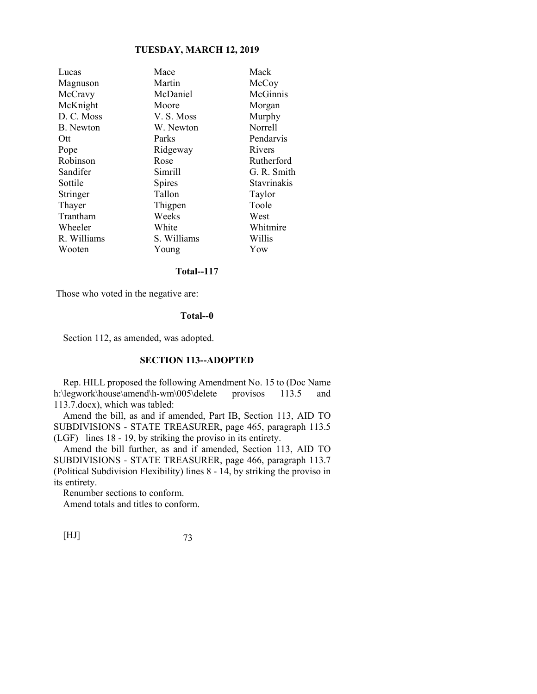| Lucas            | Mace        | Mack               |
|------------------|-------------|--------------------|
| Magnuson         | Martin      | McCoy              |
| McCravy          | McDaniel    | McGinnis           |
| McKnight         | Moore       | Morgan             |
| D. C. Moss       | V. S. Moss  | Murphy             |
| <b>B.</b> Newton | W. Newton   | Norrell            |
| Ott              | Parks       | Pendarvis          |
| Pope             | Ridgeway    | Rivers             |
| Robinson         | Rose        | Rutherford         |
| Sandifer         | Simrill     | G. R. Smith        |
| Sottile          | Spires      | <b>Stavrinakis</b> |
| Stringer         | Tallon      | Taylor             |
| Thayer           | Thigpen     | Toole              |
| Trantham         | Weeks       | West               |
| Wheeler          | White       | Whitmire           |
| R. Williams      | S. Williams | Willis             |
| Wooten           | Young       | Yow                |
|                  |             |                    |

## **Total--117**

Those who voted in the negative are:

#### **Total--0**

Section 112, as amended, was adopted.

## **SECTION 113--ADOPTED**

Rep. HILL proposed the following Amendment No. 15 to (Doc Name h:\legwork\house\amend\h-wm\005\delete provisos 113.5 and 113.7.docx), which was tabled:

Amend the bill, as and if amended, Part IB, Section 113, AID TO SUBDIVISIONS - STATE TREASURER, page 465, paragraph 113.5 (LGF) lines 18 - 19, by striking the proviso in its entirety.

Amend the bill further, as and if amended, Section 113, AID TO SUBDIVISIONS - STATE TREASURER, page 466, paragraph 113.7 (Political Subdivision Flexibility) lines 8 - 14, by striking the proviso in its entirety.

Renumber sections to conform.

Amend totals and titles to conform.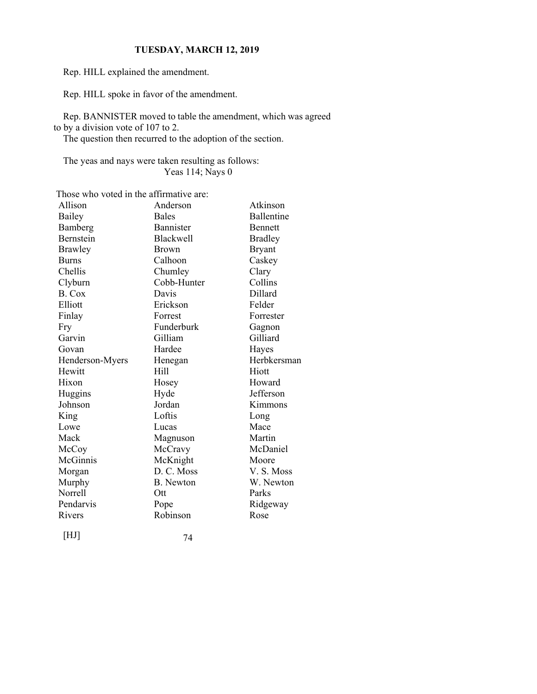Rep. HILL explained the amendment.

Rep. HILL spoke in favor of the amendment.

Rep. BANNISTER moved to table the amendment, which was agreed to by a division vote of 107 to 2.

The question then recurred to the adoption of the section.

The yeas and nays were taken resulting as follows: Yeas 114; Nays 0

Those who voted in the affirmative are:

| Allison          | Anderson         | Atkinson          |
|------------------|------------------|-------------------|
| <b>Bailey</b>    | <b>Bales</b>     | <b>Ballentine</b> |
| Bamberg          | Bannister        | <b>Bennett</b>    |
| <b>Bernstein</b> | <b>Blackwell</b> | <b>Bradley</b>    |
| <b>Brawley</b>   | <b>Brown</b>     | <b>Bryant</b>     |
| <b>Burns</b>     | Calhoon          | Caskey            |
| Chellis          | Chumley          | Clary             |
| Clyburn          | Cobb-Hunter      | Collins           |
| B. Cox           | Davis            | Dillard           |
| Elliott          | Erickson         | Felder            |
| Finlay           | Forrest          | Forrester         |
| Fry              | Funderburk       | Gagnon            |
| Garvin           | Gilliam          | Gilliard          |
| Govan            | Hardee           | Hayes             |
| Henderson-Myers  | Henegan          | Herbkersman       |
| Hewitt           | Hill             | Hiott             |
| Hixon            | Hosey            | Howard            |
| Huggins          | Hyde             | Jefferson         |
| Johnson          | Jordan           | Kimmons           |
| King             | Loftis           | Long              |
| Lowe             | Lucas            | Mace              |
| Mack             | Magnuson         | Martin            |
| McCoy            | McCravy          | McDaniel          |
| McGinnis         | McKnight         | Moore             |
| Morgan           | D. C. Moss       | V.S. Moss         |
| Murphy           | B. Newton        | W. Newton         |
| <b>Norrell</b>   | Ott              | Parks             |
| Pendarvis        | Pope             | Ridgeway          |
| Rivers           | Robinson         | Rose              |
|                  |                  |                   |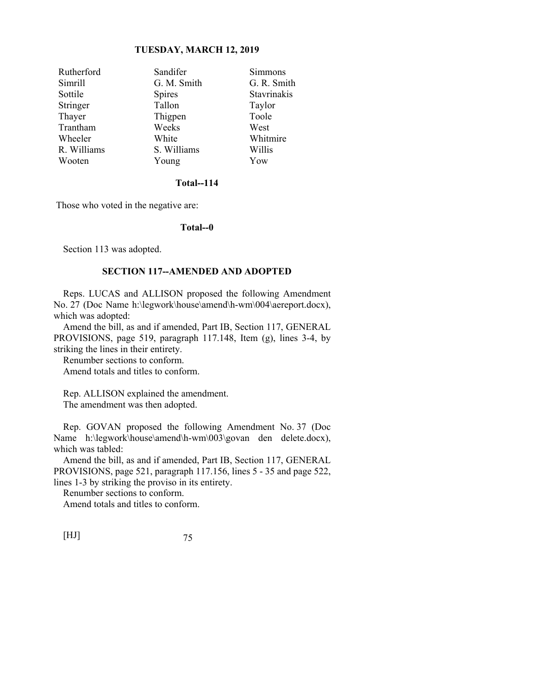| Rutherford  | Sandifer      | Simmons     |
|-------------|---------------|-------------|
| Simrill     | G. M. Smith   | G. R. Smith |
| Sottile     | <b>Spires</b> | Stavrinakis |
| Stringer    | Tallon        | Taylor      |
| Thayer      | Thigpen       | Toole       |
| Trantham    | Weeks         | West        |
| Wheeler     | White         | Whitmire    |
| R. Williams | S. Williams   | Willis      |
| Wooten      | Young         | Yow         |

## **Total--114**

Those who voted in the negative are:

### **Total--0**

Section 113 was adopted.

# **SECTION 117--AMENDED AND ADOPTED**

Reps. LUCAS and ALLISON proposed the following Amendment No. 27 (Doc Name h:\legwork\house\amend\h-wm\004\aereport.docx), which was adopted:

Amend the bill, as and if amended, Part IB, Section 117, GENERAL PROVISIONS, page 519, paragraph 117.148, Item (g), lines 3-4, by striking the lines in their entirety.

Renumber sections to conform. Amend totals and titles to conform.

Rep. ALLISON explained the amendment. The amendment was then adopted.

Rep. GOVAN proposed the following Amendment No. 37 (Doc Name h:\legwork\house\amend\h-wm\003\govan den delete.docx), which was tabled:

Amend the bill, as and if amended, Part IB, Section 117, GENERAL PROVISIONS, page 521, paragraph 117.156, lines 5 - 35 and page 522, lines 1-3 by striking the proviso in its entirety.

Renumber sections to conform.

Amend totals and titles to conform.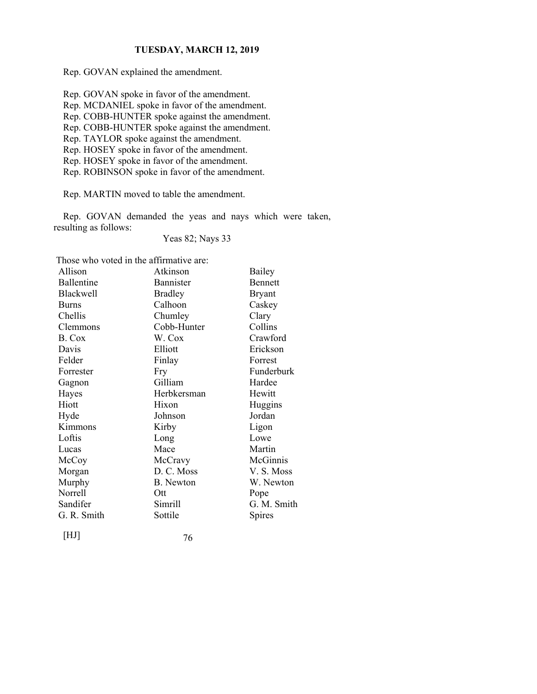Rep. GOVAN explained the amendment.

Rep. GOVAN spoke in favor of the amendment.

Rep. MCDANIEL spoke in favor of the amendment.

Rep. COBB-HUNTER spoke against the amendment.

Rep. COBB-HUNTER spoke against the amendment.

Rep. TAYLOR spoke against the amendment.

Rep. HOSEY spoke in favor of the amendment.

Rep. HOSEY spoke in favor of the amendment.

Rep. ROBINSON spoke in favor of the amendment.

Rep. MARTIN moved to table the amendment.

Rep. GOVAN demanded the yeas and nays which were taken, resulting as follows:

Yeas 82; Nays 33

Those who voted in the affirmative are:

| Allison          | Atkinson         | Bailey         |
|------------------|------------------|----------------|
| Ballentine       | Bannister        | <b>Bennett</b> |
| <b>Blackwell</b> | <b>Bradley</b>   | Bryant         |
| <b>Burns</b>     | Calhoon          | Caskey         |
| Chellis          | Chumley          | Clary          |
| Clemmons         | Cobb-Hunter      | Collins        |
| B. Cox           | W. Cox           | Crawford       |
| Davis            | Elliott          | Erickson       |
| Felder           | Finlay           | Forrest        |
| Forrester        | Fry              | Funderburk     |
| Gagnon           | Gilliam          | Hardee         |
| Hayes            | Herbkersman      | Hewitt         |
| Hiott            | Hixon            | Huggins        |
| Hyde             | Johnson          | Jordan         |
| Kimmons          | Kirby            | Ligon          |
| Loftis           | Long             | Lowe           |
| Lucas            | Mace             | Martin         |
| McCoy            | McCravy          | McGinnis       |
| Morgan           | D. C. Moss       | V. S. Moss     |
| Murphy           | <b>B.</b> Newton | W. Newton      |
| Norrell          | Ott              | Pope           |
| Sandifer         | Simrill          | G. M. Smith    |
| G. R. Smith      | Sottile          | Spires         |
|                  |                  |                |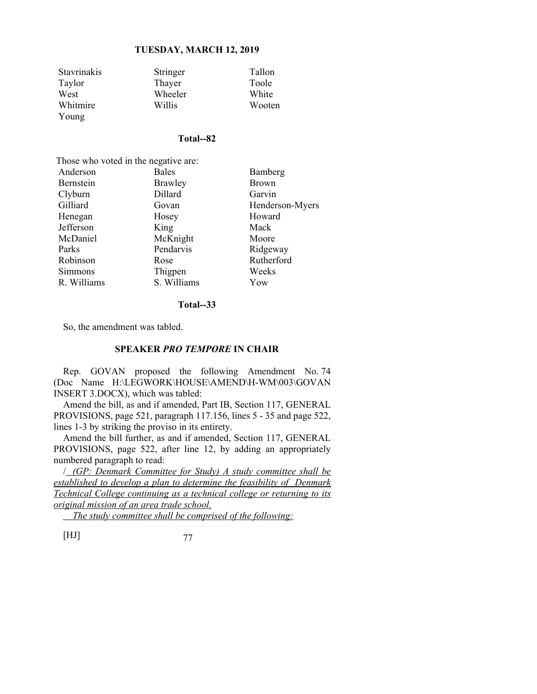| <b>Stavrinakis</b> | Stringer | Tallon |
|--------------------|----------|--------|
| Taylor             | Thayer   | Toole  |
| West               | Wheeler  | White  |
| Whitmire           | Willis   | Wooten |
| Young              |          |        |

#### **Total--82**

| Those who voted in the negative are: |                |                 |  |
|--------------------------------------|----------------|-----------------|--|
| Anderson                             | <b>Bales</b>   | Bamberg         |  |
| Bernstein                            | <b>Brawley</b> | Brown           |  |
| Clyburn                              | Dillard        | Garvin          |  |
| Gilliard                             | Govan          | Henderson-Myers |  |
| Henegan                              | Hosey          | Howard          |  |
| Jefferson                            | King           | Mack            |  |
| McDaniel                             | McKnight       | Moore           |  |
| Parks                                | Pendarvis      | Ridgeway        |  |
| Robinson                             | Rose           | Rutherford      |  |
| Simmons                              | Thigpen        | Weeks           |  |
| R. Williams                          | S. Williams    | Yow             |  |

# **Total--33**

So, the amendment was tabled.

# **SPEAKER** *PRO TEMPORE* **IN CHAIR**

Rep. GOVAN proposed the following Amendment No. 74 (Doc Name H:\LEGWORK\HOUSE\AMEND\H-WM\003\GOVAN INSERT 3.DOCX), which was tabled:

Amend the bill, as and if amended, Part IB, Section 117, GENERAL PROVISIONS, page 521, paragraph 117.156, lines 5 - 35 and page 522, lines 1-3 by striking the proviso in its entirety.

Amend the bill further, as and if amended, Section 117, GENERAL PROVISIONS, page 522, after line 12, by adding an appropriately numbered paragraph to read:

/ *(GP: Denmark Committee for Study) A study committee shall be established to develop a plan to determine the feasibility of Denmark Technical College continuing as a technical college or returning to its original mission of an area trade school.* 

 *The study committee shall be comprised of the following:*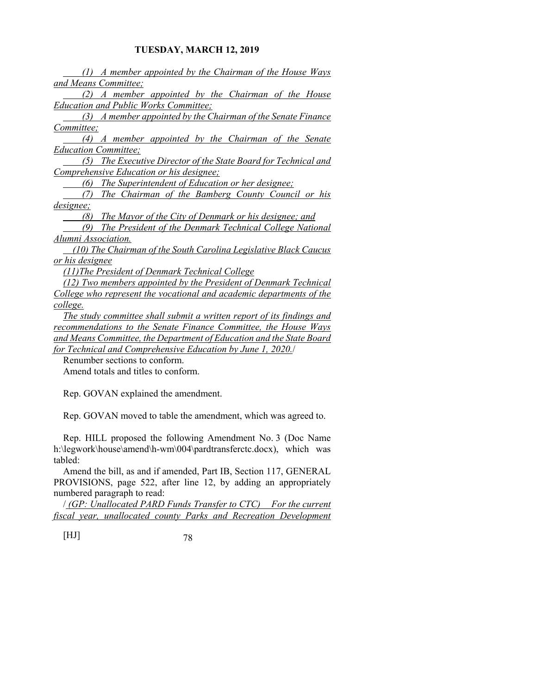*(1) A member appointed by the Chairman of the House Ways and Means Committee;* 

 *(2) A member appointed by the Chairman of the House Education and Public Works Committee;* 

 *(3) A member appointed by the Chairman of the Senate Finance Committee;* 

 *(4) A member appointed by the Chairman of the Senate Education Committee;* 

 *(5) The Executive Director of the State Board for Technical and Comprehensive Education or his designee;* 

 *(6) The Superintendent of Education or her designee;* 

 *(7) The Chairman of the Bamberg County Council or his designee;* 

 *(8) The Mayor of the City of Denmark or his designee; and* 

 *(9) The President of the Denmark Technical College National Alumni Association.* 

 *(10) The Chairman of the South Carolina Legislative Black Caucus or his designee* 

*(11)The President of Denmark Technical College* 

*(12) Two members appointed by the President of Denmark Technical College who represent the vocational and academic departments of the college.* 

*The study committee shall submit a written report of its findings and recommendations to the Senate Finance Committee, the House Ways and Means Committee, the Department of Education and the State Board for Technical and Comprehensive Education by June 1, 2020.*/

Renumber sections to conform.

Amend totals and titles to conform.

Rep. GOVAN explained the amendment.

Rep. GOVAN moved to table the amendment, which was agreed to.

Rep. HILL proposed the following Amendment No. 3 (Doc Name h:\legwork\house\amend\h-wm\004\pardtransferctc.docx), which was tabled:

Amend the bill, as and if amended, Part IB, Section 117, GENERAL PROVISIONS, page 522, after line 12, by adding an appropriately numbered paragraph to read:

/ *(GP: Unallocated PARD Funds Transfer to CTC) For the current fiscal year, unallocated county Parks and Recreation Development*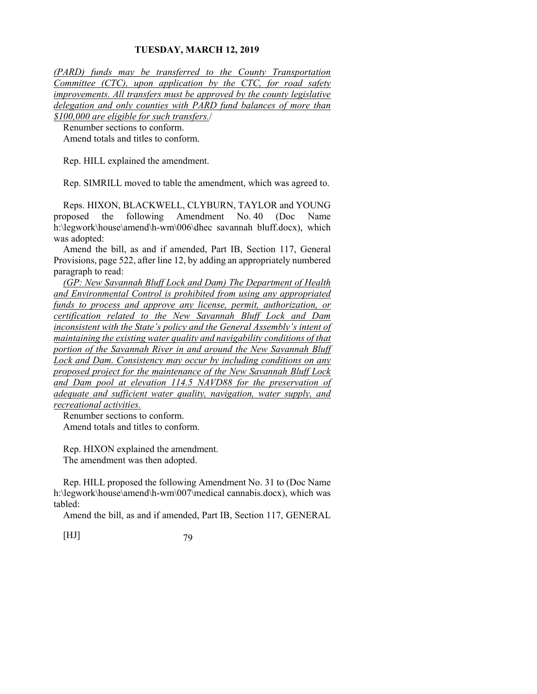*(PARD) funds may be transferred to the County Transportation Committee (CTC), upon application by the CTC, for road safety improvements. All transfers must be approved by the county legislative delegation and only counties with PARD fund balances of more than \$100,000 are eligible for such transfers.*/

Renumber sections to conform. Amend totals and titles to conform.

Rep. HILL explained the amendment.

Rep. SIMRILL moved to table the amendment, which was agreed to.

Reps. HIXON, BLACKWELL, CLYBURN, TAYLOR and YOUNG proposed the following Amendment No. 40 (Doc Name h:\legwork\house\amend\h-wm\006\dhec savannah bluff.docx), which was adopted:

Amend the bill, as and if amended, Part IB, Section 117, General Provisions, page 522, after line 12, by adding an appropriately numbered paragraph to read:

*(GP: New Savannah Bluff Lock and Dam) The Department of Health and Environmental Control is prohibited from using any appropriated funds to process and approve any license, permit, authorization, or certification related to the New Savannah Bluff Lock and Dam inconsistent with the State's policy and the General Assembly's intent of maintaining the existing water quality and navigability conditions of that portion of the Savannah River in and around the New Savannah Bluff Lock and Dam. Consistency may occur by including conditions on any proposed project for the maintenance of the New Savannah Bluff Lock and Dam pool at elevation 114.5 NAVD88 for the preservation of adequate and sufficient water quality, navigation, water supply, and recreational activities.*

Renumber sections to conform. Amend totals and titles to conform.

Rep. HIXON explained the amendment. The amendment was then adopted.

Rep. HILL proposed the following Amendment No. 31 to (Doc Name h:\legwork\house\amend\h-wm\007\medical cannabis.docx), which was tabled:

Amend the bill, as and if amended, Part IB, Section 117, GENERAL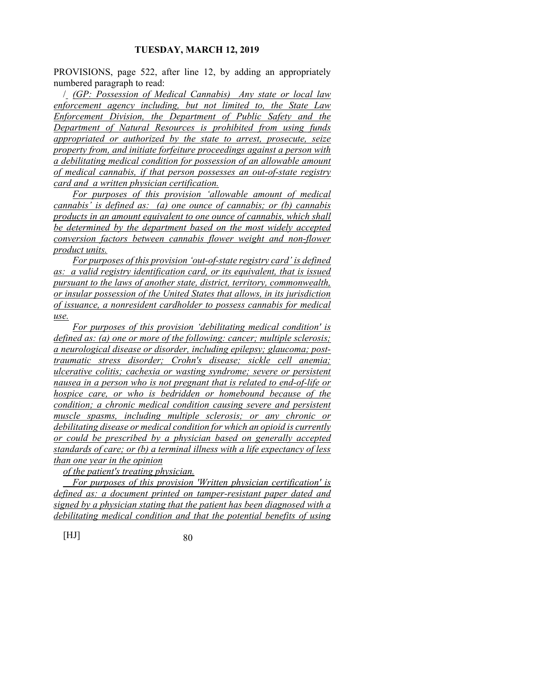PROVISIONS, page 522, after line 12, by adding an appropriately numbered paragraph to read:

/ *(GP: Possession of Medical Cannabis) Any state or local law enforcement agency including, but not limited to, the State Law Enforcement Division, the Department of Public Safety and the Department of Natural Resources is prohibited from using funds appropriated or authorized by the state to arrest, prosecute, seize property from, and initiate forfeiture proceedings against a person with a debilitating medical condition for possession of an allowable amount of medical cannabis, if that person possesses an out-of-state registry card and a written physician certification.* 

*For purposes of this provision 'allowable amount of medical cannabis' is defined as: (a) one ounce of cannabis; or (b) cannabis products in an amount equivalent to one ounce of cannabis, which shall be determined by the department based on the most widely accepted conversion factors between cannabis flower weight and non-flower product units.*

*For purposes of this provision 'out-of-state registry card' is defined as: a valid registry identification card, or its equivalent, that is issued pursuant to the laws of another state, district, territory, commonwealth, or insular possession of the United States that allows, in its jurisdiction of issuance, a nonresident cardholder to possess cannabis for medical use.* 

*For purposes of this provision 'debilitating medical condition' is defined as: (a) one or more of the following: cancer; multiple sclerosis; a neurological disease or disorder, including epilepsy; glaucoma; posttraumatic stress disorder; Crohn's disease; sickle cell anemia; ulcerative colitis; cachexia or wasting syndrome; severe or persistent nausea in a person who is not pregnant that is related to end-of-life or hospice care, or who is bedridden or homebound because of the condition; a chronic medical condition causing severe and persistent muscle spasms, including multiple sclerosis; or any chronic or debilitating disease or medical condition for which an opioid is currently or could be prescribed by a physician based on generally accepted standards of care; or (b) a terminal illness with a life expectancy of less than one year in the opinion* 

*of the patient's treating physician.* 

 *For purposes of this provision 'Written physician certification' is defined as: a document printed on tamper-resistant paper dated and signed by a physician stating that the patient has been diagnosed with a debilitating medical condition and that the potential benefits of using*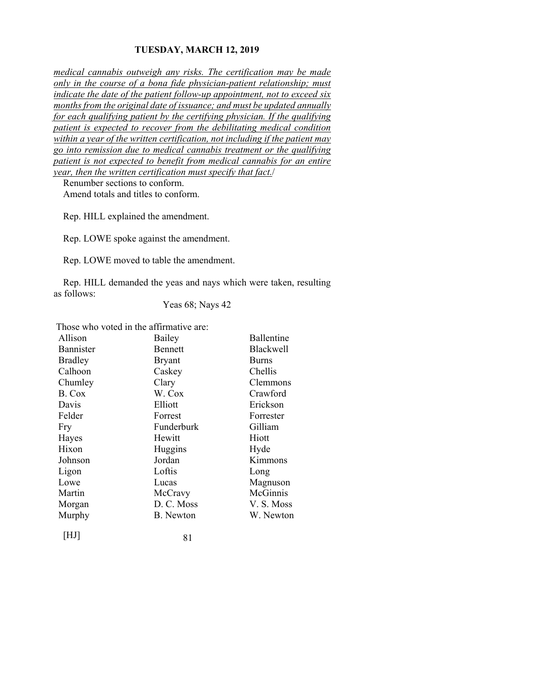*medical cannabis outweigh any risks. The certification may be made only in the course of a bona fide physician-patient relationship; must indicate the date of the patient follow-up appointment, not to exceed six months from the original date of issuance; and must be updated annually for each qualifying patient by the certifying physician. If the qualifying patient is expected to recover from the debilitating medical condition within a year of the written certification, not including if the patient may go into remission due to medical cannabis treatment or the qualifying patient is not expected to benefit from medical cannabis for an entire year, then the written certification must specify that fact.*/

Renumber sections to conform. Amend totals and titles to conform.

Rep. HILL explained the amendment.

Rep. LOWE spoke against the amendment.

Rep. LOWE moved to table the amendment.

Rep. HILL demanded the yeas and nays which were taken, resulting as follows:

Yeas 68; Nays 42

Those who voted in the affirmative are:

| Allison          | Bailey           | <b>Ballentine</b> |
|------------------|------------------|-------------------|
| <b>Bannister</b> | <b>Bennett</b>   | <b>Blackwell</b>  |
| <b>Bradley</b>   | <b>Bryant</b>    | <b>Burns</b>      |
| Calhoon          | Caskey           | Chellis           |
| Chumley          | Clary            | Clemmons          |
| B. Cox           | W. Cox           | Crawford          |
| Davis            | Elliott          | Erickson          |
| Felder           | Forrest          | Forrester         |
| Fry              | Funderburk       | Gilliam           |
| Hayes            | Hewitt           | Hiott             |
| Hixon            | Huggins          | Hyde              |
| Johnson          | Jordan           | Kimmons           |
| Ligon            | Loftis           | Long              |
| Lowe             | Lucas            | Magnuson          |
| Martin           | McCravy          | McGinnis          |
| Morgan           | D. C. Moss       | V. S. Moss        |
| Murphy           | <b>B.</b> Newton | W. Newton         |
|                  |                  |                   |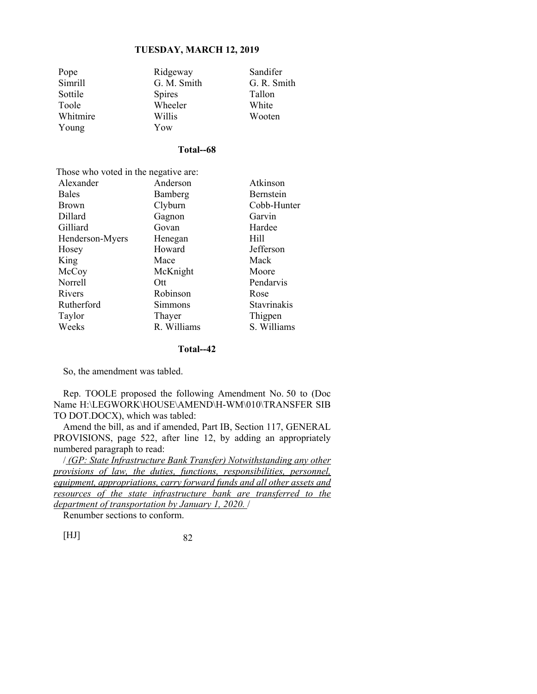| Pope     | Ridgeway      | Sandifer    |
|----------|---------------|-------------|
| Simrill  | G. M. Smith   | G. R. Smith |
| Sottile  | <b>Spires</b> | Tallon      |
| Toole    | Wheeler       | White       |
| Whitmire | Willis        | Wooten      |
| Young    | Yow           |             |

## **Total--68**

Those who voted in the negative are:<br>Alexander Anderson Alexander Anderson Atkinson

| 7 rigaaliyet    | $\lambda$ . The state $\lambda$ | 7 TUNIHIYUH |
|-----------------|---------------------------------|-------------|
| <b>Bales</b>    | Bamberg                         | Bernstein   |
| <b>Brown</b>    | Clyburn                         | Cobb-Hunter |
| Dillard         | Gagnon                          | Garvin      |
| Gilliard        | Govan                           | Hardee      |
| Henderson-Myers | Henegan                         | Hill        |
| Hosey           | Howard                          | Jefferson   |
| King            | Mace                            | Mack        |
| McCoy           | McKnight                        | Moore       |
| Norrell         | Ott                             | Pendarvis   |
| Rivers          | Robinson                        | Rose        |
| Rutherford      | Simmons                         | Stavrinakis |
| Taylor          | Thayer                          | Thigpen     |
| Weeks           | R. Williams                     | S. Williams |
|                 |                                 |             |

#### **Total--42**

So, the amendment was tabled.

Rep. TOOLE proposed the following Amendment No. 50 to (Doc Name H:\LEGWORK\HOUSE\AMEND\H-WM\010\TRANSFER SIB TO DOT.DOCX), which was tabled:

Amend the bill, as and if amended, Part IB, Section 117, GENERAL PROVISIONS, page 522, after line 12, by adding an appropriately numbered paragraph to read:

/ *(GP: State Infrastructure Bank Transfer) Notwithstanding any other provisions of law, the duties, functions, responsibilities, personnel, equipment, appropriations, carry forward funds and all other assets and resources of the state infrastructure bank are transferred to the department of transportation by January 1, 2020.* /

Renumber sections to conform.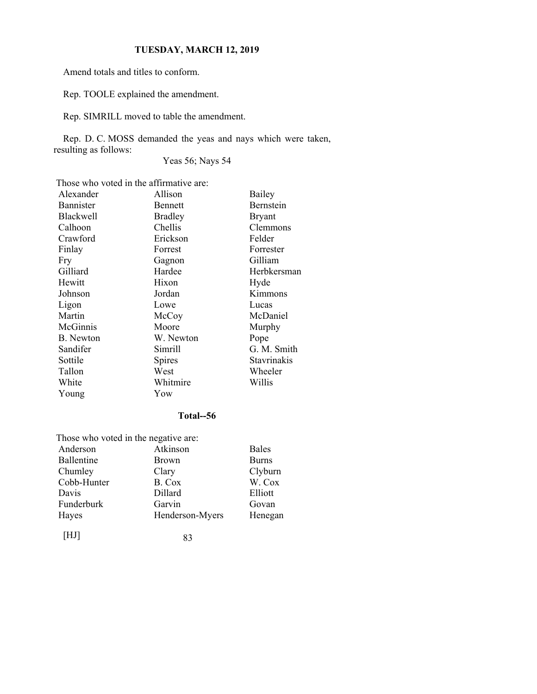Amend totals and titles to conform.

Rep. TOOLE explained the amendment.

Rep. SIMRILL moved to table the amendment.

Rep. D. C. MOSS demanded the yeas and nays which were taken, resulting as follows:

Yeas 56; Nays 54

Those who voted in the affirmative are:

| Alexander        | Allison        | Bailey           |
|------------------|----------------|------------------|
| Bannister        | Bennett        | <b>Bernstein</b> |
| <b>Blackwell</b> | <b>Bradley</b> | Bryant           |
| Calhoon          | Chellis        | Clemmons         |
| Crawford         | Erickson       | Felder           |
| Finlay           | Forrest        | Forrester        |
| Fry              | Gagnon         | Gilliam          |
| Gilliard         | Hardee         | Herbkersman      |
| Hewitt           | Hixon          | Hyde             |
| Johnson          | Jordan         | Kimmons          |
| Ligon            | Lowe           | Lucas            |
| Martin           | McCoy          | McDaniel         |
| McGinnis         | Moore          | Murphy           |
| <b>B.</b> Newton | W. Newton      | Pope             |
| Sandifer         | Simrill        | G. M. Smith      |
| Sottile          | <b>Spires</b>  | Stavrinakis      |
| Tallon           | West           | Wheeler          |
| White            | Whitmire       | Willis           |
| Young            | Yow            |                  |

# **Total--56**

| Those who voted in the negative are: |                 |              |
|--------------------------------------|-----------------|--------------|
| Anderson                             | Atkinson        | <b>Bales</b> |
| <b>Ballentine</b>                    | <b>Brown</b>    | <b>Burns</b> |
| Chumley                              | Clary           | Clyburn      |
| Cobb-Hunter                          | B. Cox          | W. Cox       |
| Davis                                | Dillard         | Elliott      |
| Funderburk                           | Garvin          | Govan        |
| Hayes                                | Henderson-Myers | Henegan      |
| HЛ                                   | 83              |              |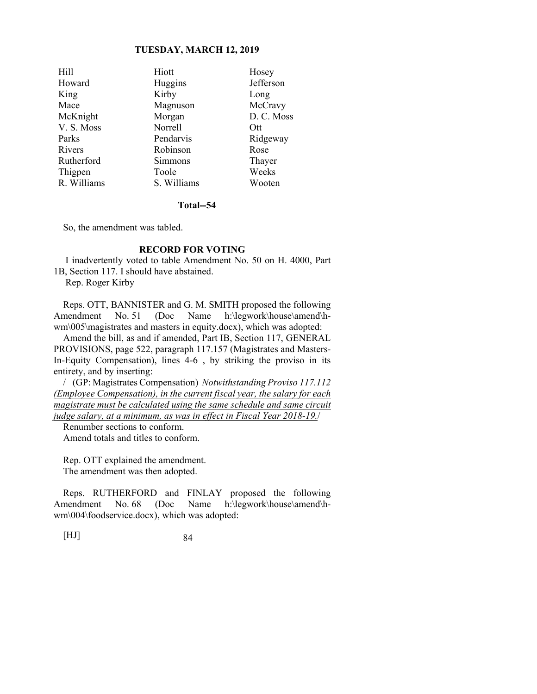| Hill        | Hiott       | Hosey      |
|-------------|-------------|------------|
| Howard      | Huggins     | Jefferson  |
| King        | Kirby       | Long       |
| Mace        | Magnuson    | McCravy    |
| McKnight    | Morgan      | D. C. Moss |
| V. S. Moss  | Norrell     | Ott        |
| Parks       | Pendarvis   | Ridgeway   |
| Rivers      | Robinson    | Rose       |
| Rutherford  | Simmons     | Thayer     |
| Thigpen     | Toole       | Weeks      |
| R. Williams | S. Williams | Wooten     |

#### **Total--54**

So, the amendment was tabled.

## **RECORD FOR VOTING**

 I inadvertently voted to table Amendment No. 50 on H. 4000, Part 1B, Section 117. I should have abstained.

Rep. Roger Kirby

Reps. OTT, BANNISTER and G. M. SMITH proposed the following Amendment No. 51 (Doc Name h:\legwork\house\amend\hwm\005\magistrates and masters in equity.docx), which was adopted:

Amend the bill, as and if amended, Part IB, Section 117, GENERAL PROVISIONS, page 522, paragraph 117.157 (Magistrates and Masters-In-Equity Compensation), lines 4-6 , by striking the proviso in its entirety, and by inserting:

/ (GP: Magistrates Compensation) *Notwithstanding Proviso 117.112 (Employee Compensation), in the current fiscal year, the salary for each magistrate must be calculated using the same schedule and same circuit judge salary, at a minimum, as was in effect in Fiscal Year 2018-19.*/

Renumber sections to conform. Amend totals and titles to conform.

Rep. OTT explained the amendment. The amendment was then adopted.

Reps. RUTHERFORD and FINLAY proposed the following Amendment No. 68 (Doc Name h:\legwork\house\amend\hwm\004\foodservice.docx), which was adopted: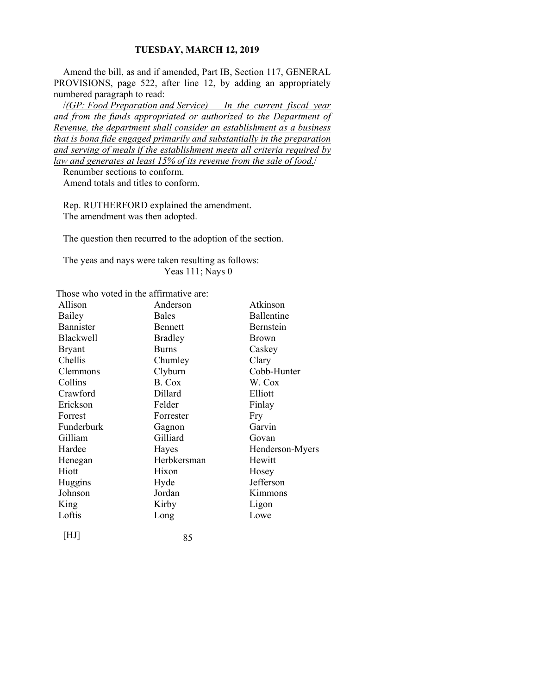Amend the bill, as and if amended, Part IB, Section 117, GENERAL PROVISIONS, page 522, after line 12, by adding an appropriately numbered paragraph to read:

/*(GP: Food Preparation and Service) In the current fiscal year and from the funds appropriated or authorized to the Department of Revenue, the department shall consider an establishment as a business that is bona fide engaged primarily and substantially in the preparation and serving of meals if the establishment meets all criteria required by law and generates at least 15% of its revenue from the sale of food.*/

Renumber sections to conform.

Amend totals and titles to conform.

Rep. RUTHERFORD explained the amendment. The amendment was then adopted.

The question then recurred to the adoption of the section.

The yeas and nays were taken resulting as follows: Yeas 111; Nays 0

Those who voted in the affirmative are:

| Allison          | Anderson       | Atkinson        |
|------------------|----------------|-----------------|
| Bailey           | <b>Bales</b>   | Ballentine      |
| <b>Bannister</b> | <b>Bennett</b> | Bernstein       |
| <b>Blackwell</b> | <b>Bradley</b> | <b>Brown</b>    |
| <b>Bryant</b>    | <b>Burns</b>   | Caskey          |
| Chellis          | Chumley        | Clary           |
| Clemmons         | Clyburn        | Cobb-Hunter     |
| Collins          | B. Cox         | W. Cox          |
| Crawford         | Dillard        | Elliott         |
| Erickson         | Felder         | Finlay          |
| Forrest          | Forrester      | Fry             |
| Funderburk       | Gagnon         | Garvin          |
| Gilliam          | Gilliard       | Govan           |
| Hardee           | Hayes          | Henderson-Myers |
| Henegan          | Herbkersman    | Hewitt          |
| Hiott            | Hixon          | Hosey           |
| Huggins          | Hyde           | Jefferson       |
| Johnson          | Jordan         | Kimmons         |
| King             | Kirby          | Ligon           |
| Loftis           | Long           | Lowe            |
|                  |                |                 |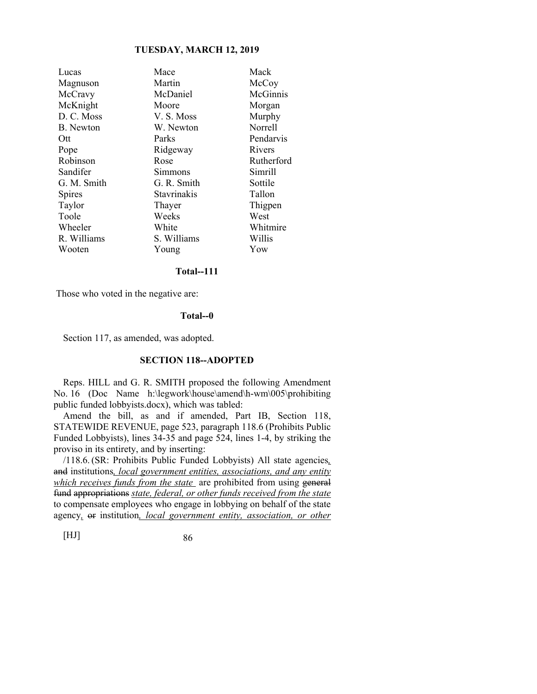| Lucas            | Mace               | Mack       |
|------------------|--------------------|------------|
| Magnuson         | Martin             | McCoy      |
| McCravy          | McDaniel           | McGinnis   |
| McKnight         | Moore              | Morgan     |
| D. C. Moss       | V. S. Moss         | Murphy     |
| <b>B.</b> Newton | W. Newton          | Norrell    |
| Ott              | Parks              | Pendarvis  |
| Pope             | Ridgeway           | Rivers     |
| Robinson         | Rose               | Rutherford |
| Sandifer         | Simmons            | Simrill    |
| G. M. Smith      | G. R. Smith        | Sottile    |
| Spires           | <b>Stavrinakis</b> | Tallon     |
| Taylor           | Thayer             | Thigpen    |
| Toole            | Weeks              | West       |
| Wheeler          | White              | Whitmire   |
| R. Williams      | S. Williams        | Willis     |
| Wooten           | Young              | Yow        |
|                  |                    |            |

# **Total--111**

Those who voted in the negative are:

#### **Total--0**

Section 117, as amended, was adopted.

#### **SECTION 118--ADOPTED**

Reps. HILL and G. R. SMITH proposed the following Amendment No. 16 (Doc Name h:\legwork\house\amend\h-wm\005\prohibiting public funded lobbyists.docx), which was tabled:

Amend the bill, as and if amended, Part IB, Section 118, STATEWIDE REVENUE, page 523, paragraph 118.6 (Prohibits Public Funded Lobbyists), lines 34-35 and page 524, lines 1-4, by striking the proviso in its entirety, and by inserting:

/118.6. (SR: Prohibits Public Funded Lobbyists) All state agencies*,* and institutions*, local government entities, associations, and any entity which receives funds from the state* are prohibited from using general fund appropriations *state, federal, or other funds received from the state* to compensate employees who engage in lobbying on behalf of the state agency*,* or institution*, local government entity, association, or other*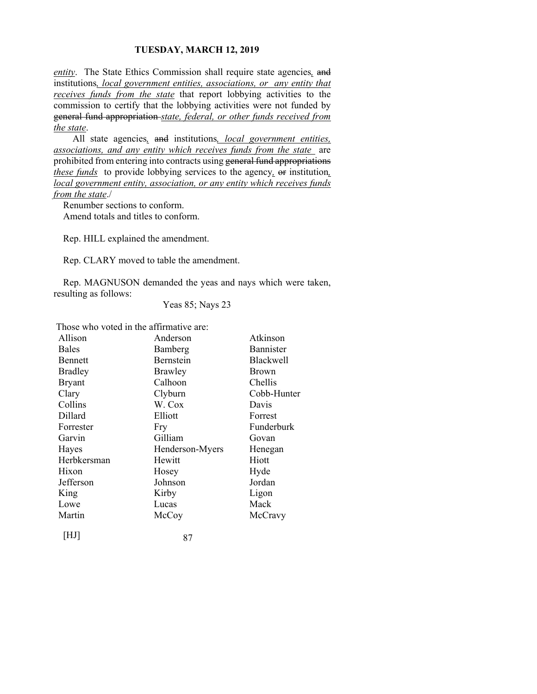*entity*. The State Ethics Commission shall require state agencies*,* and institutions*, local government entities, associations, or any entity that receives funds from the state* that report lobbying activities to the commission to certify that the lobbying activities were not funded by general fund appropriation *state, federal, or other funds received from the state*.

 All state agencies*,* and institutions*, local government entities, associations, and any entity which receives funds from the state* are prohibited from entering into contracts using general fund appropriations *these funds* to provide lobbying services to the agency*,* or institution*, local government entity, association, or any entity which receives funds from the state*./

Renumber sections to conform.

Amend totals and titles to conform.

Rep. HILL explained the amendment.

Rep. CLARY moved to table the amendment.

Rep. MAGNUSON demanded the yeas and nays which were taken, resulting as follows:

Yeas 85; Nays 23

Those who voted in the affirmative are:

| Allison        | Anderson        | Atkinson     |
|----------------|-----------------|--------------|
| <b>Bales</b>   | Bamberg         | Bannister    |
| Bennett        | Bernstein       | Blackwell    |
| <b>Bradley</b> | Brawley         | <b>Brown</b> |
| <b>Bryant</b>  | Calhoon         | Chellis      |
| Clary          | Clyburn         | Cobb-Hunter  |
| Collins        | W. Cox          | Davis        |
| Dillard        | Elliott         | Forrest      |
| Forrester      | Fry             | Funderburk   |
| Garvin         | Gilliam         | Govan        |
| Hayes          | Henderson-Myers | Henegan      |
| Herbkersman    | Hewitt          | Hiott        |
| Hixon          | Hosey           | Hyde         |
| Jefferson      | Johnson         | Jordan       |
| King           | Kirby           | Ligon        |
| Lowe           | Lucas           | Mack         |
| Martin         | McCoy           | McCravy      |
| HJ             | 87              |              |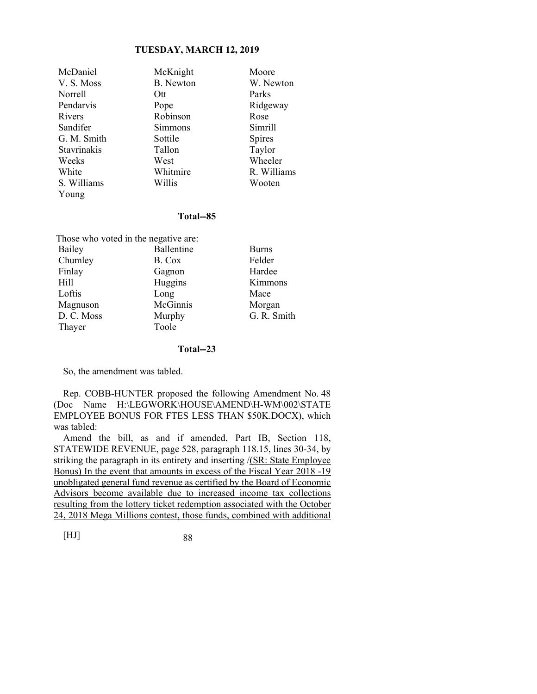Young

McDaniel McKnight Moore<br>
V. S. Moss B. Newton W. Nev Norrell Ott Parks Pendarvis Pope Ridgeway Rivers Robinson Rose Sandifer Simmons Simrill G. M. Smith Sottile Spires Stavrinakis Tallon Taylor Weeks West Wheeler White Whitmire R. Williams S. Williams Willis Wooten

W. Newton

### **Total--85**

| Those who voted in the negative are: |            |              |
|--------------------------------------|------------|--------------|
| Bailey                               | Ballentine | <b>Burns</b> |
| Chumley                              | B. Cox     | Felder       |
| Finlay                               | Gagnon     | Hardee       |
| Hill                                 | Huggins    | Kimmons      |
| Loftis                               | Long       | Mace         |
| Magnuson                             | McGinnis   | Morgan       |
| D. C. Moss                           | Murphy     | G. R. Smith  |
| Thayer                               | Toole      |              |

#### **Total--23**

So, the amendment was tabled.

Rep. COBB-HUNTER proposed the following Amendment No. 48 (Doc Name H:\LEGWORK\HOUSE\AMEND\H-WM\002\STATE EMPLOYEE BONUS FOR FTES LESS THAN \$50K.DOCX), which was tabled:

Amend the bill, as and if amended, Part IB, Section 118, STATEWIDE REVENUE, page 528, paragraph 118.15, lines 30-34, by striking the paragraph in its entirety and inserting /(SR: State Employee Bonus) In the event that amounts in excess of the Fiscal Year 2018 -19 unobligated general fund revenue as certified by the Board of Economic Advisors become available due to increased income tax collections resulting from the lottery ticket redemption associated with the October 24, 2018 Mega Millions contest, those funds, combined with additional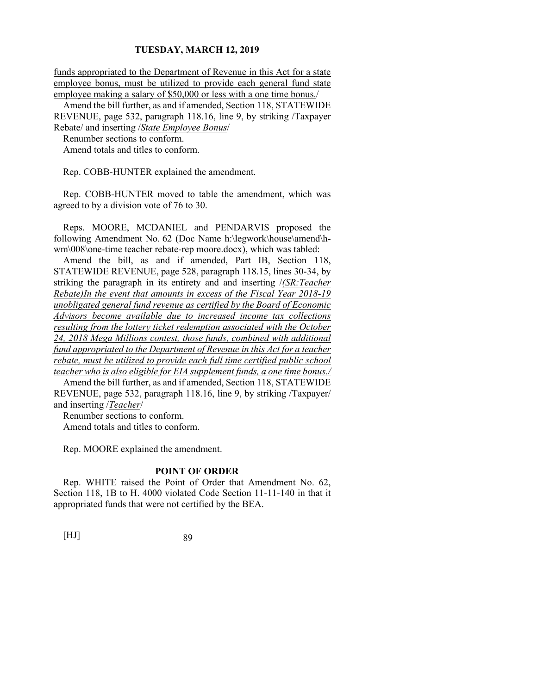funds appropriated to the Department of Revenue in this Act for a state employee bonus, must be utilized to provide each general fund state employee making a salary of \$50,000 or less with a one time bonus./

Amend the bill further, as and if amended, Section 118, STATEWIDE REVENUE, page 532, paragraph 118.16, line 9, by striking /Taxpayer Rebate/ and inserting /*State Employee Bonus*/

Renumber sections to conform.

Amend totals and titles to conform.

Rep. COBB-HUNTER explained the amendment.

Rep. COBB-HUNTER moved to table the amendment, which was agreed to by a division vote of 76 to 30.

Reps. MOORE, MCDANIEL and PENDARVIS proposed the following Amendment No. 62 (Doc Name h:\legwork\house\amend\hwm\008\one-time teacher rebate-rep moore.docx), which was tabled:

Amend the bill, as and if amended, Part IB, Section 118, STATEWIDE REVENUE, page 528, paragraph 118.15, lines 30-34, by striking the paragraph in its entirety and and inserting /*(SR:Teacher Rebate)In the event that amounts in excess of the Fiscal Year 2018-19 unobligated general fund revenue as certified by the Board of Economic Advisors become available due to increased income tax collections resulting from the lottery ticket redemption associated with the October 24, 2018 Mega Millions contest, those funds, combined with additional fund appropriated to the Department of Revenue in this Act for a teacher rebate, must be utilized to provide each full time certified public school teacher who is also eligible for EIA supplement funds, a one time bonus./*

Amend the bill further, as and if amended, Section 118, STATEWIDE REVENUE, page 532, paragraph 118.16, line 9, by striking /Taxpayer/ and inserting /*Teacher*/

Renumber sections to conform.

Amend totals and titles to conform.

Rep. MOORE explained the amendment.

#### **POINT OF ORDER**

Rep. WHITE raised the Point of Order that Amendment No. 62, Section 118, 1B to H. 4000 violated Code Section 11-11-140 in that it appropriated funds that were not certified by the BEA.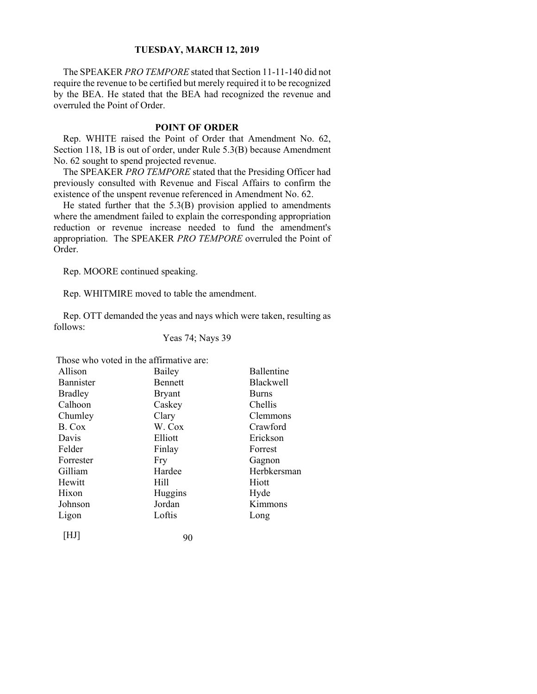The SPEAKER *PRO TEMPORE* stated that Section 11-11-140 did not require the revenue to be certified but merely required it to be recognized by the BEA. He stated that the BEA had recognized the revenue and overruled the Point of Order.

### **POINT OF ORDER**

Rep. WHITE raised the Point of Order that Amendment No. 62, Section 118, 1B is out of order, under Rule 5.3(B) because Amendment No. 62 sought to spend projected revenue.

The SPEAKER *PRO TEMPORE* stated that the Presiding Officer had previously consulted with Revenue and Fiscal Affairs to confirm the existence of the unspent revenue referenced in Amendment No. 62.

He stated further that the  $5.3(B)$  provision applied to amendments where the amendment failed to explain the corresponding appropriation reduction or revenue increase needed to fund the amendment's appropriation. The SPEAKER *PRO TEMPORE* overruled the Point of Order.

Rep. MOORE continued speaking.

Rep. WHITMIRE moved to table the amendment.

Rep. OTT demanded the yeas and nays which were taken, resulting as follows:

# Yeas 74; Nays 39

Those who voted in the affirmative are:

| Allison        | Bailey        | <b>Ballentine</b> |
|----------------|---------------|-------------------|
| Bannister      | Bennett       | Blackwell         |
| <b>Bradley</b> | <b>Bryant</b> | <b>Burns</b>      |
| Calhoon        | Caskey        | Chellis           |
| Chumley        | Clary         | Clemmons          |
| B. Cox         | W. Cox        | Crawford          |
| Davis          | Elliott       | Erickson          |
| Felder         | Finlay        | Forrest           |
| Forrester      | Fry           | Gagnon            |
| Gilliam        | Hardee        | Herbkersman       |
| Hewitt         | Hill          | Hiott             |
| Hixon          | Huggins       | Hyde              |
| Johnson        | Jordan        | Kimmons           |
| Ligon          | Loftis        | Long              |
| [HJ]           | 90            |                   |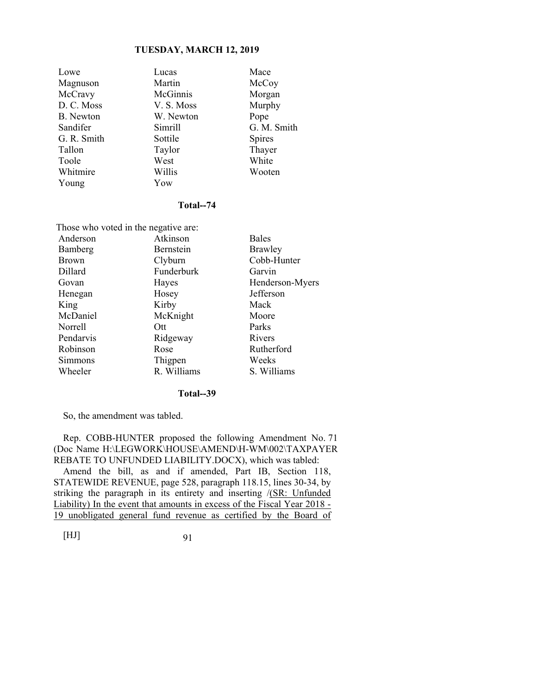| Lowe        | Lucas      | Mace          |
|-------------|------------|---------------|
| Magnuson    | Martin     | McCoy         |
| McCravy     | McGinnis   | Morgan        |
| D. C. Moss  | V. S. Moss | Murphy        |
| B. Newton   | W. Newton  | Pope          |
| Sandifer    | Simrill    | G. M. Smith   |
| G. R. Smith | Sottile    | <b>Spires</b> |
| Tallon      | Taylor     | Thayer        |
| Toole       | West       | White         |
| Whitmire    | Willis     | Wooten        |
| Young       | Yow        |               |

#### **Total--74**

| Those who voted in the negative are: |             |                 |  |
|--------------------------------------|-------------|-----------------|--|
| Anderson                             | Atkinson    | <b>Bales</b>    |  |
| Bamberg                              | Bernstein   | Brawley         |  |
| <b>Brown</b>                         | Clyburn     | Cobb-Hunter     |  |
| Dillard                              | Funderburk  | Garvin          |  |
| Govan                                | Hayes       | Henderson-Myers |  |
| Henegan                              | Hosey       | Jefferson       |  |
| King                                 | Kirby       | Mack            |  |
| McDaniel                             | McKnight    | Moore           |  |
| Norrell                              | Ott         | Parks           |  |
| Pendarvis                            | Ridgeway    | Rivers          |  |
| Robinson                             | Rose        | Rutherford      |  |
| Simmons                              | Thigpen     | Weeks           |  |
| Wheeler                              | R. Williams | S. Williams     |  |

#### **Total--39**

So, the amendment was tabled.

Rep. COBB-HUNTER proposed the following Amendment No. 71 (Doc Name H:\LEGWORK\HOUSE\AMEND\H-WM\002\TAXPAYER REBATE TO UNFUNDED LIABILITY.DOCX), which was tabled:

Amend the bill, as and if amended, Part IB, Section 118, STATEWIDE REVENUE, page 528, paragraph 118.15, lines 30-34, by striking the paragraph in its entirety and inserting /(SR: Unfunded Liability) In the event that amounts in excess of the Fiscal Year 2018 - 19 unobligated general fund revenue as certified by the Board of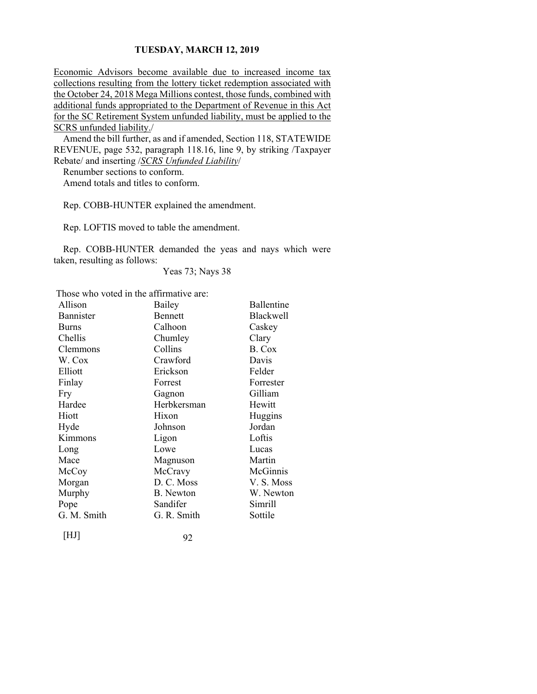Economic Advisors become available due to increased income tax collections resulting from the lottery ticket redemption associated with the October 24, 2018 Mega Millions contest, those funds, combined with additional funds appropriated to the Department of Revenue in this Act for the SC Retirement System unfunded liability, must be applied to the SCRS unfunded liability./

Amend the bill further, as and if amended, Section 118, STATEWIDE REVENUE, page 532, paragraph 118.16, line 9, by striking /Taxpayer Rebate/ and inserting /*SCRS Unfunded Liability*/

Renumber sections to conform.

Amend totals and titles to conform.

Rep. COBB-HUNTER explained the amendment.

Rep. LOFTIS moved to table the amendment.

Rep. COBB-HUNTER demanded the yeas and nays which were taken, resulting as follows:

Yeas 73; Nays 38

Those who voted in the affirmative are:

| Allison      | Bailey         | Ballentine |
|--------------|----------------|------------|
| Bannister    | <b>Bennett</b> | Blackwell  |
| <b>Burns</b> | Calhoon        | Caskey     |
| Chellis      | Chumley        | Clary      |
| Clemmons     | Collins        | B. Cox     |
| W. Cox       | Crawford       | Davis      |
| Elliott      | Erickson       | Felder     |
| Finlay       | Forrest        | Forrester  |
| Fry          | Gagnon         | Gilliam    |
| Hardee       | Herbkersman    | Hewitt     |
| Hiott        | Hixon          | Huggins    |
| Hyde         | Johnson        | Jordan     |
| Kimmons      | Ligon          | Loftis     |
| Long         | Lowe           | Lucas      |
| Mace         | Magnuson       | Martin     |
| McCoy        | McCravy        | McGinnis   |
| Morgan       | D. C. Moss     | V.S. Moss  |
| Murphy       | B. Newton      | W. Newton  |
| Pope         | Sandifer       | Simrill    |
| G. M. Smith  | G. R. Smith    | Sottile    |
|              |                |            |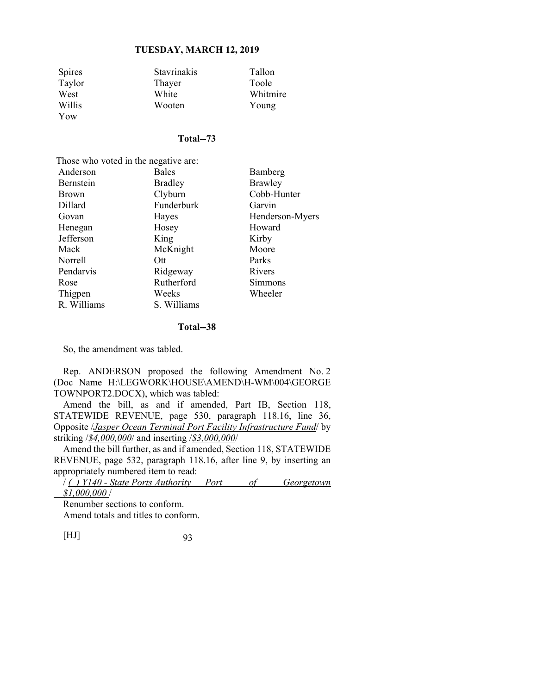| <b>Spires</b> | <b>Stavrinakis</b> | Tallon   |
|---------------|--------------------|----------|
| Taylor        | Thayer             | Toole    |
| West          | White              | Whitmire |
| Willis        | Wooten             | Young    |
| Yow           |                    |          |

### **Total--73**

| Those who voted in the negative are: |                |                 |  |
|--------------------------------------|----------------|-----------------|--|
| Anderson                             | <b>Bales</b>   | Bamberg         |  |
| Bernstein                            | <b>Bradley</b> | Brawley         |  |
| <b>Brown</b>                         | Clyburn        | Cobb-Hunter     |  |
| Dillard                              | Funderburk     | Garvin          |  |
| Govan                                | Hayes          | Henderson-Myers |  |
| Henegan                              | Hosey          | Howard          |  |
| Jefferson                            | King           | Kirby           |  |
| Mack                                 | McKnight       | Moore           |  |
| Norrell                              | Ott            | Parks           |  |
| Pendarvis                            | Ridgeway       | Rivers          |  |
| Rose                                 | Rutherford     | Simmons         |  |
| Thigpen                              | Weeks          | Wheeler         |  |
| R. Williams                          | S. Williams    |                 |  |

#### **Total--38**

So, the amendment was tabled.

Rep. ANDERSON proposed the following Amendment No. 2 (Doc Name H:\LEGWORK\HOUSE\AMEND\H-WM\004\GEORGE TOWNPORT2.DOCX), which was tabled:

Amend the bill, as and if amended, Part IB, Section 118, STATEWIDE REVENUE, page 530, paragraph 118.16, line 36, Opposite /*Jasper Ocean Terminal Port Facility Infrastructure Fund*/ by striking /*\$4,000,000*/ and inserting /*\$3,000,000*/

Amend the bill further, as and if amended, Section 118, STATEWIDE REVENUE, page 532, paragraph 118.16, after line 9, by inserting an appropriately numbered item to read:

/ *( ) Y140 - State Ports Authority Port of Georgetown \$1,000,000* /

Renumber sections to conform. Amend totals and titles to conform.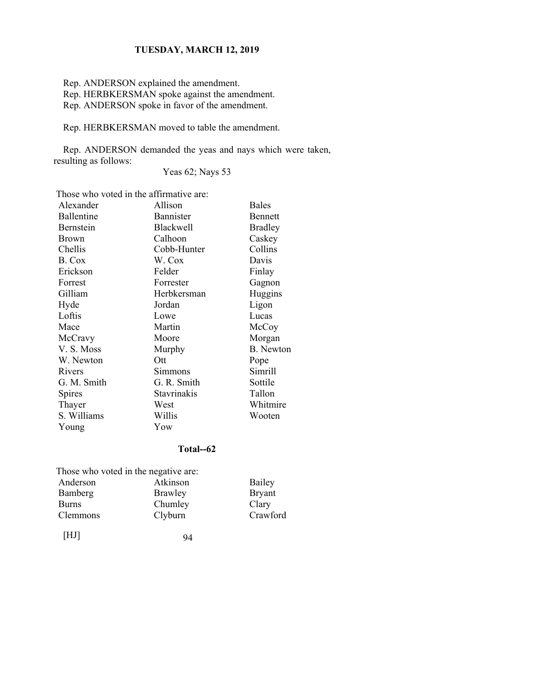Rep. ANDERSON explained the amendment.

Rep. HERBKERSMAN spoke against the amendment.

Rep. ANDERSON spoke in favor of the amendment.

Rep. HERBKERSMAN moved to table the amendment.

Rep. ANDERSON demanded the yeas and nays which were taken, resulting as follows:

Yeas 62; Nays 53

Those who voted in the affirmative are:

| Alexander   | Allison          | <b>Bales</b>     |
|-------------|------------------|------------------|
| Ballentine  | Bannister        | Bennett          |
| Bernstein   | <b>Blackwell</b> | <b>Bradley</b>   |
| Brown       | Calhoon          | Caskey           |
| Chellis     | Cobb-Hunter      | Collins          |
| B. Cox      | W. Cox           | Davis            |
| Erickson    | Felder           | Finlay           |
| Forrest     | Forrester        | Gagnon           |
| Gilliam     | Herbkersman      | Huggins          |
| Hyde        | Jordan           | Ligon            |
| Loftis      | Lowe             | Lucas            |
| Mace        | Martin           | McCoy            |
| McCravy     | Moore            | Morgan           |
| V. S. Moss  | Murphy           | <b>B.</b> Newton |
| W. Newton   | Ott              | Pope             |
| Rivers      | Simmons          | Simrill          |
| G. M. Smith | G. R. Smith      | Sottile          |
| Spires      | Stavrinakis      | Tallon           |
| Thayer      | West             | Whitmire         |
| S. Williams | Willis           | Wooten           |
| Young       | Yow              |                  |

# **Total--62**

 Those who voted in the negative are: Anderson Atkinson Bailey Bamberg Brawley Bryant<br>Burns Chumley Clary

Chumley Clary<br>Clyburn Crawford

[HJ] 94

Clemmons Clyburn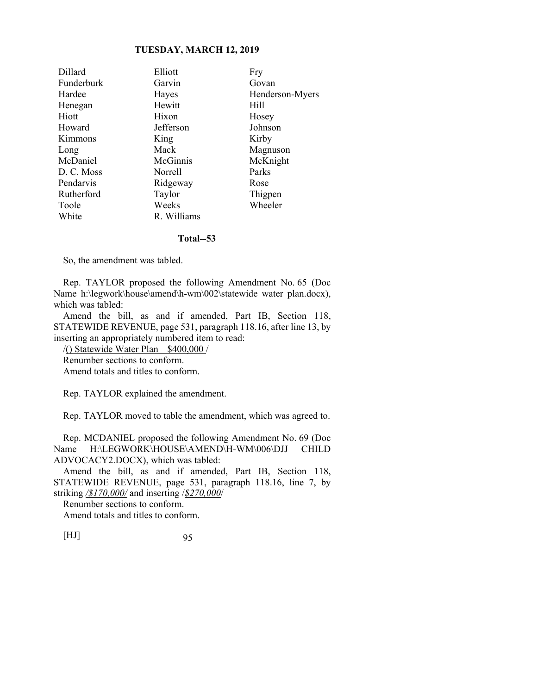| Dillard    | Elliott     | Fry             |
|------------|-------------|-----------------|
| Funderburk | Garvin      | Govan           |
| Hardee     | Hayes       | Henderson-Myers |
| Henegan    | Hewitt      | Hill            |
| Hiott      | Hixon       | Hosey           |
| Howard     | Jefferson   | Johnson         |
| Kimmons    | King        | Kirby           |
| Long       | Mack        | Magnuson        |
| McDaniel   | McGinnis    | McKnight        |
| D. C. Moss | Norrell     | Parks           |
| Pendarvis  | Ridgeway    | Rose            |
| Rutherford | Taylor      | Thigpen         |
| Toole      | Weeks       | Wheeler         |
| White      | R. Williams |                 |

#### **Total--53**

So, the amendment was tabled.

Rep. TAYLOR proposed the following Amendment No. 65 (Doc Name h:\legwork\house\amend\h-wm\002\statewide water plan.docx), which was tabled:

Amend the bill, as and if amended, Part IB, Section 118, STATEWIDE REVENUE, page 531, paragraph 118.16, after line 13, by inserting an appropriately numbered item to read:

/() Statewide Water Plan \$400,000 / Renumber sections to conform.

Amend totals and titles to conform.

Rep. TAYLOR explained the amendment.

Rep. TAYLOR moved to table the amendment, which was agreed to.

Rep. MCDANIEL proposed the following Amendment No. 69 (Doc Name H:\LEGWORK\HOUSE\AMEND\H-WM\006\DJJ CHILD ADVOCACY2.DOCX), which was tabled:

Amend the bill, as and if amended, Part IB, Section 118, STATEWIDE REVENUE, page 531, paragraph 118.16, line 7, by striking */\$170,000/* and inserting /*\$270,000*/

Renumber sections to conform.

Amend totals and titles to conform.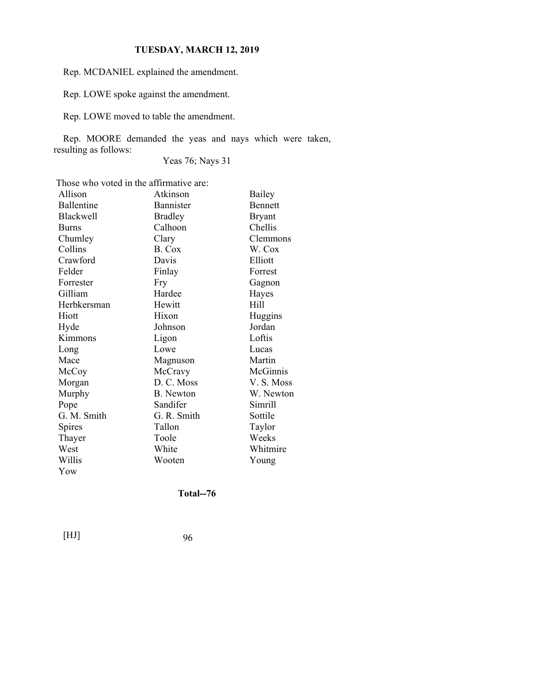Rep. MCDANIEL explained the amendment.

Rep. LOWE spoke against the amendment.

Rep. LOWE moved to table the amendment.

Rep. MOORE demanded the yeas and nays which were taken, resulting as follows:

Yeas 76; Nays 31

Those who voted in the affirmative are:

| Allison          | Atkinson         | Bailey         |
|------------------|------------------|----------------|
| Ballentine       | Bannister        | <b>Bennett</b> |
| <b>Blackwell</b> | <b>Bradley</b>   | <b>Bryant</b>  |
| <b>Burns</b>     | Calhoon          | Chellis        |
| Chumley          | Clary            | Clemmons       |
| Collins          | B. Cox           | W. Cox         |
| Crawford         | Davis            | Elliott        |
| Felder           | Finlay           | Forrest        |
| Forrester        | Fry              | Gagnon         |
| Gilliam          | Hardee           | Hayes          |
| Herbkersman      | Hewitt           | Hill           |
| Hiott            | Hixon            | Huggins        |
| Hyde             | Johnson          | Jordan         |
| Kimmons          | Ligon            | Loftis         |
| Long             | Lowe             | Lucas          |
| Mace             | Magnuson         | Martin         |
| McCoy            | McCravy          | McGinnis       |
| Morgan           | D. C. Moss       | V. S. Moss     |
| Murphy           | <b>B.</b> Newton | W. Newton      |
| Pope             | Sandifer         | Simrill        |
| G. M. Smith      | G. R. Smith      | Sottile        |
| Spires           | Tallon           | Taylor         |
| Thayer           | Toole            | Weeks          |
| West             | White            | Whitmire       |
| Willis           | Wooten           | Young          |
| Yow              |                  |                |

**Total--76**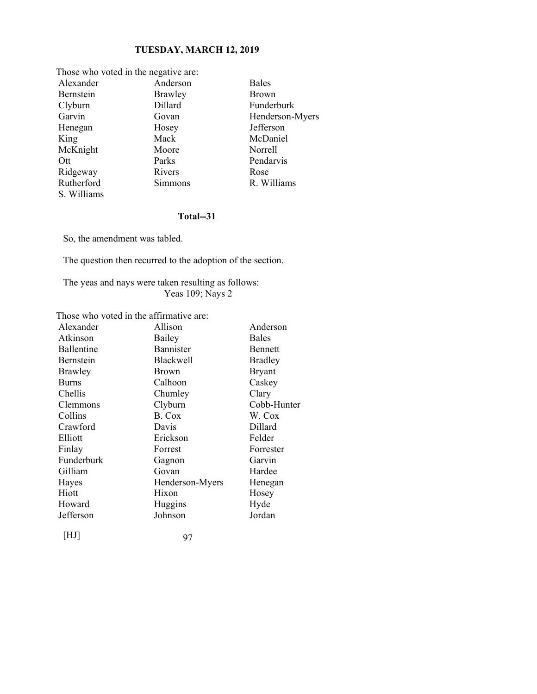| Those who voted in the negative are: |          |                 |
|--------------------------------------|----------|-----------------|
| Alexander                            | Anderson | <b>Bales</b>    |
| Bernstein                            | Brawley  | <b>Brown</b>    |
| Clyburn                              | Dillard  | Funderburk      |
| Garvin                               | Govan    | Henderson-Myers |
| Henegan                              | Hosey    | Jefferson       |
| King                                 | Mack     | McDaniel        |
| McKnight                             | Moore    | Norrell         |
| Ott                                  | Parks    | Pendarvis       |
| Ridgeway                             | Rivers   | Rose            |
| Rutherford                           | Simmons  | R. Williams     |
| S. Williams                          |          |                 |

# **Total--31**

So, the amendment was tabled.

The question then recurred to the adoption of the section.

The yeas and nays were taken resulting as follows: Yeas 109; Nays 2

Those who voted in the affirmative are:

| Alexander         | Allison          | Anderson       |
|-------------------|------------------|----------------|
| Atkinson          | Bailey           | <b>Bales</b>   |
| Ballentine        | Bannister        | Bennett        |
| Bernstein         | <b>Blackwell</b> | <b>Bradley</b> |
| Brawley           | <b>Brown</b>     | <b>Bryant</b>  |
| <b>Burns</b>      | Calhoon          | Caskey         |
| Chellis           | Chumley          | Clary          |
| Clemmons          | Clyburn          | Cobb-Hunter    |
| Collins           | B. Cox           | W. Cox         |
| Crawford          | Davis            | Dillard        |
| Elliott           | Erickson         | Felder         |
| Finlay            | Forrest          | Forrester      |
| <b>Funderburk</b> | Gagnon           | Garvin         |
| Gilliam           | Govan            | Hardee         |
| Hayes             | Henderson-Myers  | Henegan        |
| Hiott             | Hixon            | Hosey          |
| Howard            | Huggins          | Hyde           |
| Jefferson         | Johnson          | Jordan         |
| [HJ]              | 97               |                |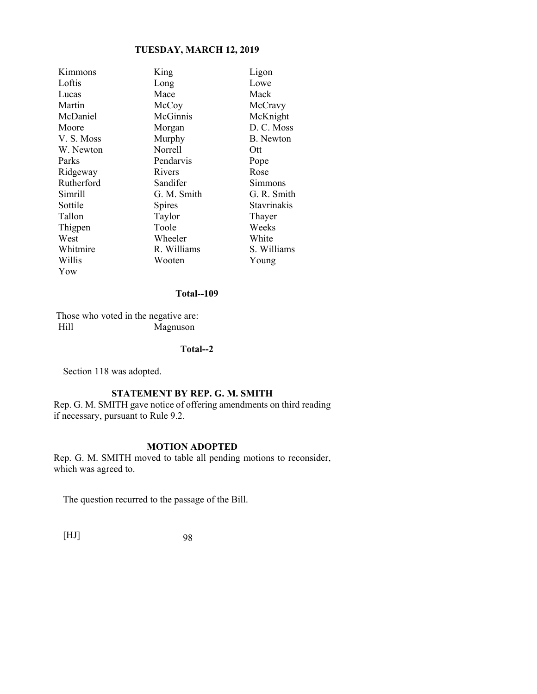| Kimmons    | King          | Ligon            |
|------------|---------------|------------------|
| Loftis     | Long          | Lowe             |
| Lucas      | Mace          | Mack             |
| Martin     | McCoy         | McCravy          |
| McDaniel   | McGinnis      | McKnight         |
| Moore      | Morgan        | D. C. Moss       |
| V. S. Moss | Murphy        | <b>B.</b> Newton |
| W. Newton  | Norrell       | Ott              |
| Parks      | Pendarvis     | Pope             |
| Ridgeway   | Rivers        | Rose             |
| Rutherford | Sandifer      | Simmons          |
| Simrill    | G. M. Smith   | G. R. Smith      |
| Sottile    | <b>Spires</b> | Stavrinakis      |
| Tallon     | Taylor        | Thayer           |
| Thigpen    | Toole         | Weeks            |
| West       | Wheeler       | White            |
| Whitmire   | R. Williams   | S. Williams      |
| Willis     | Wooten        | Young            |
| Yow        |               |                  |

#### **Total--109**

 Those who voted in the negative are: Hill Magnuson

# **Total--2**

Section 118 was adopted.

# **STATEMENT BY REP. G. M. SMITH**

Rep. G. M. SMITH gave notice of offering amendments on third reading if necessary, pursuant to Rule 9.2.

# **MOTION ADOPTED**

Rep. G. M. SMITH moved to table all pending motions to reconsider, which was agreed to.

The question recurred to the passage of the Bill.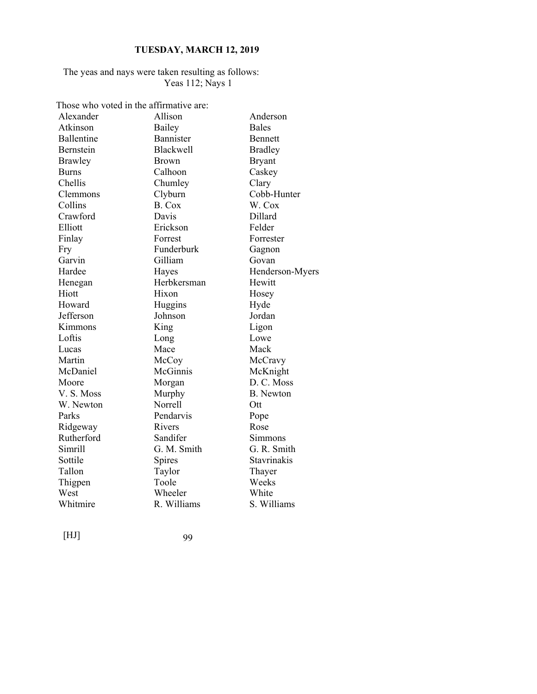# The yeas and nays were taken resulting as follows: Yeas 112; Nays 1

Those who voted in the affirmative are:

| Alexander    | Allison          | Anderson        |
|--------------|------------------|-----------------|
| Atkinson     | Bailey           | <b>Bales</b>    |
| Ballentine   | Bannister        | Bennett         |
| Bernstein    | <b>Blackwell</b> | <b>Bradley</b>  |
| Brawley      | <b>Brown</b>     | <b>Bryant</b>   |
| <b>Burns</b> | Calhoon          | Caskey          |
| Chellis      | Chumley          | Clary           |
| Clemmons     | Clyburn          | Cobb-Hunter     |
| Collins      | B. Cox           | W. Cox          |
| Crawford     | Davis            | Dillard         |
| Elliott      | Erickson         | Felder          |
| Finlay       | Forrest          | Forrester       |
| Fry          | Funderburk       | Gagnon          |
| Garvin       | Gilliam          | Govan           |
| Hardee       | Hayes            | Henderson-Myers |
| Henegan      | Herbkersman      | Hewitt          |
| Hiott        | Hixon            | Hosey           |
| Howard       | Huggins          | Hyde            |
| Jefferson    | Johnson          | Jordan          |
| Kimmons      | King             | Ligon           |
| Loftis       | Long             | Lowe            |
| Lucas        | Mace             | Mack            |
| Martin       | McCoy            | McCravy         |
| McDaniel     | McGinnis         | McKnight        |
| Moore        | Morgan           | D. C. Moss      |
| V.S. Moss    | Murphy           | B. Newton       |
| W. Newton    | Norrell          | Ott             |
| Parks        | Pendarvis        | Pope            |
| Ridgeway     | Rivers           | Rose            |
| Rutherford   | Sandifer         | Simmons         |
| Simrill      | G. M. Smith      | G. R. Smith     |
| Sottile      | Spires           | Stavrinakis     |
| Tallon       | Taylor           | Thayer          |
| Thigpen      | Toole            | Weeks           |
| West         | Wheeler          | White           |
| Whitmire     | R. Williams      | S. Williams     |
|              |                  |                 |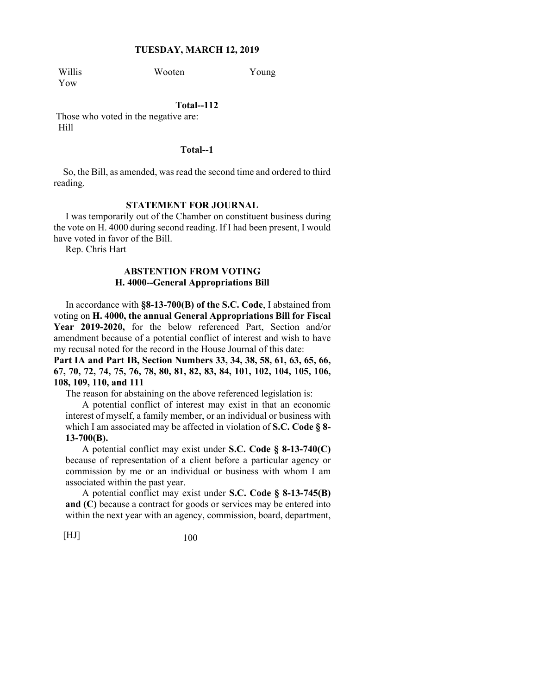Willis Wooten Young Yow

# **Total--112**

 Those who voted in the negative are: Hill

## **Total--1**

So, the Bill, as amended, was read the second time and ordered to third reading.

### **STATEMENT FOR JOURNAL**

 I was temporarily out of the Chamber on constituent business during the vote on H. 4000 during second reading. If I had been present, I would have voted in favor of the Bill.

Rep. Chris Hart

# **ABSTENTION FROM VOTING H. 4000--General Appropriations Bill**

 In accordance with **§8-13-700(B) of the S.C. Code**, I abstained from voting on **H. 4000, the annual General Appropriations Bill for Fiscal Year 2019-2020,** for the below referenced Part, Section and/or amendment because of a potential conflict of interest and wish to have my recusal noted for the record in the House Journal of this date:

**Part IA and Part IB, Section Numbers 33, 34, 38, 58, 61, 63, 65, 66, 67, 70, 72, 74, 75, 76, 78, 80, 81, 82, 83, 84, 101, 102, 104, 105, 106, 108, 109, 110, and 111**

The reason for abstaining on the above referenced legislation is:

 A potential conflict of interest may exist in that an economic interest of myself, a family member, or an individual or business with which I am associated may be affected in violation of **S.C. Code § 8- 13-700(B).**

 A potential conflict may exist under **S.C. Code § 8-13-740(C)** because of representation of a client before a particular agency or commission by me or an individual or business with whom I am associated within the past year.

 A potential conflict may exist under **S.C. Code § 8-13-745(B) and (C)** because a contract for goods or services may be entered into within the next year with an agency, commission, board, department,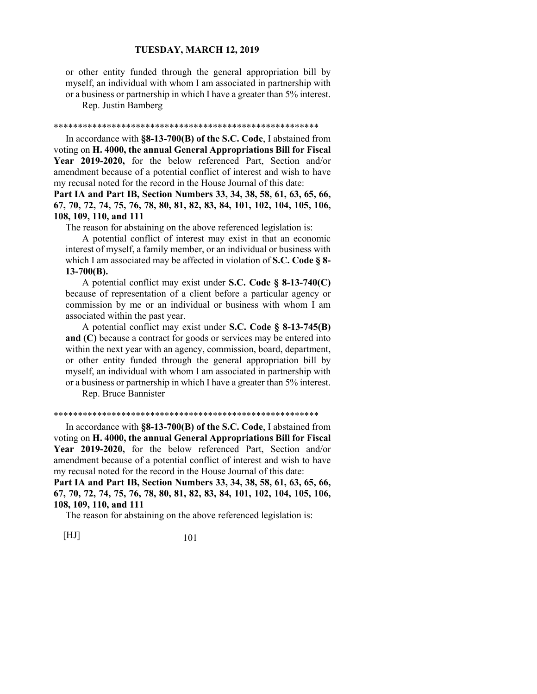or other entity funded through the general appropriation bill by myself, an individual with whom I am associated in partnership with or a business or partnership in which I have a greater than 5% interest.

Rep. Justin Bamberg

#### \*\*\*\*\*\*\*\*\*\*\*\*\*\*\*\*\*\*\*\*\*\*\*\*\*\*\*\*\*\*\*\*\*\*\*\*\*\*\*\*\*\*\*\*\*\*\*\*\*\*\*\*\*\*\*

 In accordance with **§8-13-700(B) of the S.C. Code**, I abstained from voting on **H. 4000, the annual General Appropriations Bill for Fiscal Year 2019-2020,** for the below referenced Part, Section and/or amendment because of a potential conflict of interest and wish to have my recusal noted for the record in the House Journal of this date:

**Part IA and Part IB, Section Numbers 33, 34, 38, 58, 61, 63, 65, 66, 67, 70, 72, 74, 75, 76, 78, 80, 81, 82, 83, 84, 101, 102, 104, 105, 106, 108, 109, 110, and 111**

The reason for abstaining on the above referenced legislation is:

 A potential conflict of interest may exist in that an economic interest of myself, a family member, or an individual or business with which I am associated may be affected in violation of **S.C. Code § 8- 13-700(B).**

 A potential conflict may exist under **S.C. Code § 8-13-740(C)** because of representation of a client before a particular agency or commission by me or an individual or business with whom I am associated within the past year.

 A potential conflict may exist under **S.C. Code § 8-13-745(B) and (C)** because a contract for goods or services may be entered into within the next year with an agency, commission, board, department, or other entity funded through the general appropriation bill by myself, an individual with whom I am associated in partnership with or a business or partnership in which I have a greater than 5% interest.

Rep. Bruce Bannister

#### \*\*\*\*\*\*\*\*\*\*\*\*\*\*\*\*\*\*\*\*\*\*\*\*\*\*\*\*\*\*\*\*\*\*\*\*\*\*\*\*\*\*\*\*\*\*\*\*\*\*\*\*\*\*\*

 In accordance with **§8-13-700(B) of the S.C. Code**, I abstained from voting on **H. 4000, the annual General Appropriations Bill for Fiscal Year 2019-2020,** for the below referenced Part, Section and/or amendment because of a potential conflict of interest and wish to have my recusal noted for the record in the House Journal of this date: **Part IA and Part IB, Section Numbers 33, 34, 38, 58, 61, 63, 65, 66,** 

**67, 70, 72, 74, 75, 76, 78, 80, 81, 82, 83, 84, 101, 102, 104, 105, 106, 108, 109, 110, and 111**

The reason for abstaining on the above referenced legislation is: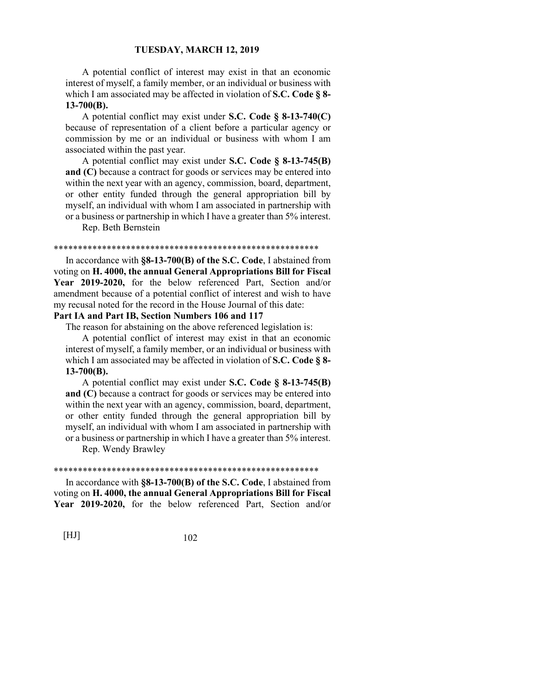A potential conflict of interest may exist in that an economic interest of myself, a family member, or an individual or business with which I am associated may be affected in violation of **S.C. Code § 8- 13-700(B).**

 A potential conflict may exist under **S.C. Code § 8-13-740(C)** because of representation of a client before a particular agency or commission by me or an individual or business with whom I am associated within the past year.

 A potential conflict may exist under **S.C. Code § 8-13-745(B) and (C)** because a contract for goods or services may be entered into within the next year with an agency, commission, board, department, or other entity funded through the general appropriation bill by myself, an individual with whom I am associated in partnership with or a business or partnership in which I have a greater than 5% interest.

Rep. Beth Bernstein

#### \*\*\*\*\*\*\*\*\*\*\*\*\*\*\*\*\*\*\*\*\*\*\*\*\*\*\*\*\*\*\*\*\*\*\*\*\*\*\*\*\*\*\*\*\*\*\*\*\*\*\*\*\*\*\*

 In accordance with **§8-13-700(B) of the S.C. Code**, I abstained from voting on **H. 4000, the annual General Appropriations Bill for Fiscal Year 2019-2020,** for the below referenced Part, Section and/or amendment because of a potential conflict of interest and wish to have my recusal noted for the record in the House Journal of this date:

# **Part IA and Part IB, Section Numbers 106 and 117**

The reason for abstaining on the above referenced legislation is:

 A potential conflict of interest may exist in that an economic interest of myself, a family member, or an individual or business with which I am associated may be affected in violation of **S.C. Code § 8- 13-700(B).**

 A potential conflict may exist under **S.C. Code § 8-13-745(B) and (C)** because a contract for goods or services may be entered into within the next year with an agency, commission, board, department, or other entity funded through the general appropriation bill by myself, an individual with whom I am associated in partnership with or a business or partnership in which I have a greater than 5% interest.

Rep. Wendy Brawley

#### \*\*\*\*\*\*\*\*\*\*\*\*\*\*\*\*\*\*\*\*\*\*\*\*\*\*\*\*\*\*\*\*\*\*\*\*\*\*\*\*\*\*\*\*\*\*\*\*\*\*\*\*\*\*\*

 In accordance with **§8-13-700(B) of the S.C. Code**, I abstained from voting on **H. 4000, the annual General Appropriations Bill for Fiscal Year 2019-2020,** for the below referenced Part, Section and/or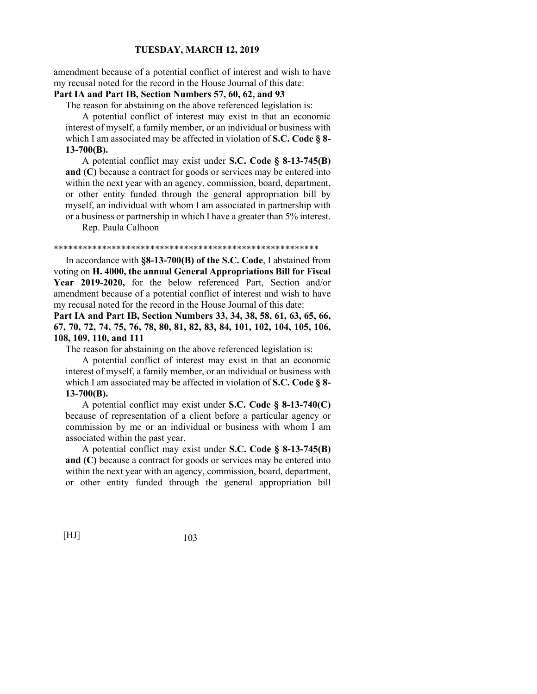amendment because of a potential conflict of interest and wish to have my recusal noted for the record in the House Journal of this date:

# **Part IA and Part IB, Section Numbers 57, 60, 62, and 93**

The reason for abstaining on the above referenced legislation is:

 A potential conflict of interest may exist in that an economic interest of myself, a family member, or an individual or business with which I am associated may be affected in violation of **S.C. Code § 8- 13-700(B).**

 A potential conflict may exist under **S.C. Code § 8-13-745(B) and (C)** because a contract for goods or services may be entered into within the next year with an agency, commission, board, department, or other entity funded through the general appropriation bill by myself, an individual with whom I am associated in partnership with or a business or partnership in which I have a greater than 5% interest.

Rep. Paula Calhoon

#### \*\*\*\*\*\*\*\*\*\*\*\*\*\*\*\*\*\*\*\*\*\*\*\*\*\*\*\*\*\*\*\*\*\*\*\*\*\*\*\*\*\*\*\*\*\*\*\*\*\*\*\*\*\*\*

 In accordance with **§8-13-700(B) of the S.C. Code**, I abstained from voting on **H. 4000, the annual General Appropriations Bill for Fiscal Year 2019-2020,** for the below referenced Part, Section and/or amendment because of a potential conflict of interest and wish to have my recusal noted for the record in the House Journal of this date:

**Part IA and Part IB, Section Numbers 33, 34, 38, 58, 61, 63, 65, 66, 67, 70, 72, 74, 75, 76, 78, 80, 81, 82, 83, 84, 101, 102, 104, 105, 106, 108, 109, 110, and 111**

The reason for abstaining on the above referenced legislation is:

 A potential conflict of interest may exist in that an economic interest of myself, a family member, or an individual or business with which I am associated may be affected in violation of **S.C. Code § 8- 13-700(B).**

 A potential conflict may exist under **S.C. Code § 8-13-740(C)** because of representation of a client before a particular agency or commission by me or an individual or business with whom I am associated within the past year.

 A potential conflict may exist under **S.C. Code § 8-13-745(B) and (C)** because a contract for goods or services may be entered into within the next year with an agency, commission, board, department, or other entity funded through the general appropriation bill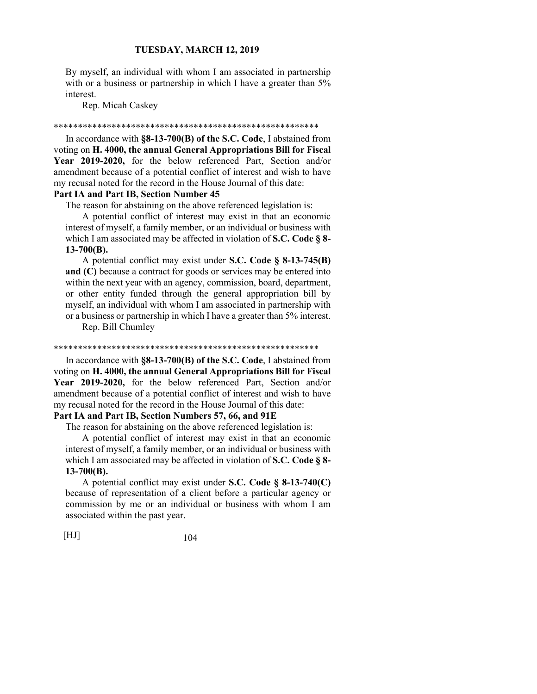By myself, an individual with whom I am associated in partnership with or a business or partnership in which I have a greater than  $5\%$ interest.

Rep. Micah Caskey

#### \*\*\*\*\*\*\*\*\*\*\*\*\*\*\*\*\*\*\*\*\*\*\*\*\*\*\*\*\*\*\*\*\*\*\*\*\*\*\*\*\*\*\*\*\*\*\*\*\*\*\*\*\*\*\*

 In accordance with **§8-13-700(B) of the S.C. Code**, I abstained from voting on **H. 4000, the annual General Appropriations Bill for Fiscal Year 2019-2020,** for the below referenced Part, Section and/or amendment because of a potential conflict of interest and wish to have my recusal noted for the record in the House Journal of this date:

# **Part IA and Part IB, Section Number 45**

The reason for abstaining on the above referenced legislation is:

 A potential conflict of interest may exist in that an economic interest of myself, a family member, or an individual or business with which I am associated may be affected in violation of **S.C. Code § 8- 13-700(B).**

 A potential conflict may exist under **S.C. Code § 8-13-745(B) and (C)** because a contract for goods or services may be entered into within the next year with an agency, commission, board, department, or other entity funded through the general appropriation bill by myself, an individual with whom I am associated in partnership with or a business or partnership in which I have a greater than 5% interest.

Rep. Bill Chumley

#### \*\*\*\*\*\*\*\*\*\*\*\*\*\*\*\*\*\*\*\*\*\*\*\*\*\*\*\*\*\*\*\*\*\*\*\*\*\*\*\*\*\*\*\*\*\*\*\*\*\*\*\*\*\*\*

 In accordance with **§8-13-700(B) of the S.C. Code**, I abstained from voting on **H. 4000, the annual General Appropriations Bill for Fiscal Year 2019-2020,** for the below referenced Part, Section and/or amendment because of a potential conflict of interest and wish to have my recusal noted for the record in the House Journal of this date:

# **Part IA and Part IB, Section Numbers 57, 66, and 91E**

The reason for abstaining on the above referenced legislation is:

 A potential conflict of interest may exist in that an economic interest of myself, a family member, or an individual or business with which I am associated may be affected in violation of **S.C. Code § 8- 13-700(B).**

 A potential conflict may exist under **S.C. Code § 8-13-740(C)** because of representation of a client before a particular agency or commission by me or an individual or business with whom I am associated within the past year.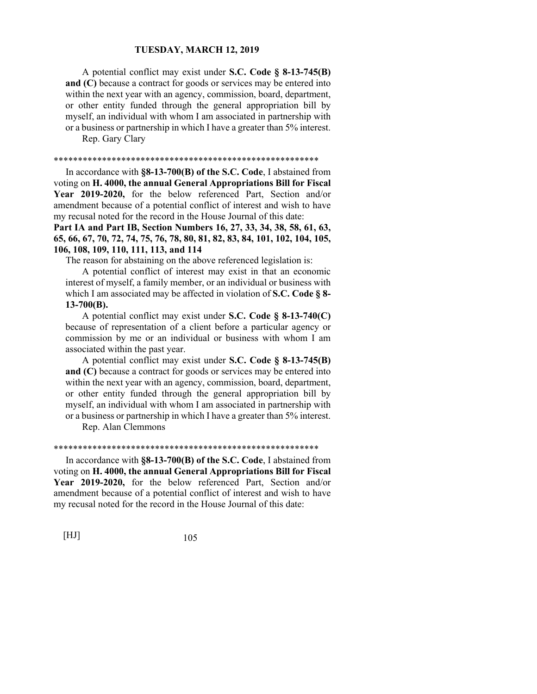A potential conflict may exist under **S.C. Code § 8-13-745(B) and (C)** because a contract for goods or services may be entered into within the next year with an agency, commission, board, department, or other entity funded through the general appropriation bill by myself, an individual with whom I am associated in partnership with or a business or partnership in which I have a greater than 5% interest.

Rep. Gary Clary

#### \*\*\*\*\*\*\*\*\*\*\*\*\*\*\*\*\*\*\*\*\*\*\*\*\*\*\*\*\*\*\*\*\*\*\*\*\*\*\*\*\*\*\*\*\*\*\*\*\*\*\*\*\*\*\*

 In accordance with **§8-13-700(B) of the S.C. Code**, I abstained from voting on **H. 4000, the annual General Appropriations Bill for Fiscal Year 2019-2020,** for the below referenced Part, Section and/or amendment because of a potential conflict of interest and wish to have my recusal noted for the record in the House Journal of this date:

**Part IA and Part IB, Section Numbers 16, 27, 33, 34, 38, 58, 61, 63, 65, 66, 67, 70, 72, 74, 75, 76, 78, 80, 81, 82, 83, 84, 101, 102, 104, 105, 106, 108, 109, 110, 111, 113, and 114**

The reason for abstaining on the above referenced legislation is:

 A potential conflict of interest may exist in that an economic interest of myself, a family member, or an individual or business with which I am associated may be affected in violation of **S.C. Code § 8- 13-700(B).**

 A potential conflict may exist under **S.C. Code § 8-13-740(C)** because of representation of a client before a particular agency or commission by me or an individual or business with whom I am associated within the past year.

 A potential conflict may exist under **S.C. Code § 8-13-745(B) and (C)** because a contract for goods or services may be entered into within the next year with an agency, commission, board, department, or other entity funded through the general appropriation bill by myself, an individual with whom I am associated in partnership with or a business or partnership in which I have a greater than 5% interest.

Rep. Alan Clemmons

#### \*\*\*\*\*\*\*\*\*\*\*\*\*\*\*\*\*\*\*\*\*\*\*\*\*\*\*\*\*\*\*\*\*\*\*\*\*\*\*\*\*\*\*\*\*\*\*\*\*\*\*\*\*\*\*

 In accordance with **§8-13-700(B) of the S.C. Code**, I abstained from voting on **H. 4000, the annual General Appropriations Bill for Fiscal Year 2019-2020,** for the below referenced Part, Section and/or amendment because of a potential conflict of interest and wish to have my recusal noted for the record in the House Journal of this date: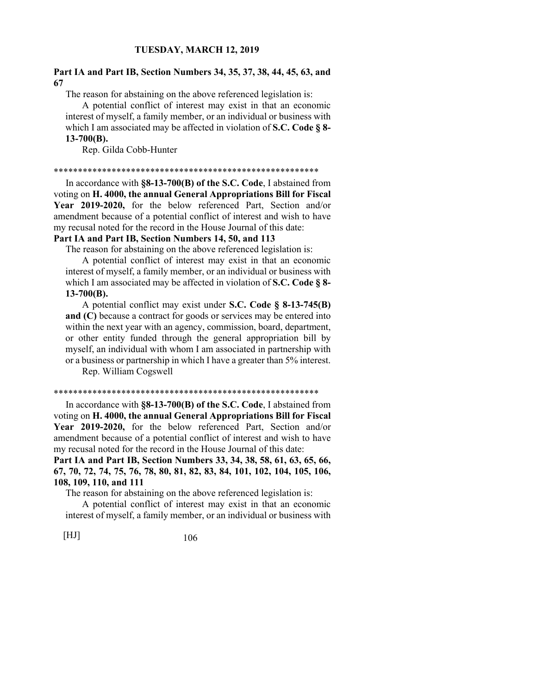# **Part IA and Part IB, Section Numbers 34, 35, 37, 38, 44, 45, 63, and 67**

The reason for abstaining on the above referenced legislation is:

 A potential conflict of interest may exist in that an economic interest of myself, a family member, or an individual or business with which I am associated may be affected in violation of **S.C. Code § 8- 13-700(B).**

Rep. Gilda Cobb-Hunter

#### \*\*\*\*\*\*\*\*\*\*\*\*\*\*\*\*\*\*\*\*\*\*\*\*\*\*\*\*\*\*\*\*\*\*\*\*\*\*\*\*\*\*\*\*\*\*\*\*\*\*\*\*\*\*\*

 In accordance with **§8-13-700(B) of the S.C. Code**, I abstained from voting on **H. 4000, the annual General Appropriations Bill for Fiscal Year 2019-2020,** for the below referenced Part, Section and/or amendment because of a potential conflict of interest and wish to have my recusal noted for the record in the House Journal of this date:

# **Part IA and Part IB, Section Numbers 14, 50, and 113**

The reason for abstaining on the above referenced legislation is:

 A potential conflict of interest may exist in that an economic interest of myself, a family member, or an individual or business with which I am associated may be affected in violation of **S.C. Code § 8- 13-700(B).**

 A potential conflict may exist under **S.C. Code § 8-13-745(B) and (C)** because a contract for goods or services may be entered into within the next year with an agency, commission, board, department, or other entity funded through the general appropriation bill by myself, an individual with whom I am associated in partnership with or a business or partnership in which I have a greater than 5% interest.

Rep. William Cogswell

#### \*\*\*\*\*\*\*\*\*\*\*\*\*\*\*\*\*\*\*\*\*\*\*\*\*\*\*\*\*\*\*\*\*\*\*\*\*\*\*\*\*\*\*\*\*\*\*\*\*\*\*\*\*\*\*

 In accordance with **§8-13-700(B) of the S.C. Code**, I abstained from voting on **H. 4000, the annual General Appropriations Bill for Fiscal Year 2019-2020,** for the below referenced Part, Section and/or amendment because of a potential conflict of interest and wish to have my recusal noted for the record in the House Journal of this date:

**Part IA and Part IB, Section Numbers 33, 34, 38, 58, 61, 63, 65, 66, 67, 70, 72, 74, 75, 76, 78, 80, 81, 82, 83, 84, 101, 102, 104, 105, 106, 108, 109, 110, and 111**

The reason for abstaining on the above referenced legislation is:

 A potential conflict of interest may exist in that an economic interest of myself, a family member, or an individual or business with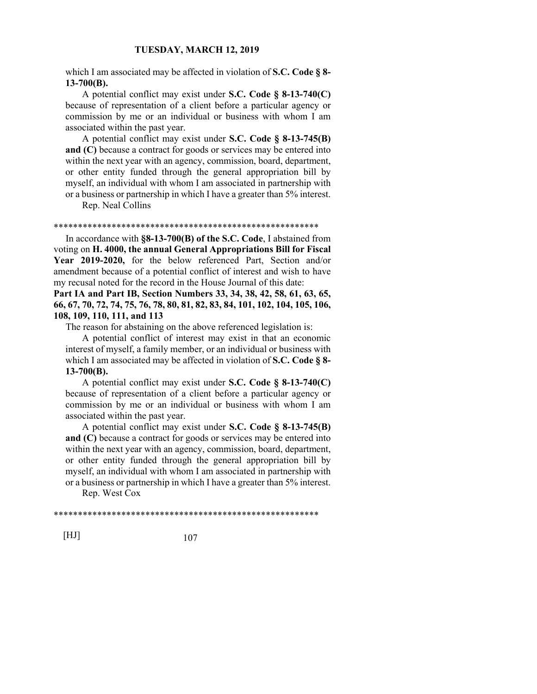which I am associated may be affected in violation of **S.C. Code § 8- 13-700(B).**

 A potential conflict may exist under **S.C. Code § 8-13-740(C)** because of representation of a client before a particular agency or commission by me or an individual or business with whom I am associated within the past year.

 A potential conflict may exist under **S.C. Code § 8-13-745(B) and (C)** because a contract for goods or services may be entered into within the next year with an agency, commission, board, department, or other entity funded through the general appropriation bill by myself, an individual with whom I am associated in partnership with or a business or partnership in which I have a greater than 5% interest.

Rep. Neal Collins

#### \*\*\*\*\*\*\*\*\*\*\*\*\*\*\*\*\*\*\*\*\*\*\*\*\*\*\*\*\*\*\*\*\*\*\*\*\*\*\*\*\*\*\*\*\*\*\*\*\*\*\*\*\*\*\*

 In accordance with **§8-13-700(B) of the S.C. Code**, I abstained from voting on **H. 4000, the annual General Appropriations Bill for Fiscal Year 2019-2020,** for the below referenced Part, Section and/or amendment because of a potential conflict of interest and wish to have my recusal noted for the record in the House Journal of this date:

**Part IA and Part IB, Section Numbers 33, 34, 38, 42, 58, 61, 63, 65, 66, 67, 70, 72, 74, 75, 76, 78, 80, 81, 82, 83, 84, 101, 102, 104, 105, 106, 108, 109, 110, 111, and 113**

The reason for abstaining on the above referenced legislation is:

 A potential conflict of interest may exist in that an economic interest of myself, a family member, or an individual or business with which I am associated may be affected in violation of **S.C. Code § 8- 13-700(B).**

 A potential conflict may exist under **S.C. Code § 8-13-740(C)** because of representation of a client before a particular agency or commission by me or an individual or business with whom I am associated within the past year.

 A potential conflict may exist under **S.C. Code § 8-13-745(B) and (C)** because a contract for goods or services may be entered into within the next year with an agency, commission, board, department, or other entity funded through the general appropriation bill by myself, an individual with whom I am associated in partnership with or a business or partnership in which I have a greater than 5% interest.

Rep. West Cox

\*\*\*\*\*\*\*\*\*\*\*\*\*\*\*\*\*\*\*\*\*\*\*\*\*\*\*\*\*\*\*\*\*\*\*\*\*\*\*\*\*\*\*\*\*\*\*\*\*\*\*\*\*\*\*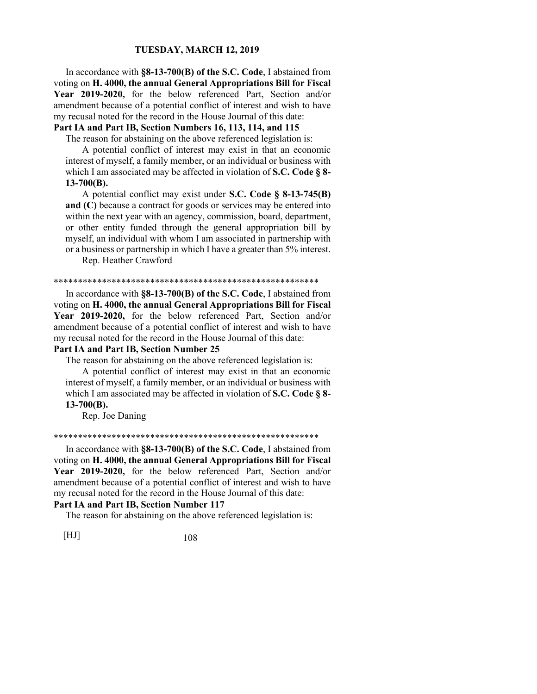In accordance with **§8-13-700(B) of the S.C. Code**, I abstained from voting on **H. 4000, the annual General Appropriations Bill for Fiscal Year 2019-2020,** for the below referenced Part, Section and/or amendment because of a potential conflict of interest and wish to have my recusal noted for the record in the House Journal of this date:

# **Part IA and Part IB, Section Numbers 16, 113, 114, and 115**

The reason for abstaining on the above referenced legislation is:

 A potential conflict of interest may exist in that an economic interest of myself, a family member, or an individual or business with which I am associated may be affected in violation of **S.C. Code § 8- 13-700(B).**

 A potential conflict may exist under **S.C. Code § 8-13-745(B) and (C)** because a contract for goods or services may be entered into within the next year with an agency, commission, board, department, or other entity funded through the general appropriation bill by myself, an individual with whom I am associated in partnership with or a business or partnership in which I have a greater than 5% interest.

Rep. Heather Crawford

#### \*\*\*\*\*\*\*\*\*\*\*\*\*\*\*\*\*\*\*\*\*\*\*\*\*\*\*\*\*\*\*\*\*\*\*\*\*\*\*\*\*\*\*\*\*\*\*\*\*\*\*\*\*\*\*

 In accordance with **§8-13-700(B) of the S.C. Code**, I abstained from voting on **H. 4000, the annual General Appropriations Bill for Fiscal Year 2019-2020,** for the below referenced Part, Section and/or amendment because of a potential conflict of interest and wish to have my recusal noted for the record in the House Journal of this date:

## **Part IA and Part IB, Section Number 25**

The reason for abstaining on the above referenced legislation is:

 A potential conflict of interest may exist in that an economic interest of myself, a family member, or an individual or business with which I am associated may be affected in violation of **S.C. Code § 8- 13-700(B).**

Rep. Joe Daning

#### \*\*\*\*\*\*\*\*\*\*\*\*\*\*\*\*\*\*\*\*\*\*\*\*\*\*\*\*\*\*\*\*\*\*\*\*\*\*\*\*\*\*\*\*\*\*\*\*\*\*\*\*\*\*\*

 In accordance with **§8-13-700(B) of the S.C. Code**, I abstained from voting on **H. 4000, the annual General Appropriations Bill for Fiscal Year 2019-2020,** for the below referenced Part, Section and/or amendment because of a potential conflict of interest and wish to have my recusal noted for the record in the House Journal of this date:

## **Part IA and Part IB, Section Number 117**

The reason for abstaining on the above referenced legislation is: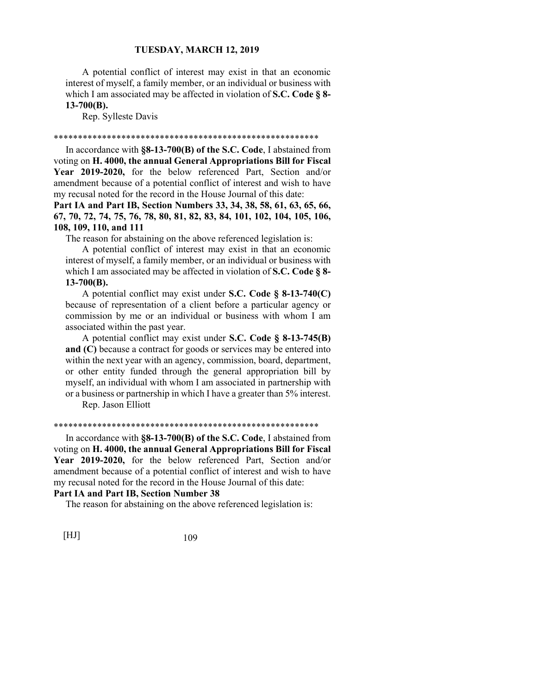A potential conflict of interest may exist in that an economic interest of myself, a family member, or an individual or business with which I am associated may be affected in violation of **S.C. Code § 8- 13-700(B).**

Rep. Sylleste Davis

#### \*\*\*\*\*\*\*\*\*\*\*\*\*\*\*\*\*\*\*\*\*\*\*\*\*\*\*\*\*\*\*\*\*\*\*\*\*\*\*\*\*\*\*\*\*\*\*\*\*\*\*\*\*\*\*

 In accordance with **§8-13-700(B) of the S.C. Code**, I abstained from voting on **H. 4000, the annual General Appropriations Bill for Fiscal Year 2019-2020,** for the below referenced Part, Section and/or amendment because of a potential conflict of interest and wish to have my recusal noted for the record in the House Journal of this date:

**Part IA and Part IB, Section Numbers 33, 34, 38, 58, 61, 63, 65, 66, 67, 70, 72, 74, 75, 76, 78, 80, 81, 82, 83, 84, 101, 102, 104, 105, 106, 108, 109, 110, and 111**

The reason for abstaining on the above referenced legislation is:

 A potential conflict of interest may exist in that an economic interest of myself, a family member, or an individual or business with which I am associated may be affected in violation of **S.C. Code § 8- 13-700(B).**

 A potential conflict may exist under **S.C. Code § 8-13-740(C)** because of representation of a client before a particular agency or commission by me or an individual or business with whom I am associated within the past year.

 A potential conflict may exist under **S.C. Code § 8-13-745(B) and (C)** because a contract for goods or services may be entered into within the next year with an agency, commission, board, department, or other entity funded through the general appropriation bill by myself, an individual with whom I am associated in partnership with or a business or partnership in which I have a greater than 5% interest.

Rep. Jason Elliott

#### \*\*\*\*\*\*\*\*\*\*\*\*\*\*\*\*\*\*\*\*\*\*\*\*\*\*\*\*\*\*\*\*\*\*\*\*\*\*\*\*\*\*\*\*\*\*\*\*\*\*\*\*\*\*\*

 In accordance with **§8-13-700(B) of the S.C. Code**, I abstained from voting on **H. 4000, the annual General Appropriations Bill for Fiscal Year 2019-2020,** for the below referenced Part, Section and/or amendment because of a potential conflict of interest and wish to have my recusal noted for the record in the House Journal of this date:

# **Part IA and Part IB, Section Number 38**

The reason for abstaining on the above referenced legislation is: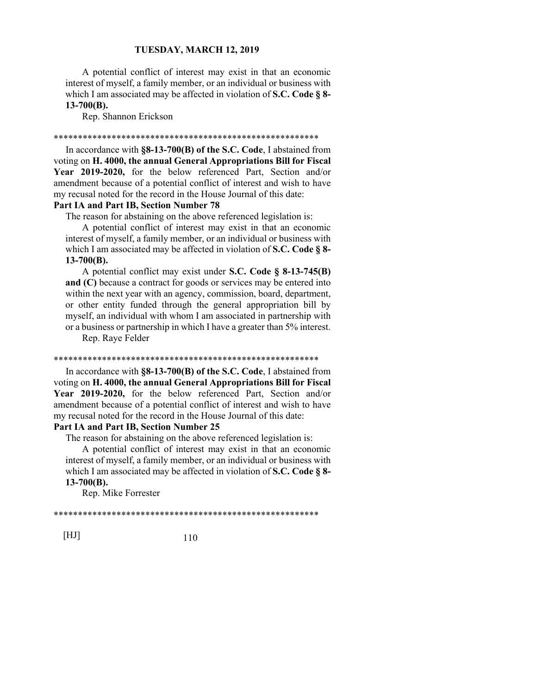A potential conflict of interest may exist in that an economic interest of myself, a family member, or an individual or business with which I am associated may be affected in violation of **S.C. Code § 8- 13-700(B).**

Rep. Shannon Erickson

#### \*\*\*\*\*\*\*\*\*\*\*\*\*\*\*\*\*\*\*\*\*\*\*\*\*\*\*\*\*\*\*\*\*\*\*\*\*\*\*\*\*\*\*\*\*\*\*\*\*\*\*\*\*\*\*

 In accordance with **§8-13-700(B) of the S.C. Code**, I abstained from voting on **H. 4000, the annual General Appropriations Bill for Fiscal Year 2019-2020,** for the below referenced Part, Section and/or amendment because of a potential conflict of interest and wish to have my recusal noted for the record in the House Journal of this date:

# **Part IA and Part IB, Section Number 78**

The reason for abstaining on the above referenced legislation is:

 A potential conflict of interest may exist in that an economic interest of myself, a family member, or an individual or business with which I am associated may be affected in violation of **S.C. Code § 8- 13-700(B).**

 A potential conflict may exist under **S.C. Code § 8-13-745(B) and (C)** because a contract for goods or services may be entered into within the next year with an agency, commission, board, department, or other entity funded through the general appropriation bill by myself, an individual with whom I am associated in partnership with or a business or partnership in which I have a greater than 5% interest.

Rep. Raye Felder

#### \*\*\*\*\*\*\*\*\*\*\*\*\*\*\*\*\*\*\*\*\*\*\*\*\*\*\*\*\*\*\*\*\*\*\*\*\*\*\*\*\*\*\*\*\*\*\*\*\*\*\*\*\*\*\*

 In accordance with **§8-13-700(B) of the S.C. Code**, I abstained from voting on **H. 4000, the annual General Appropriations Bill for Fiscal Year 2019-2020,** for the below referenced Part, Section and/or amendment because of a potential conflict of interest and wish to have my recusal noted for the record in the House Journal of this date:

# **Part IA and Part IB, Section Number 25**

The reason for abstaining on the above referenced legislation is:

 A potential conflict of interest may exist in that an economic interest of myself, a family member, or an individual or business with which I am associated may be affected in violation of **S.C. Code § 8- 13-700(B).**

Rep. Mike Forrester

\*\*\*\*\*\*\*\*\*\*\*\*\*\*\*\*\*\*\*\*\*\*\*\*\*\*\*\*\*\*\*\*\*\*\*\*\*\*\*\*\*\*\*\*\*\*\*\*\*\*\*\*\*\*\*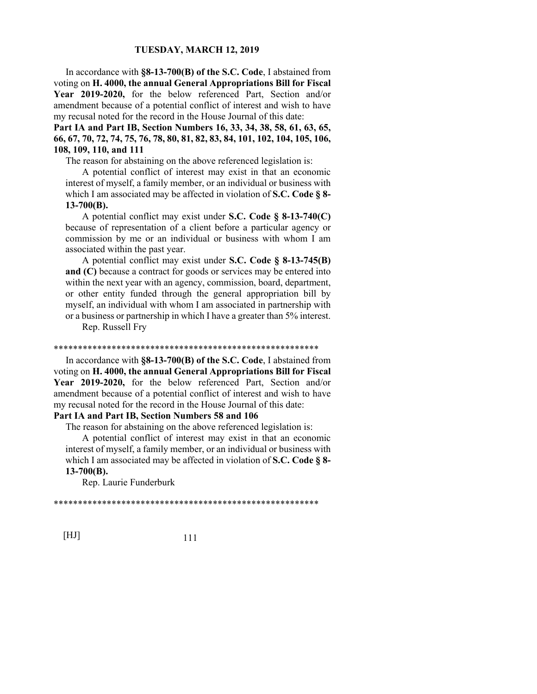In accordance with **§8-13-700(B) of the S.C. Code**, I abstained from voting on **H. 4000, the annual General Appropriations Bill for Fiscal Year 2019-2020,** for the below referenced Part, Section and/or amendment because of a potential conflict of interest and wish to have my recusal noted for the record in the House Journal of this date:

**Part IA and Part IB, Section Numbers 16, 33, 34, 38, 58, 61, 63, 65, 66, 67, 70, 72, 74, 75, 76, 78, 80, 81, 82, 83, 84, 101, 102, 104, 105, 106, 108, 109, 110, and 111**

The reason for abstaining on the above referenced legislation is:

 A potential conflict of interest may exist in that an economic interest of myself, a family member, or an individual or business with which I am associated may be affected in violation of **S.C. Code § 8- 13-700(B).**

 A potential conflict may exist under **S.C. Code § 8-13-740(C)** because of representation of a client before a particular agency or commission by me or an individual or business with whom I am associated within the past year.

 A potential conflict may exist under **S.C. Code § 8-13-745(B) and (C)** because a contract for goods or services may be entered into within the next year with an agency, commission, board, department, or other entity funded through the general appropriation bill by myself, an individual with whom I am associated in partnership with or a business or partnership in which I have a greater than 5% interest.

Rep. Russell Fry

#### \*\*\*\*\*\*\*\*\*\*\*\*\*\*\*\*\*\*\*\*\*\*\*\*\*\*\*\*\*\*\*\*\*\*\*\*\*\*\*\*\*\*\*\*\*\*\*\*\*\*\*\*\*\*\*

 In accordance with **§8-13-700(B) of the S.C. Code**, I abstained from voting on **H. 4000, the annual General Appropriations Bill for Fiscal Year 2019-2020,** for the below referenced Part, Section and/or amendment because of a potential conflict of interest and wish to have my recusal noted for the record in the House Journal of this date:

# **Part IA and Part IB, Section Numbers 58 and 106**

The reason for abstaining on the above referenced legislation is:

 A potential conflict of interest may exist in that an economic interest of myself, a family member, or an individual or business with which I am associated may be affected in violation of **S.C. Code § 8- 13-700(B).**

Rep. Laurie Funderburk

\*\*\*\*\*\*\*\*\*\*\*\*\*\*\*\*\*\*\*\*\*\*\*\*\*\*\*\*\*\*\*\*\*\*\*\*\*\*\*\*\*\*\*\*\*\*\*\*\*\*\*\*\*\*\*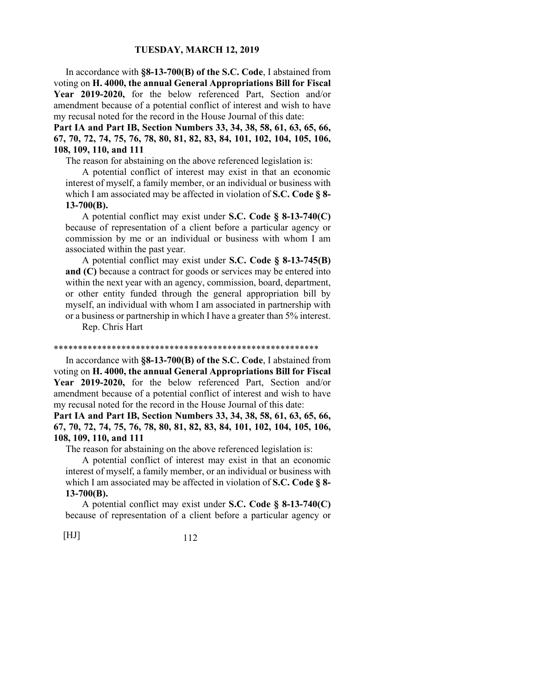In accordance with **§8-13-700(B) of the S.C. Code**, I abstained from voting on **H. 4000, the annual General Appropriations Bill for Fiscal Year 2019-2020,** for the below referenced Part, Section and/or amendment because of a potential conflict of interest and wish to have my recusal noted for the record in the House Journal of this date:

**Part IA and Part IB, Section Numbers 33, 34, 38, 58, 61, 63, 65, 66, 67, 70, 72, 74, 75, 76, 78, 80, 81, 82, 83, 84, 101, 102, 104, 105, 106, 108, 109, 110, and 111**

The reason for abstaining on the above referenced legislation is:

 A potential conflict of interest may exist in that an economic interest of myself, a family member, or an individual or business with which I am associated may be affected in violation of **S.C. Code § 8- 13-700(B).**

 A potential conflict may exist under **S.C. Code § 8-13-740(C)** because of representation of a client before a particular agency or commission by me or an individual or business with whom I am associated within the past year.

 A potential conflict may exist under **S.C. Code § 8-13-745(B) and (C)** because a contract for goods or services may be entered into within the next year with an agency, commission, board, department, or other entity funded through the general appropriation bill by myself, an individual with whom I am associated in partnership with or a business or partnership in which I have a greater than 5% interest.

Rep. Chris Hart

#### \*\*\*\*\*\*\*\*\*\*\*\*\*\*\*\*\*\*\*\*\*\*\*\*\*\*\*\*\*\*\*\*\*\*\*\*\*\*\*\*\*\*\*\*\*\*\*\*\*\*\*\*\*\*\*

 In accordance with **§8-13-700(B) of the S.C. Code**, I abstained from voting on **H. 4000, the annual General Appropriations Bill for Fiscal Year 2019-2020,** for the below referenced Part, Section and/or amendment because of a potential conflict of interest and wish to have my recusal noted for the record in the House Journal of this date:

**Part IA and Part IB, Section Numbers 33, 34, 38, 58, 61, 63, 65, 66, 67, 70, 72, 74, 75, 76, 78, 80, 81, 82, 83, 84, 101, 102, 104, 105, 106, 108, 109, 110, and 111**

The reason for abstaining on the above referenced legislation is:

 A potential conflict of interest may exist in that an economic interest of myself, a family member, or an individual or business with which I am associated may be affected in violation of **S.C. Code § 8- 13-700(B).**

 A potential conflict may exist under **S.C. Code § 8-13-740(C)** because of representation of a client before a particular agency or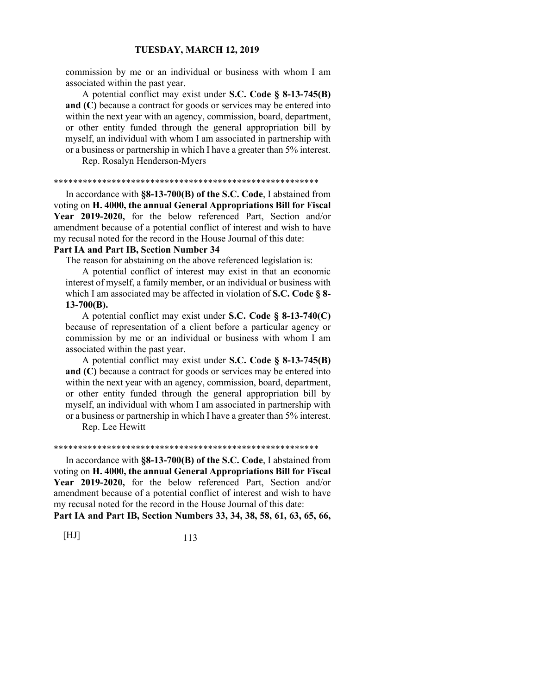commission by me or an individual or business with whom I am associated within the past year.

 A potential conflict may exist under **S.C. Code § 8-13-745(B) and (C)** because a contract for goods or services may be entered into within the next year with an agency, commission, board, department, or other entity funded through the general appropriation bill by myself, an individual with whom I am associated in partnership with or a business or partnership in which I have a greater than 5% interest.

Rep. Rosalyn Henderson-Myers

#### \*\*\*\*\*\*\*\*\*\*\*\*\*\*\*\*\*\*\*\*\*\*\*\*\*\*\*\*\*\*\*\*\*\*\*\*\*\*\*\*\*\*\*\*\*\*\*\*\*\*\*\*\*\*\*

 In accordance with **§8-13-700(B) of the S.C. Code**, I abstained from voting on **H. 4000, the annual General Appropriations Bill for Fiscal Year 2019-2020,** for the below referenced Part, Section and/or amendment because of a potential conflict of interest and wish to have my recusal noted for the record in the House Journal of this date:

# **Part IA and Part IB, Section Number 34**

The reason for abstaining on the above referenced legislation is:

 A potential conflict of interest may exist in that an economic interest of myself, a family member, or an individual or business with which I am associated may be affected in violation of **S.C. Code § 8- 13-700(B).**

 A potential conflict may exist under **S.C. Code § 8-13-740(C)** because of representation of a client before a particular agency or commission by me or an individual or business with whom I am associated within the past year.

 A potential conflict may exist under **S.C. Code § 8-13-745(B) and (C)** because a contract for goods or services may be entered into within the next year with an agency, commission, board, department, or other entity funded through the general appropriation bill by myself, an individual with whom I am associated in partnership with or a business or partnership in which I have a greater than 5% interest.

Rep. Lee Hewitt

#### \*\*\*\*\*\*\*\*\*\*\*\*\*\*\*\*\*\*\*\*\*\*\*\*\*\*\*\*\*\*\*\*\*\*\*\*\*\*\*\*\*\*\*\*\*\*\*\*\*\*\*\*\*\*\*

 In accordance with **§8-13-700(B) of the S.C. Code**, I abstained from voting on **H. 4000, the annual General Appropriations Bill for Fiscal Year 2019-2020,** for the below referenced Part, Section and/or amendment because of a potential conflict of interest and wish to have my recusal noted for the record in the House Journal of this date:

**Part IA and Part IB, Section Numbers 33, 34, 38, 58, 61, 63, 65, 66,**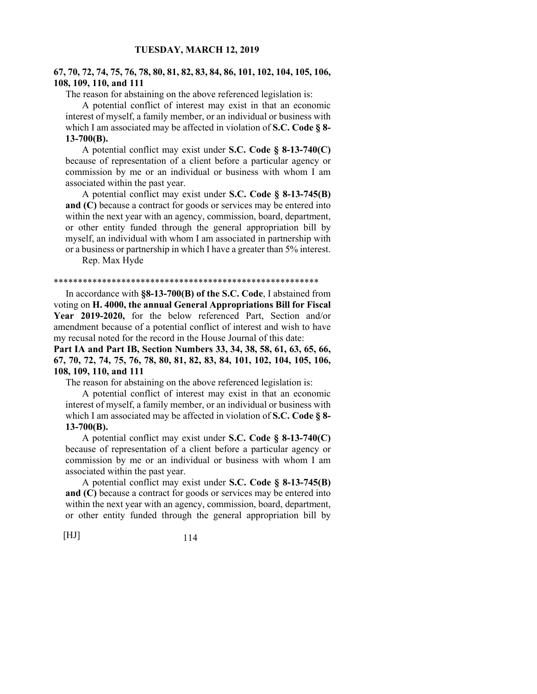# **67, 70, 72, 74, 75, 76, 78, 80, 81, 82, 83, 84, 86, 101, 102, 104, 105, 106, 108, 109, 110, and 111**

The reason for abstaining on the above referenced legislation is:

 A potential conflict of interest may exist in that an economic interest of myself, a family member, or an individual or business with which I am associated may be affected in violation of **S.C. Code § 8- 13-700(B).**

 A potential conflict may exist under **S.C. Code § 8-13-740(C)** because of representation of a client before a particular agency or commission by me or an individual or business with whom I am associated within the past year.

 A potential conflict may exist under **S.C. Code § 8-13-745(B) and (C)** because a contract for goods or services may be entered into within the next year with an agency, commission, board, department, or other entity funded through the general appropriation bill by myself, an individual with whom I am associated in partnership with or a business or partnership in which I have a greater than 5% interest.

Rep. Max Hyde

#### \*\*\*\*\*\*\*\*\*\*\*\*\*\*\*\*\*\*\*\*\*\*\*\*\*\*\*\*\*\*\*\*\*\*\*\*\*\*\*\*\*\*\*\*\*\*\*\*\*\*\*\*\*\*\*

 In accordance with **§8-13-700(B) of the S.C. Code**, I abstained from voting on **H. 4000, the annual General Appropriations Bill for Fiscal Year 2019-2020,** for the below referenced Part, Section and/or amendment because of a potential conflict of interest and wish to have my recusal noted for the record in the House Journal of this date:

**Part IA and Part IB, Section Numbers 33, 34, 38, 58, 61, 63, 65, 66, 67, 70, 72, 74, 75, 76, 78, 80, 81, 82, 83, 84, 101, 102, 104, 105, 106, 108, 109, 110, and 111**

The reason for abstaining on the above referenced legislation is:

 A potential conflict of interest may exist in that an economic interest of myself, a family member, or an individual or business with which I am associated may be affected in violation of **S.C. Code § 8- 13-700(B).**

 A potential conflict may exist under **S.C. Code § 8-13-740(C)** because of representation of a client before a particular agency or commission by me or an individual or business with whom I am associated within the past year.

 A potential conflict may exist under **S.C. Code § 8-13-745(B) and (C)** because a contract for goods or services may be entered into within the next year with an agency, commission, board, department, or other entity funded through the general appropriation bill by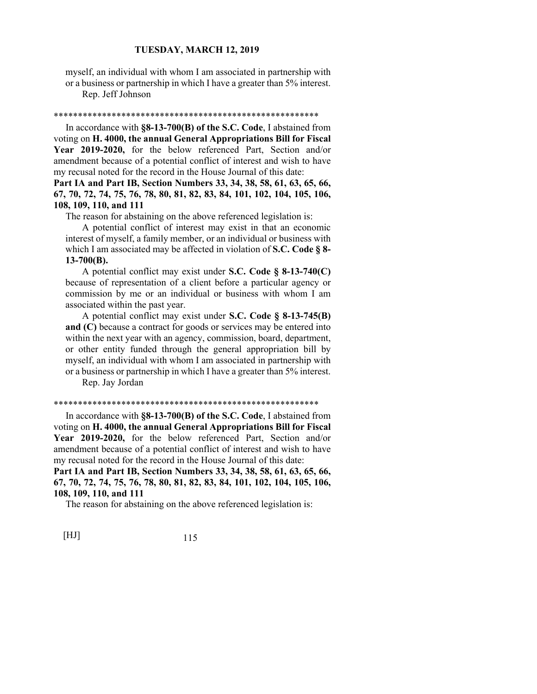myself, an individual with whom I am associated in partnership with or a business or partnership in which I have a greater than 5% interest.

Rep. Jeff Johnson

#### \*\*\*\*\*\*\*\*\*\*\*\*\*\*\*\*\*\*\*\*\*\*\*\*\*\*\*\*\*\*\*\*\*\*\*\*\*\*\*\*\*\*\*\*\*\*\*\*\*\*\*\*\*\*\*

 In accordance with **§8-13-700(B) of the S.C. Code**, I abstained from voting on **H. 4000, the annual General Appropriations Bill for Fiscal Year 2019-2020,** for the below referenced Part, Section and/or amendment because of a potential conflict of interest and wish to have my recusal noted for the record in the House Journal of this date:

**Part IA and Part IB, Section Numbers 33, 34, 38, 58, 61, 63, 65, 66, 67, 70, 72, 74, 75, 76, 78, 80, 81, 82, 83, 84, 101, 102, 104, 105, 106, 108, 109, 110, and 111**

The reason for abstaining on the above referenced legislation is:

 A potential conflict of interest may exist in that an economic interest of myself, a family member, or an individual or business with which I am associated may be affected in violation of **S.C. Code § 8- 13-700(B).**

# A potential conflict may exist under **S.C. Code § 8-13-740(C)** because of representation of a client before a particular agency or commission by me or an individual or business with whom I am associated within the past year.

 A potential conflict may exist under **S.C. Code § 8-13-745(B) and (C)** because a contract for goods or services may be entered into within the next year with an agency, commission, board, department, or other entity funded through the general appropriation bill by myself, an individual with whom I am associated in partnership with or a business or partnership in which I have a greater than 5% interest.

Rep. Jay Jordan

## \*\*\*\*\*\*\*\*\*\*\*\*\*\*\*\*\*\*\*\*\*\*\*\*\*\*\*\*\*\*\*\*\*\*\*\*\*\*\*\*\*\*\*\*\*\*\*\*\*\*\*\*\*\*\*

 In accordance with **§8-13-700(B) of the S.C. Code**, I abstained from voting on **H. 4000, the annual General Appropriations Bill for Fiscal Year 2019-2020,** for the below referenced Part, Section and/or amendment because of a potential conflict of interest and wish to have my recusal noted for the record in the House Journal of this date:

**Part IA and Part IB, Section Numbers 33, 34, 38, 58, 61, 63, 65, 66, 67, 70, 72, 74, 75, 76, 78, 80, 81, 82, 83, 84, 101, 102, 104, 105, 106, 108, 109, 110, and 111**

The reason for abstaining on the above referenced legislation is: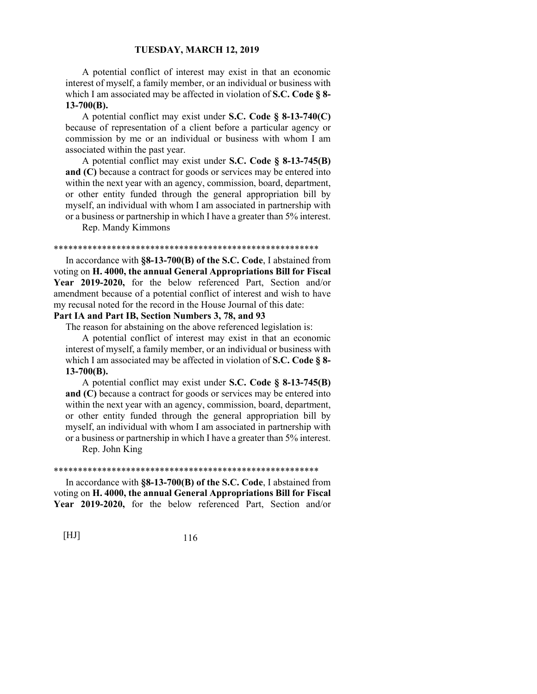A potential conflict of interest may exist in that an economic interest of myself, a family member, or an individual or business with which I am associated may be affected in violation of **S.C. Code § 8- 13-700(B).**

 A potential conflict may exist under **S.C. Code § 8-13-740(C)** because of representation of a client before a particular agency or commission by me or an individual or business with whom I am associated within the past year.

 A potential conflict may exist under **S.C. Code § 8-13-745(B) and (C)** because a contract for goods or services may be entered into within the next year with an agency, commission, board, department, or other entity funded through the general appropriation bill by myself, an individual with whom I am associated in partnership with or a business or partnership in which I have a greater than 5% interest.

Rep. Mandy Kimmons

#### \*\*\*\*\*\*\*\*\*\*\*\*\*\*\*\*\*\*\*\*\*\*\*\*\*\*\*\*\*\*\*\*\*\*\*\*\*\*\*\*\*\*\*\*\*\*\*\*\*\*\*\*\*\*\*

 In accordance with **§8-13-700(B) of the S.C. Code**, I abstained from voting on **H. 4000, the annual General Appropriations Bill for Fiscal Year 2019-2020,** for the below referenced Part, Section and/or amendment because of a potential conflict of interest and wish to have my recusal noted for the record in the House Journal of this date:

# **Part IA and Part IB, Section Numbers 3, 78, and 93**

The reason for abstaining on the above referenced legislation is:

 A potential conflict of interest may exist in that an economic interest of myself, a family member, or an individual or business with which I am associated may be affected in violation of **S.C. Code § 8- 13-700(B).**

 A potential conflict may exist under **S.C. Code § 8-13-745(B) and (C)** because a contract for goods or services may be entered into within the next year with an agency, commission, board, department, or other entity funded through the general appropriation bill by myself, an individual with whom I am associated in partnership with or a business or partnership in which I have a greater than 5% interest.

Rep. John King

#### \*\*\*\*\*\*\*\*\*\*\*\*\*\*\*\*\*\*\*\*\*\*\*\*\*\*\*\*\*\*\*\*\*\*\*\*\*\*\*\*\*\*\*\*\*\*\*\*\*\*\*\*\*\*\*

 In accordance with **§8-13-700(B) of the S.C. Code**, I abstained from voting on **H. 4000, the annual General Appropriations Bill for Fiscal Year 2019-2020,** for the below referenced Part, Section and/or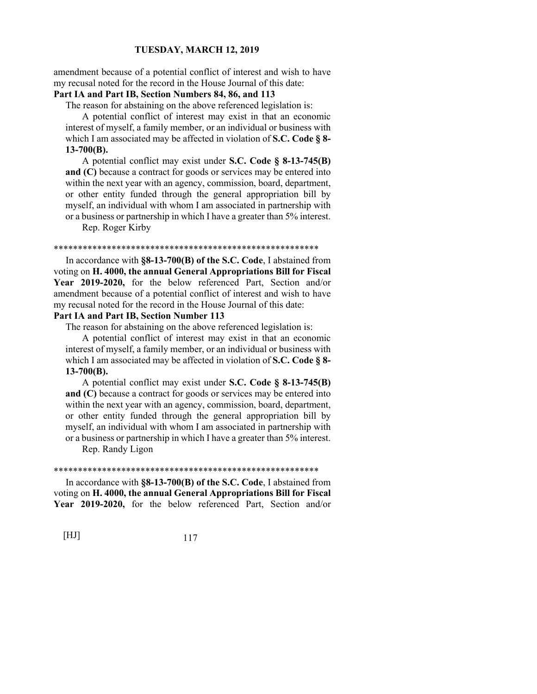amendment because of a potential conflict of interest and wish to have my recusal noted for the record in the House Journal of this date:

# **Part IA and Part IB, Section Numbers 84, 86, and 113**

The reason for abstaining on the above referenced legislation is:

 A potential conflict of interest may exist in that an economic interest of myself, a family member, or an individual or business with which I am associated may be affected in violation of **S.C. Code § 8- 13-700(B).**

 A potential conflict may exist under **S.C. Code § 8-13-745(B) and (C)** because a contract for goods or services may be entered into within the next year with an agency, commission, board, department, or other entity funded through the general appropriation bill by myself, an individual with whom I am associated in partnership with or a business or partnership in which I have a greater than 5% interest.

Rep. Roger Kirby

#### \*\*\*\*\*\*\*\*\*\*\*\*\*\*\*\*\*\*\*\*\*\*\*\*\*\*\*\*\*\*\*\*\*\*\*\*\*\*\*\*\*\*\*\*\*\*\*\*\*\*\*\*\*\*\*

 In accordance with **§8-13-700(B) of the S.C. Code**, I abstained from voting on **H. 4000, the annual General Appropriations Bill for Fiscal Year 2019-2020,** for the below referenced Part, Section and/or amendment because of a potential conflict of interest and wish to have my recusal noted for the record in the House Journal of this date:

# **Part IA and Part IB, Section Number 113**

The reason for abstaining on the above referenced legislation is:

 A potential conflict of interest may exist in that an economic interest of myself, a family member, or an individual or business with which I am associated may be affected in violation of **S.C. Code § 8- 13-700(B).**

 A potential conflict may exist under **S.C. Code § 8-13-745(B) and (C)** because a contract for goods or services may be entered into within the next year with an agency, commission, board, department, or other entity funded through the general appropriation bill by myself, an individual with whom I am associated in partnership with or a business or partnership in which I have a greater than 5% interest.

Rep. Randy Ligon

#### \*\*\*\*\*\*\*\*\*\*\*\*\*\*\*\*\*\*\*\*\*\*\*\*\*\*\*\*\*\*\*\*\*\*\*\*\*\*\*\*\*\*\*\*\*\*\*\*\*\*\*\*\*\*\*

 In accordance with **§8-13-700(B) of the S.C. Code**, I abstained from voting on **H. 4000, the annual General Appropriations Bill for Fiscal Year 2019-2020,** for the below referenced Part, Section and/or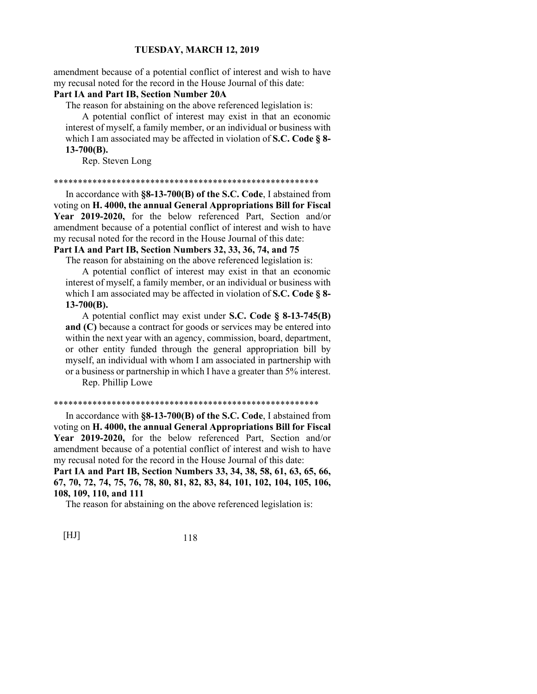amendment because of a potential conflict of interest and wish to have my recusal noted for the record in the House Journal of this date:

## **Part IA and Part IB, Section Number 20A**

The reason for abstaining on the above referenced legislation is:

 A potential conflict of interest may exist in that an economic interest of myself, a family member, or an individual or business with which I am associated may be affected in violation of **S.C. Code § 8- 13-700(B).**

Rep. Steven Long

#### \*\*\*\*\*\*\*\*\*\*\*\*\*\*\*\*\*\*\*\*\*\*\*\*\*\*\*\*\*\*\*\*\*\*\*\*\*\*\*\*\*\*\*\*\*\*\*\*\*\*\*\*\*\*\*

 In accordance with **§8-13-700(B) of the S.C. Code**, I abstained from voting on **H. 4000, the annual General Appropriations Bill for Fiscal Year 2019-2020,** for the below referenced Part, Section and/or amendment because of a potential conflict of interest and wish to have my recusal noted for the record in the House Journal of this date: **Part IA and Part IB, Section Numbers 32, 33, 36, 74, and 75**

The reason for abstaining on the above referenced legislation is:

 A potential conflict of interest may exist in that an economic interest of myself, a family member, or an individual or business with which I am associated may be affected in violation of **S.C. Code § 8- 13-700(B).**

 A potential conflict may exist under **S.C. Code § 8-13-745(B) and (C)** because a contract for goods or services may be entered into within the next year with an agency, commission, board, department, or other entity funded through the general appropriation bill by myself, an individual with whom I am associated in partnership with or a business or partnership in which I have a greater than 5% interest.

Rep. Phillip Lowe

## \*\*\*\*\*\*\*\*\*\*\*\*\*\*\*\*\*\*\*\*\*\*\*\*\*\*\*\*\*\*\*\*\*\*\*\*\*\*\*\*\*\*\*\*\*\*\*\*\*\*\*\*\*\*\*

 In accordance with **§8-13-700(B) of the S.C. Code**, I abstained from voting on **H. 4000, the annual General Appropriations Bill for Fiscal Year 2019-2020,** for the below referenced Part, Section and/or amendment because of a potential conflict of interest and wish to have my recusal noted for the record in the House Journal of this date:

**Part IA and Part IB, Section Numbers 33, 34, 38, 58, 61, 63, 65, 66, 67, 70, 72, 74, 75, 76, 78, 80, 81, 82, 83, 84, 101, 102, 104, 105, 106, 108, 109, 110, and 111**

The reason for abstaining on the above referenced legislation is: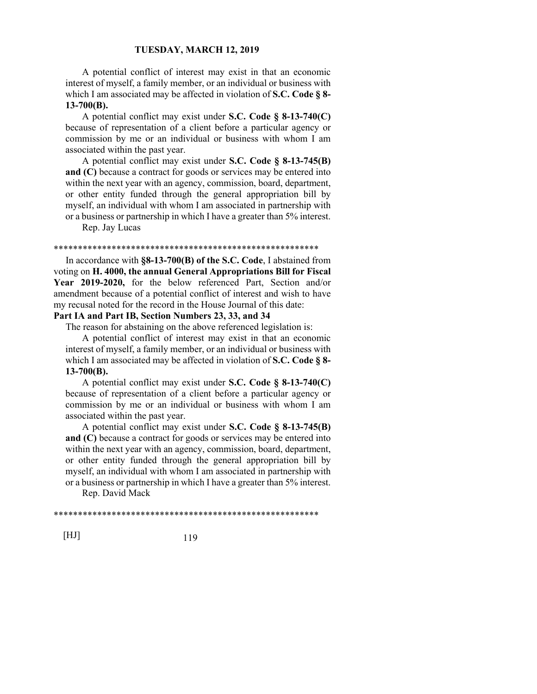A potential conflict of interest may exist in that an economic interest of myself, a family member, or an individual or business with which I am associated may be affected in violation of **S.C. Code § 8- 13-700(B).**

 A potential conflict may exist under **S.C. Code § 8-13-740(C)** because of representation of a client before a particular agency or commission by me or an individual or business with whom I am associated within the past year.

 A potential conflict may exist under **S.C. Code § 8-13-745(B) and (C)** because a contract for goods or services may be entered into within the next year with an agency, commission, board, department, or other entity funded through the general appropriation bill by myself, an individual with whom I am associated in partnership with or a business or partnership in which I have a greater than 5% interest.

Rep. Jay Lucas

#### \*\*\*\*\*\*\*\*\*\*\*\*\*\*\*\*\*\*\*\*\*\*\*\*\*\*\*\*\*\*\*\*\*\*\*\*\*\*\*\*\*\*\*\*\*\*\*\*\*\*\*\*\*\*\*

 In accordance with **§8-13-700(B) of the S.C. Code**, I abstained from voting on **H. 4000, the annual General Appropriations Bill for Fiscal Year 2019-2020,** for the below referenced Part, Section and/or amendment because of a potential conflict of interest and wish to have my recusal noted for the record in the House Journal of this date:

# **Part IA and Part IB, Section Numbers 23, 33, and 34**

The reason for abstaining on the above referenced legislation is:

 A potential conflict of interest may exist in that an economic interest of myself, a family member, or an individual or business with which I am associated may be affected in violation of **S.C. Code § 8- 13-700(B).**

 A potential conflict may exist under **S.C. Code § 8-13-740(C)** because of representation of a client before a particular agency or commission by me or an individual or business with whom I am associated within the past year.

 A potential conflict may exist under **S.C. Code § 8-13-745(B) and (C)** because a contract for goods or services may be entered into within the next year with an agency, commission, board, department, or other entity funded through the general appropriation bill by myself, an individual with whom I am associated in partnership with or a business or partnership in which I have a greater than 5% interest.

Rep. David Mack

\*\*\*\*\*\*\*\*\*\*\*\*\*\*\*\*\*\*\*\*\*\*\*\*\*\*\*\*\*\*\*\*\*\*\*\*\*\*\*\*\*\*\*\*\*\*\*\*\*\*\*\*\*\*\*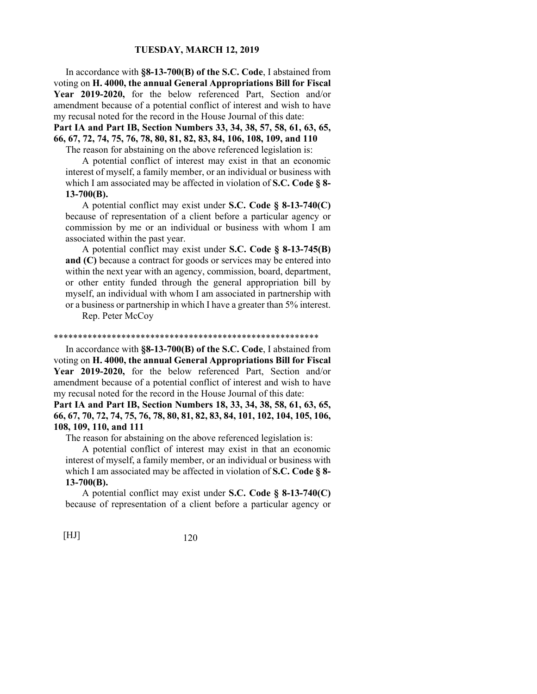In accordance with **§8-13-700(B) of the S.C. Code**, I abstained from voting on **H. 4000, the annual General Appropriations Bill for Fiscal Year 2019-2020,** for the below referenced Part, Section and/or amendment because of a potential conflict of interest and wish to have my recusal noted for the record in the House Journal of this date:

**Part IA and Part IB, Section Numbers 33, 34, 38, 57, 58, 61, 63, 65, 66, 67, 72, 74, 75, 76, 78, 80, 81, 82, 83, 84, 106, 108, 109, and 110**

The reason for abstaining on the above referenced legislation is:

 A potential conflict of interest may exist in that an economic interest of myself, a family member, or an individual or business with which I am associated may be affected in violation of **S.C. Code § 8- 13-700(B).**

 A potential conflict may exist under **S.C. Code § 8-13-740(C)** because of representation of a client before a particular agency or commission by me or an individual or business with whom I am associated within the past year.

 A potential conflict may exist under **S.C. Code § 8-13-745(B) and (C)** because a contract for goods or services may be entered into within the next year with an agency, commission, board, department, or other entity funded through the general appropriation bill by myself, an individual with whom I am associated in partnership with or a business or partnership in which I have a greater than 5% interest.

Rep. Peter McCoy

#### \*\*\*\*\*\*\*\*\*\*\*\*\*\*\*\*\*\*\*\*\*\*\*\*\*\*\*\*\*\*\*\*\*\*\*\*\*\*\*\*\*\*\*\*\*\*\*\*\*\*\*\*\*\*\*

 In accordance with **§8-13-700(B) of the S.C. Code**, I abstained from voting on **H. 4000, the annual General Appropriations Bill for Fiscal Year 2019-2020,** for the below referenced Part, Section and/or amendment because of a potential conflict of interest and wish to have my recusal noted for the record in the House Journal of this date:

**Part IA and Part IB, Section Numbers 18, 33, 34, 38, 58, 61, 63, 65, 66, 67, 70, 72, 74, 75, 76, 78, 80, 81, 82, 83, 84, 101, 102, 104, 105, 106, 108, 109, 110, and 111**

The reason for abstaining on the above referenced legislation is:

 A potential conflict of interest may exist in that an economic interest of myself, a family member, or an individual or business with which I am associated may be affected in violation of **S.C. Code § 8- 13-700(B).**

 A potential conflict may exist under **S.C. Code § 8-13-740(C)** because of representation of a client before a particular agency or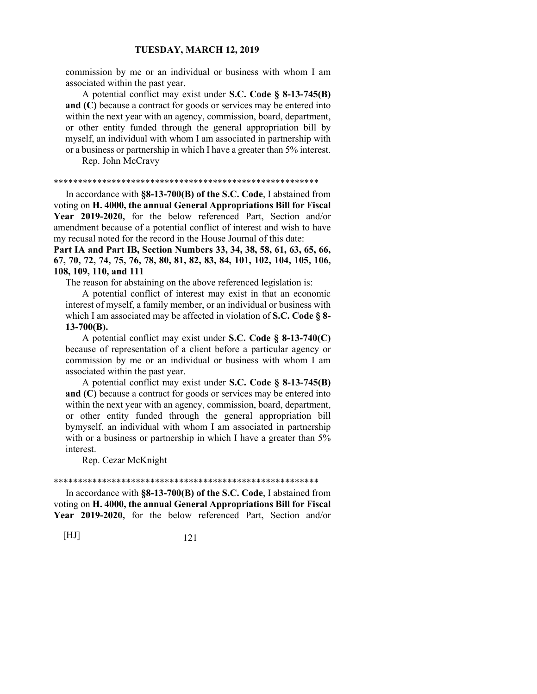commission by me or an individual or business with whom I am associated within the past year.

 A potential conflict may exist under **S.C. Code § 8-13-745(B) and (C)** because a contract for goods or services may be entered into within the next year with an agency, commission, board, department, or other entity funded through the general appropriation bill by myself, an individual with whom I am associated in partnership with or a business or partnership in which I have a greater than 5% interest. Rep. John McCravy

\*\*\*\*\*\*\*\*\*\*\*\*\*\*\*\*\*\*\*\*\*\*\*\*\*\*\*\*\*\*\*\*\*\*\*\*\*\*\*\*\*\*\*\*\*\*\*\*\*\*\*\*\*\*\*

 In accordance with **§8-13-700(B) of the S.C. Code**, I abstained from voting on **H. 4000, the annual General Appropriations Bill for Fiscal Year 2019-2020,** for the below referenced Part, Section and/or amendment because of a potential conflict of interest and wish to have my recusal noted for the record in the House Journal of this date:

**Part IA and Part IB, Section Numbers 33, 34, 38, 58, 61, 63, 65, 66, 67, 70, 72, 74, 75, 76, 78, 80, 81, 82, 83, 84, 101, 102, 104, 105, 106, 108, 109, 110, and 111**

The reason for abstaining on the above referenced legislation is:

 A potential conflict of interest may exist in that an economic interest of myself, a family member, or an individual or business with which I am associated may be affected in violation of **S.C. Code § 8- 13-700(B).**

 A potential conflict may exist under **S.C. Code § 8-13-740(C)** because of representation of a client before a particular agency or commission by me or an individual or business with whom I am associated within the past year.

 A potential conflict may exist under **S.C. Code § 8-13-745(B) and (C)** because a contract for goods or services may be entered into within the next year with an agency, commission, board, department, or other entity funded through the general appropriation bill bymyself, an individual with whom I am associated in partnership with or a business or partnership in which I have a greater than  $5\%$ interest.

Rep. Cezar McKnight

#### \*\*\*\*\*\*\*\*\*\*\*\*\*\*\*\*\*\*\*\*\*\*\*\*\*\*\*\*\*\*\*\*\*\*\*\*\*\*\*\*\*\*\*\*\*\*\*\*\*\*\*\*\*\*\*

 In accordance with **§8-13-700(B) of the S.C. Code**, I abstained from voting on **H. 4000, the annual General Appropriations Bill for Fiscal Year 2019-2020,** for the below referenced Part, Section and/or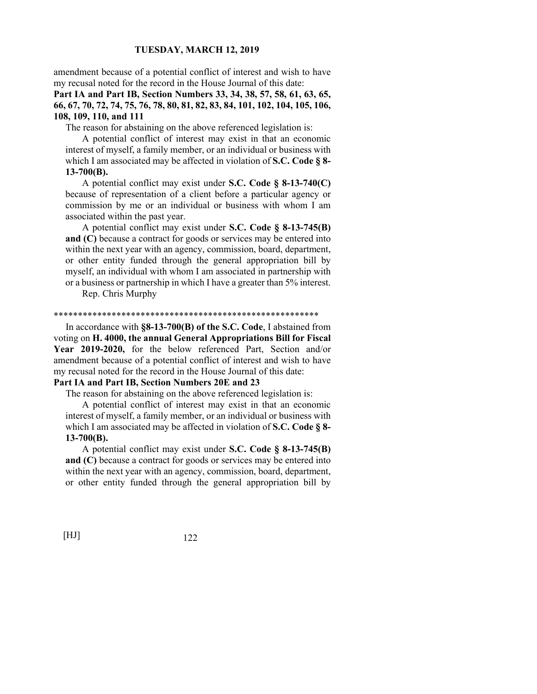amendment because of a potential conflict of interest and wish to have my recusal noted for the record in the House Journal of this date:

# **Part IA and Part IB, Section Numbers 33, 34, 38, 57, 58, 61, 63, 65, 66, 67, 70, 72, 74, 75, 76, 78, 80, 81, 82, 83, 84, 101, 102, 104, 105, 106, 108, 109, 110, and 111**

The reason for abstaining on the above referenced legislation is:

 A potential conflict of interest may exist in that an economic interest of myself, a family member, or an individual or business with which I am associated may be affected in violation of **S.C. Code § 8- 13-700(B).**

 A potential conflict may exist under **S.C. Code § 8-13-740(C)** because of representation of a client before a particular agency or commission by me or an individual or business with whom I am associated within the past year.

 A potential conflict may exist under **S.C. Code § 8-13-745(B) and (C)** because a contract for goods or services may be entered into within the next year with an agency, commission, board, department, or other entity funded through the general appropriation bill by myself, an individual with whom I am associated in partnership with or a business or partnership in which I have a greater than 5% interest.

Rep. Chris Murphy

#### \*\*\*\*\*\*\*\*\*\*\*\*\*\*\*\*\*\*\*\*\*\*\*\*\*\*\*\*\*\*\*\*\*\*\*\*\*\*\*\*\*\*\*\*\*\*\*\*\*\*\*\*\*\*\*

 In accordance with **§8-13-700(B) of the S.C. Code**, I abstained from voting on **H. 4000, the annual General Appropriations Bill for Fiscal Year 2019-2020,** for the below referenced Part, Section and/or amendment because of a potential conflict of interest and wish to have my recusal noted for the record in the House Journal of this date:

# **Part IA and Part IB, Section Numbers 20E and 23**

The reason for abstaining on the above referenced legislation is:

 A potential conflict of interest may exist in that an economic interest of myself, a family member, or an individual or business with which I am associated may be affected in violation of **S.C. Code § 8- 13-700(B).**

 A potential conflict may exist under **S.C. Code § 8-13-745(B) and (C)** because a contract for goods or services may be entered into within the next year with an agency, commission, board, department, or other entity funded through the general appropriation bill by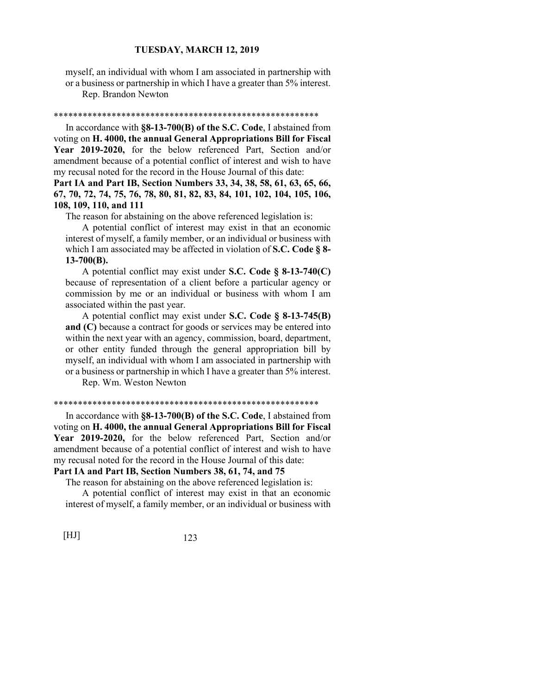myself, an individual with whom I am associated in partnership with or a business or partnership in which I have a greater than 5% interest.

Rep. Brandon Newton

### \*\*\*\*\*\*\*\*\*\*\*\*\*\*\*\*\*\*\*\*\*\*\*\*\*\*\*\*\*\*\*\*\*\*\*\*\*\*\*\*\*\*\*\*\*\*\*\*\*\*\*\*\*\*\*

 In accordance with **§8-13-700(B) of the S.C. Code**, I abstained from voting on **H. 4000, the annual General Appropriations Bill for Fiscal Year 2019-2020,** for the below referenced Part, Section and/or amendment because of a potential conflict of interest and wish to have my recusal noted for the record in the House Journal of this date:

# **Part IA and Part IB, Section Numbers 33, 34, 38, 58, 61, 63, 65, 66, 67, 70, 72, 74, 75, 76, 78, 80, 81, 82, 83, 84, 101, 102, 104, 105, 106, 108, 109, 110, and 111**

The reason for abstaining on the above referenced legislation is:

 A potential conflict of interest may exist in that an economic interest of myself, a family member, or an individual or business with which I am associated may be affected in violation of **S.C. Code § 8- 13-700(B).**

# A potential conflict may exist under **S.C. Code § 8-13-740(C)** because of representation of a client before a particular agency or commission by me or an individual or business with whom I am associated within the past year.

 A potential conflict may exist under **S.C. Code § 8-13-745(B) and (C)** because a contract for goods or services may be entered into within the next year with an agency, commission, board, department, or other entity funded through the general appropriation bill by myself, an individual with whom I am associated in partnership with or a business or partnership in which I have a greater than 5% interest.

Rep. Wm. Weston Newton

### \*\*\*\*\*\*\*\*\*\*\*\*\*\*\*\*\*\*\*\*\*\*\*\*\*\*\*\*\*\*\*\*\*\*\*\*\*\*\*\*\*\*\*\*\*\*\*\*\*\*\*\*\*\*\*

 In accordance with **§8-13-700(B) of the S.C. Code**, I abstained from voting on **H. 4000, the annual General Appropriations Bill for Fiscal Year 2019-2020,** for the below referenced Part, Section and/or amendment because of a potential conflict of interest and wish to have my recusal noted for the record in the House Journal of this date:

# **Part IA and Part IB, Section Numbers 38, 61, 74, and 75**

The reason for abstaining on the above referenced legislation is:

 A potential conflict of interest may exist in that an economic interest of myself, a family member, or an individual or business with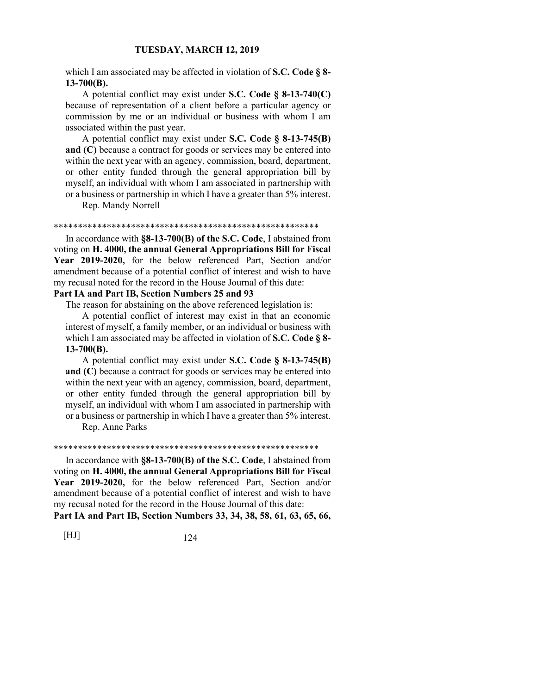which I am associated may be affected in violation of **S.C. Code § 8- 13-700(B).**

 A potential conflict may exist under **S.C. Code § 8-13-740(C)** because of representation of a client before a particular agency or commission by me or an individual or business with whom I am associated within the past year.

 A potential conflict may exist under **S.C. Code § 8-13-745(B) and (C)** because a contract for goods or services may be entered into within the next year with an agency, commission, board, department, or other entity funded through the general appropriation bill by myself, an individual with whom I am associated in partnership with or a business or partnership in which I have a greater than 5% interest.

Rep. Mandy Norrell

#### \*\*\*\*\*\*\*\*\*\*\*\*\*\*\*\*\*\*\*\*\*\*\*\*\*\*\*\*\*\*\*\*\*\*\*\*\*\*\*\*\*\*\*\*\*\*\*\*\*\*\*\*\*\*\*

 In accordance with **§8-13-700(B) of the S.C. Code**, I abstained from voting on **H. 4000, the annual General Appropriations Bill for Fiscal Year 2019-2020,** for the below referenced Part, Section and/or amendment because of a potential conflict of interest and wish to have my recusal noted for the record in the House Journal of this date:

# **Part IA and Part IB, Section Numbers 25 and 93**

The reason for abstaining on the above referenced legislation is:

 A potential conflict of interest may exist in that an economic interest of myself, a family member, or an individual or business with which I am associated may be affected in violation of **S.C. Code § 8- 13-700(B).**

 A potential conflict may exist under **S.C. Code § 8-13-745(B) and (C)** because a contract for goods or services may be entered into within the next year with an agency, commission, board, department, or other entity funded through the general appropriation bill by myself, an individual with whom I am associated in partnership with or a business or partnership in which I have a greater than 5% interest.

Rep. Anne Parks

#### \*\*\*\*\*\*\*\*\*\*\*\*\*\*\*\*\*\*\*\*\*\*\*\*\*\*\*\*\*\*\*\*\*\*\*\*\*\*\*\*\*\*\*\*\*\*\*\*\*\*\*\*\*\*\*

 In accordance with **§8-13-700(B) of the S.C. Code**, I abstained from voting on **H. 4000, the annual General Appropriations Bill for Fiscal Year 2019-2020,** for the below referenced Part, Section and/or amendment because of a potential conflict of interest and wish to have my recusal noted for the record in the House Journal of this date:

**Part IA and Part IB, Section Numbers 33, 34, 38, 58, 61, 63, 65, 66,**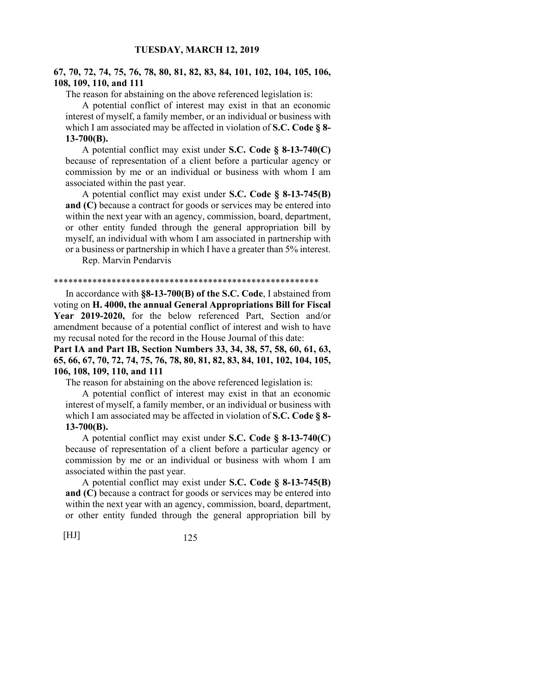# **67, 70, 72, 74, 75, 76, 78, 80, 81, 82, 83, 84, 101, 102, 104, 105, 106, 108, 109, 110, and 111**

The reason for abstaining on the above referenced legislation is:

 A potential conflict of interest may exist in that an economic interest of myself, a family member, or an individual or business with which I am associated may be affected in violation of **S.C. Code § 8- 13-700(B).**

 A potential conflict may exist under **S.C. Code § 8-13-740(C)** because of representation of a client before a particular agency or commission by me or an individual or business with whom I am associated within the past year.

 A potential conflict may exist under **S.C. Code § 8-13-745(B) and (C)** because a contract for goods or services may be entered into within the next year with an agency, commission, board, department, or other entity funded through the general appropriation bill by myself, an individual with whom I am associated in partnership with or a business or partnership in which I have a greater than 5% interest.

Rep. Marvin Pendarvis

#### \*\*\*\*\*\*\*\*\*\*\*\*\*\*\*\*\*\*\*\*\*\*\*\*\*\*\*\*\*\*\*\*\*\*\*\*\*\*\*\*\*\*\*\*\*\*\*\*\*\*\*\*\*\*\*

 In accordance with **§8-13-700(B) of the S.C. Code**, I abstained from voting on **H. 4000, the annual General Appropriations Bill for Fiscal Year 2019-2020,** for the below referenced Part, Section and/or amendment because of a potential conflict of interest and wish to have my recusal noted for the record in the House Journal of this date:

**Part IA and Part IB, Section Numbers 33, 34, 38, 57, 58, 60, 61, 63, 65, 66, 67, 70, 72, 74, 75, 76, 78, 80, 81, 82, 83, 84, 101, 102, 104, 105, 106, 108, 109, 110, and 111**

The reason for abstaining on the above referenced legislation is:

 A potential conflict of interest may exist in that an economic interest of myself, a family member, or an individual or business with which I am associated may be affected in violation of **S.C. Code § 8- 13-700(B).**

 A potential conflict may exist under **S.C. Code § 8-13-740(C)** because of representation of a client before a particular agency or commission by me or an individual or business with whom I am associated within the past year.

 A potential conflict may exist under **S.C. Code § 8-13-745(B) and (C)** because a contract for goods or services may be entered into within the next year with an agency, commission, board, department, or other entity funded through the general appropriation bill by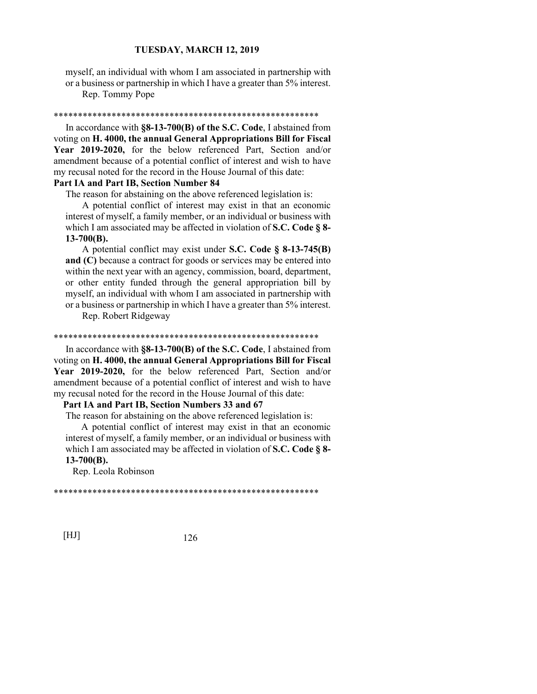myself, an individual with whom I am associated in partnership with or a business or partnership in which I have a greater than 5% interest.

Rep. Tommy Pope

### \*\*\*\*\*\*\*\*\*\*\*\*\*\*\*\*\*\*\*\*\*\*\*\*\*\*\*\*\*\*\*\*\*\*\*\*\*\*\*\*\*\*\*\*\*\*\*\*\*\*\*\*\*\*\*

 In accordance with **§8-13-700(B) of the S.C. Code**, I abstained from voting on **H. 4000, the annual General Appropriations Bill for Fiscal Year 2019-2020,** for the below referenced Part, Section and/or amendment because of a potential conflict of interest and wish to have my recusal noted for the record in the House Journal of this date:

# **Part IA and Part IB, Section Number 84**

The reason for abstaining on the above referenced legislation is:

 A potential conflict of interest may exist in that an economic interest of myself, a family member, or an individual or business with which I am associated may be affected in violation of **S.C. Code § 8- 13-700(B).**

 A potential conflict may exist under **S.C. Code § 8-13-745(B) and (C)** because a contract for goods or services may be entered into within the next year with an agency, commission, board, department, or other entity funded through the general appropriation bill by myself, an individual with whom I am associated in partnership with or a business or partnership in which I have a greater than 5% interest.

Rep. Robert Ridgeway

#### \*\*\*\*\*\*\*\*\*\*\*\*\*\*\*\*\*\*\*\*\*\*\*\*\*\*\*\*\*\*\*\*\*\*\*\*\*\*\*\*\*\*\*\*\*\*\*\*\*\*\*\*\*\*\*

 In accordance with **§8-13-700(B) of the S.C. Code**, I abstained from voting on **H. 4000, the annual General Appropriations Bill for Fiscal Year 2019-2020,** for the below referenced Part, Section and/or amendment because of a potential conflict of interest and wish to have my recusal noted for the record in the House Journal of this date:

## **Part IA and Part IB, Section Numbers 33 and 67**

The reason for abstaining on the above referenced legislation is:

 A potential conflict of interest may exist in that an economic interest of myself, a family member, or an individual or business with which I am associated may be affected in violation of **S.C. Code § 8- 13-700(B).**

Rep. Leola Robinson

\*\*\*\*\*\*\*\*\*\*\*\*\*\*\*\*\*\*\*\*\*\*\*\*\*\*\*\*\*\*\*\*\*\*\*\*\*\*\*\*\*\*\*\*\*\*\*\*\*\*\*\*\*\*\*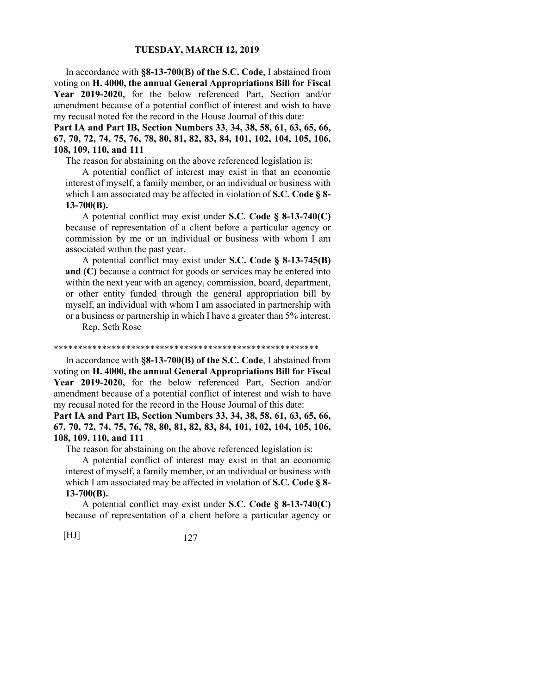In accordance with **§8-13-700(B) of the S.C. Code**, I abstained from voting on **H. 4000, the annual General Appropriations Bill for Fiscal Year 2019-2020,** for the below referenced Part, Section and/or amendment because of a potential conflict of interest and wish to have my recusal noted for the record in the House Journal of this date:

**Part IA and Part IB, Section Numbers 33, 34, 38, 58, 61, 63, 65, 66, 67, 70, 72, 74, 75, 76, 78, 80, 81, 82, 83, 84, 101, 102, 104, 105, 106, 108, 109, 110, and 111**

The reason for abstaining on the above referenced legislation is:

 A potential conflict of interest may exist in that an economic interest of myself, a family member, or an individual or business with which I am associated may be affected in violation of **S.C. Code § 8- 13-700(B).**

 A potential conflict may exist under **S.C. Code § 8-13-740(C)** because of representation of a client before a particular agency or commission by me or an individual or business with whom I am associated within the past year.

 A potential conflict may exist under **S.C. Code § 8-13-745(B) and (C)** because a contract for goods or services may be entered into within the next year with an agency, commission, board, department, or other entity funded through the general appropriation bill by myself, an individual with whom I am associated in partnership with or a business or partnership in which I have a greater than 5% interest.

Rep. Seth Rose

#### \*\*\*\*\*\*\*\*\*\*\*\*\*\*\*\*\*\*\*\*\*\*\*\*\*\*\*\*\*\*\*\*\*\*\*\*\*\*\*\*\*\*\*\*\*\*\*\*\*\*\*\*\*\*\*

 In accordance with **§8-13-700(B) of the S.C. Code**, I abstained from voting on **H. 4000, the annual General Appropriations Bill for Fiscal Year 2019-2020,** for the below referenced Part, Section and/or amendment because of a potential conflict of interest and wish to have my recusal noted for the record in the House Journal of this date:

**Part IA and Part IB, Section Numbers 33, 34, 38, 58, 61, 63, 65, 66, 67, 70, 72, 74, 75, 76, 78, 80, 81, 82, 83, 84, 101, 102, 104, 105, 106, 108, 109, 110, and 111**

The reason for abstaining on the above referenced legislation is:

 A potential conflict of interest may exist in that an economic interest of myself, a family member, or an individual or business with which I am associated may be affected in violation of **S.C. Code § 8- 13-700(B).**

 A potential conflict may exist under **S.C. Code § 8-13-740(C)** because of representation of a client before a particular agency or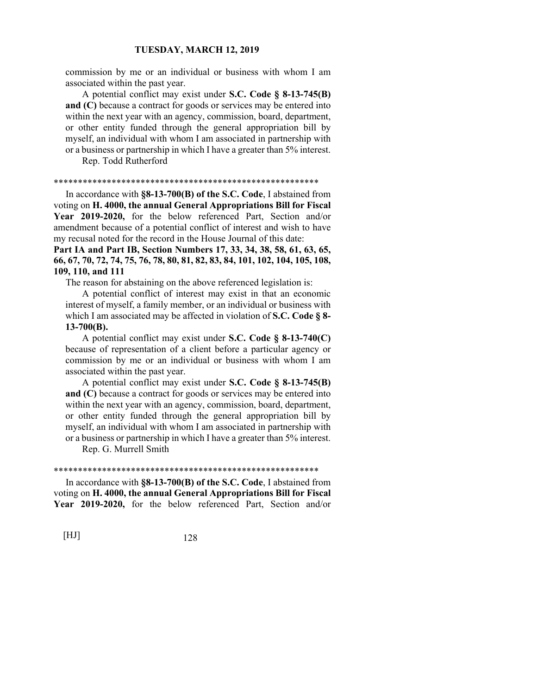commission by me or an individual or business with whom I am associated within the past year.

 A potential conflict may exist under **S.C. Code § 8-13-745(B) and (C)** because a contract for goods or services may be entered into within the next year with an agency, commission, board, department, or other entity funded through the general appropriation bill by myself, an individual with whom I am associated in partnership with or a business or partnership in which I have a greater than 5% interest.

Rep. Todd Rutherford

#### \*\*\*\*\*\*\*\*\*\*\*\*\*\*\*\*\*\*\*\*\*\*\*\*\*\*\*\*\*\*\*\*\*\*\*\*\*\*\*\*\*\*\*\*\*\*\*\*\*\*\*\*\*\*\*

 In accordance with **§8-13-700(B) of the S.C. Code**, I abstained from voting on **H. 4000, the annual General Appropriations Bill for Fiscal Year 2019-2020,** for the below referenced Part, Section and/or amendment because of a potential conflict of interest and wish to have my recusal noted for the record in the House Journal of this date:

**Part IA and Part IB, Section Numbers 17, 33, 34, 38, 58, 61, 63, 65, 66, 67, 70, 72, 74, 75, 76, 78, 80, 81, 82, 83, 84, 101, 102, 104, 105, 108, 109, 110, and 111**

The reason for abstaining on the above referenced legislation is:

 A potential conflict of interest may exist in that an economic interest of myself, a family member, or an individual or business with which I am associated may be affected in violation of **S.C. Code § 8- 13-700(B).**

 A potential conflict may exist under **S.C. Code § 8-13-740(C)** because of representation of a client before a particular agency or commission by me or an individual or business with whom I am associated within the past year.

 A potential conflict may exist under **S.C. Code § 8-13-745(B) and (C)** because a contract for goods or services may be entered into within the next year with an agency, commission, board, department, or other entity funded through the general appropriation bill by myself, an individual with whom I am associated in partnership with or a business or partnership in which I have a greater than 5% interest.

Rep. G. Murrell Smith

#### \*\*\*\*\*\*\*\*\*\*\*\*\*\*\*\*\*\*\*\*\*\*\*\*\*\*\*\*\*\*\*\*\*\*\*\*\*\*\*\*\*\*\*\*\*\*\*\*\*\*\*\*\*\*\*

 In accordance with **§8-13-700(B) of the S.C. Code**, I abstained from voting on **H. 4000, the annual General Appropriations Bill for Fiscal Year 2019-2020,** for the below referenced Part, Section and/or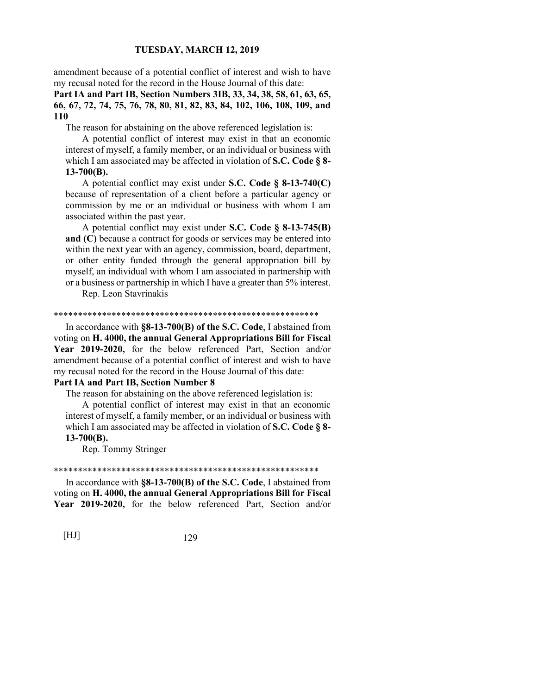amendment because of a potential conflict of interest and wish to have my recusal noted for the record in the House Journal of this date:

# **Part IA and Part IB, Section Numbers 3IB, 33, 34, 38, 58, 61, 63, 65, 66, 67, 72, 74, 75, 76, 78, 80, 81, 82, 83, 84, 102, 106, 108, 109, and 110**

The reason for abstaining on the above referenced legislation is:

 A potential conflict of interest may exist in that an economic interest of myself, a family member, or an individual or business with which I am associated may be affected in violation of **S.C. Code § 8- 13-700(B).**

 A potential conflict may exist under **S.C. Code § 8-13-740(C)** because of representation of a client before a particular agency or commission by me or an individual or business with whom I am associated within the past year.

 A potential conflict may exist under **S.C. Code § 8-13-745(B) and (C)** because a contract for goods or services may be entered into within the next year with an agency, commission, board, department, or other entity funded through the general appropriation bill by myself, an individual with whom I am associated in partnership with or a business or partnership in which I have a greater than 5% interest.

Rep. Leon Stavrinakis

#### \*\*\*\*\*\*\*\*\*\*\*\*\*\*\*\*\*\*\*\*\*\*\*\*\*\*\*\*\*\*\*\*\*\*\*\*\*\*\*\*\*\*\*\*\*\*\*\*\*\*\*\*\*\*\*

 In accordance with **§8-13-700(B) of the S.C. Code**, I abstained from voting on **H. 4000, the annual General Appropriations Bill for Fiscal Year 2019-2020,** for the below referenced Part, Section and/or amendment because of a potential conflict of interest and wish to have my recusal noted for the record in the House Journal of this date:

## **Part IA and Part IB, Section Number 8**

The reason for abstaining on the above referenced legislation is:

 A potential conflict of interest may exist in that an economic interest of myself, a family member, or an individual or business with which I am associated may be affected in violation of **S.C. Code § 8- 13-700(B).**

Rep. Tommy Stringer

#### \*\*\*\*\*\*\*\*\*\*\*\*\*\*\*\*\*\*\*\*\*\*\*\*\*\*\*\*\*\*\*\*\*\*\*\*\*\*\*\*\*\*\*\*\*\*\*\*\*\*\*\*\*\*\*

 In accordance with **§8-13-700(B) of the S.C. Code**, I abstained from voting on **H. 4000, the annual General Appropriations Bill for Fiscal Year 2019-2020,** for the below referenced Part, Section and/or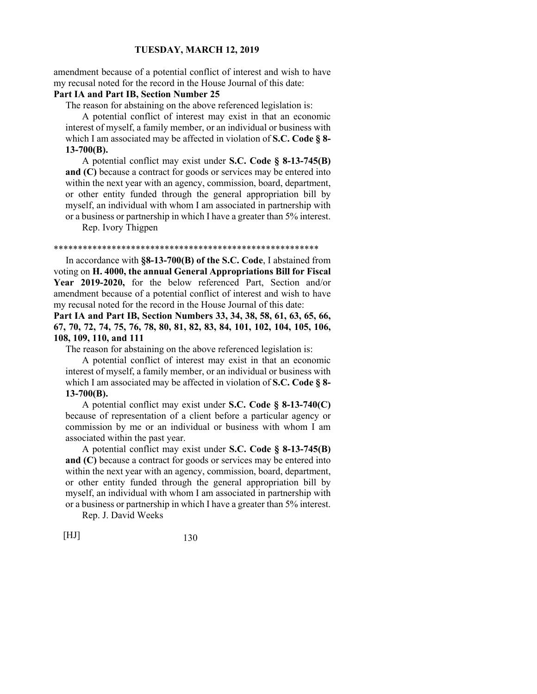amendment because of a potential conflict of interest and wish to have my recusal noted for the record in the House Journal of this date:

# **Part IA and Part IB, Section Number 25**

The reason for abstaining on the above referenced legislation is:

 A potential conflict of interest may exist in that an economic interest of myself, a family member, or an individual or business with which I am associated may be affected in violation of **S.C. Code § 8- 13-700(B).**

 A potential conflict may exist under **S.C. Code § 8-13-745(B) and (C)** because a contract for goods or services may be entered into within the next year with an agency, commission, board, department, or other entity funded through the general appropriation bill by myself, an individual with whom I am associated in partnership with or a business or partnership in which I have a greater than 5% interest.

Rep. Ivory Thigpen

#### \*\*\*\*\*\*\*\*\*\*\*\*\*\*\*\*\*\*\*\*\*\*\*\*\*\*\*\*\*\*\*\*\*\*\*\*\*\*\*\*\*\*\*\*\*\*\*\*\*\*\*\*\*\*\*

 In accordance with **§8-13-700(B) of the S.C. Code**, I abstained from voting on **H. 4000, the annual General Appropriations Bill for Fiscal Year 2019-2020,** for the below referenced Part, Section and/or amendment because of a potential conflict of interest and wish to have my recusal noted for the record in the House Journal of this date:

**Part IA and Part IB, Section Numbers 33, 34, 38, 58, 61, 63, 65, 66, 67, 70, 72, 74, 75, 76, 78, 80, 81, 82, 83, 84, 101, 102, 104, 105, 106, 108, 109, 110, and 111**

The reason for abstaining on the above referenced legislation is:

 A potential conflict of interest may exist in that an economic interest of myself, a family member, or an individual or business with which I am associated may be affected in violation of **S.C. Code § 8- 13-700(B).**

 A potential conflict may exist under **S.C. Code § 8-13-740(C)** because of representation of a client before a particular agency or commission by me or an individual or business with whom I am associated within the past year.

 A potential conflict may exist under **S.C. Code § 8-13-745(B) and (C)** because a contract for goods or services may be entered into within the next year with an agency, commission, board, department, or other entity funded through the general appropriation bill by myself, an individual with whom I am associated in partnership with or a business or partnership in which I have a greater than 5% interest.

Rep. J. David Weeks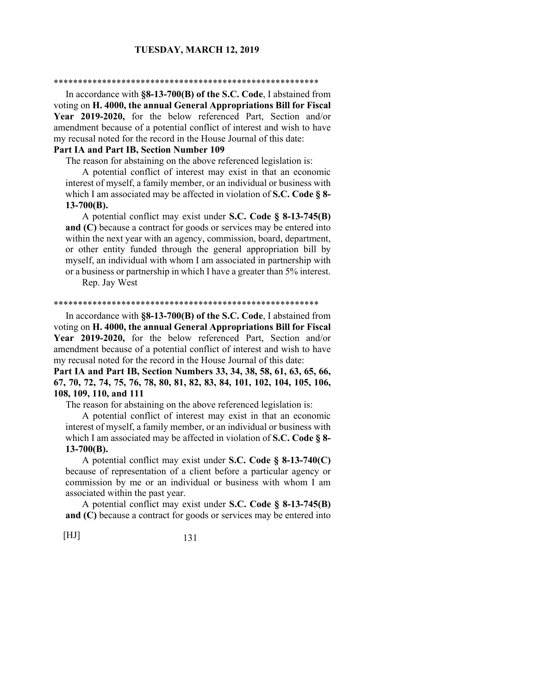#### \*\*\*\*\*\*\*\*\*\*\*\*\*\*\*\*\*\*\*\*\*\*\*\*\*\*\*\*\*\*\*\*\*\*\*\*\*\*\*\*\*\*\*\*\*\*\*\*\*\*\*\*\*\*\*

 In accordance with **§8-13-700(B) of the S.C. Code**, I abstained from voting on **H. 4000, the annual General Appropriations Bill for Fiscal Year 2019-2020,** for the below referenced Part, Section and/or amendment because of a potential conflict of interest and wish to have my recusal noted for the record in the House Journal of this date:

## **Part IA and Part IB, Section Number 109**

The reason for abstaining on the above referenced legislation is:

 A potential conflict of interest may exist in that an economic interest of myself, a family member, or an individual or business with which I am associated may be affected in violation of **S.C. Code § 8- 13-700(B).**

 A potential conflict may exist under **S.C. Code § 8-13-745(B) and (C)** because a contract for goods or services may be entered into within the next year with an agency, commission, board, department, or other entity funded through the general appropriation bill by myself, an individual with whom I am associated in partnership with or a business or partnership in which I have a greater than 5% interest.

Rep. Jay West

#### \*\*\*\*\*\*\*\*\*\*\*\*\*\*\*\*\*\*\*\*\*\*\*\*\*\*\*\*\*\*\*\*\*\*\*\*\*\*\*\*\*\*\*\*\*\*\*\*\*\*\*\*\*\*\*

 In accordance with **§8-13-700(B) of the S.C. Code**, I abstained from voting on **H. 4000, the annual General Appropriations Bill for Fiscal Year 2019-2020,** for the below referenced Part, Section and/or amendment because of a potential conflict of interest and wish to have my recusal noted for the record in the House Journal of this date:

**Part IA and Part IB, Section Numbers 33, 34, 38, 58, 61, 63, 65, 66, 67, 70, 72, 74, 75, 76, 78, 80, 81, 82, 83, 84, 101, 102, 104, 105, 106, 108, 109, 110, and 111**

The reason for abstaining on the above referenced legislation is:

 A potential conflict of interest may exist in that an economic interest of myself, a family member, or an individual or business with which I am associated may be affected in violation of **S.C. Code § 8- 13-700(B).**

 A potential conflict may exist under **S.C. Code § 8-13-740(C)** because of representation of a client before a particular agency or commission by me or an individual or business with whom I am associated within the past year.

 A potential conflict may exist under **S.C. Code § 8-13-745(B) and (C)** because a contract for goods or services may be entered into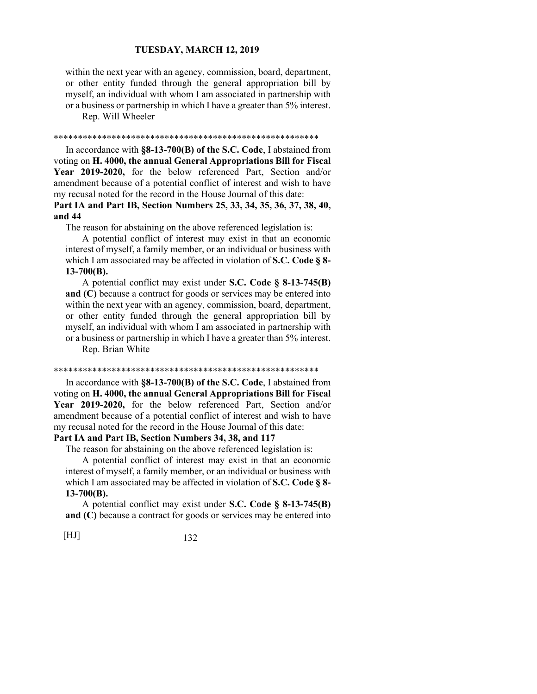within the next year with an agency, commission, board, department, or other entity funded through the general appropriation bill by myself, an individual with whom I am associated in partnership with or a business or partnership in which I have a greater than 5% interest. Rep. Will Wheeler

#### \*\*\*\*\*\*\*\*\*\*\*\*\*\*\*\*\*\*\*\*\*\*\*\*\*\*\*\*\*\*\*\*\*\*\*\*\*\*\*\*\*\*\*\*\*\*\*\*\*\*\*\*\*\*\*

 In accordance with **§8-13-700(B) of the S.C. Code**, I abstained from voting on **H. 4000, the annual General Appropriations Bill for Fiscal Year 2019-2020,** for the below referenced Part, Section and/or amendment because of a potential conflict of interest and wish to have my recusal noted for the record in the House Journal of this date:

# **Part IA and Part IB, Section Numbers 25, 33, 34, 35, 36, 37, 38, 40, and 44**

The reason for abstaining on the above referenced legislation is:

 A potential conflict of interest may exist in that an economic interest of myself, a family member, or an individual or business with which I am associated may be affected in violation of **S.C. Code § 8- 13-700(B).**

 A potential conflict may exist under **S.C. Code § 8-13-745(B) and (C)** because a contract for goods or services may be entered into within the next year with an agency, commission, board, department, or other entity funded through the general appropriation bill by myself, an individual with whom I am associated in partnership with or a business or partnership in which I have a greater than 5% interest. Rep. Brian White

#### \*\*\*\*\*\*\*\*\*\*\*\*\*\*\*\*\*\*\*\*\*\*\*\*\*\*\*\*\*\*\*\*\*\*\*\*\*\*\*\*\*\*\*\*\*\*\*\*\*\*\*\*\*\*\*

 In accordance with **§8-13-700(B) of the S.C. Code**, I abstained from voting on **H. 4000, the annual General Appropriations Bill for Fiscal Year 2019-2020,** for the below referenced Part, Section and/or amendment because of a potential conflict of interest and wish to have my recusal noted for the record in the House Journal of this date:

## **Part IA and Part IB, Section Numbers 34, 38, and 117**

The reason for abstaining on the above referenced legislation is:

 A potential conflict of interest may exist in that an economic interest of myself, a family member, or an individual or business with which I am associated may be affected in violation of **S.C. Code § 8- 13-700(B).**

 A potential conflict may exist under **S.C. Code § 8-13-745(B) and (C)** because a contract for goods or services may be entered into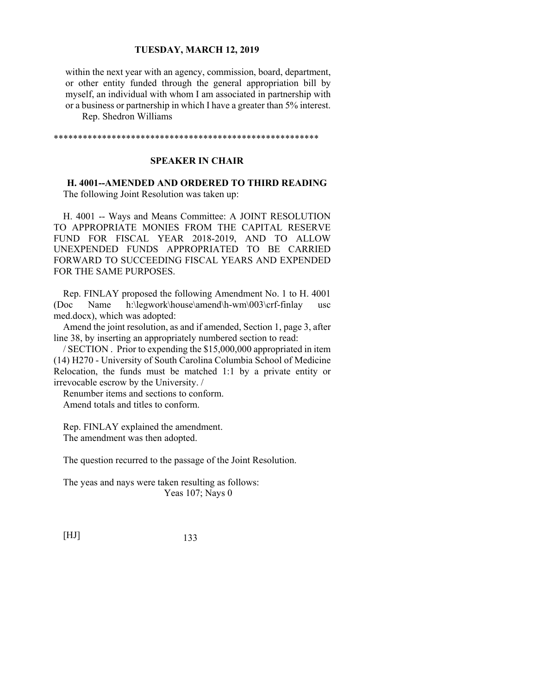within the next year with an agency, commission, board, department, or other entity funded through the general appropriation bill by myself, an individual with whom I am associated in partnership with or a business or partnership in which I have a greater than 5% interest. Rep. Shedron Williams

\*\*\*\*\*\*\*\*\*\*\*\*\*\*\*\*\*\*\*\*\*\*\*\*\*\*\*\*\*\*\*\*\*\*\*\*\*\*\*\*\*\*\*\*\*\*\*\*\*\*\*\*\*\*\*

# **SPEAKER IN CHAIR**

**H. 4001--AMENDED AND ORDERED TO THIRD READING** 

The following Joint Resolution was taken up:

H. 4001 -- Ways and Means Committee: A JOINT RESOLUTION TO APPROPRIATE MONIES FROM THE CAPITAL RESERVE FUND FOR FISCAL YEAR 2018-2019, AND TO ALLOW UNEXPENDED FUNDS APPROPRIATED TO BE CARRIED FORWARD TO SUCCEEDING FISCAL YEARS AND EXPENDED FOR THE SAME PURPOSES.

Rep. FINLAY proposed the following Amendment No. 1 to H. 4001 (Doc Name h:\legwork\house\amend\h-wm\003\crf-finlay usc med.docx), which was adopted:

Amend the joint resolution, as and if amended, Section 1, page 3, after line 38, by inserting an appropriately numbered section to read:

/ SECTION . Prior to expending the \$15,000,000 appropriated in item (14) H270 - University of South Carolina Columbia School of Medicine Relocation, the funds must be matched 1:1 by a private entity or irrevocable escrow by the University. /

Renumber items and sections to conform. Amend totals and titles to conform.

Rep. FINLAY explained the amendment. The amendment was then adopted.

The question recurred to the passage of the Joint Resolution.

The yeas and nays were taken resulting as follows: Yeas 107; Nays 0

[HJ] 133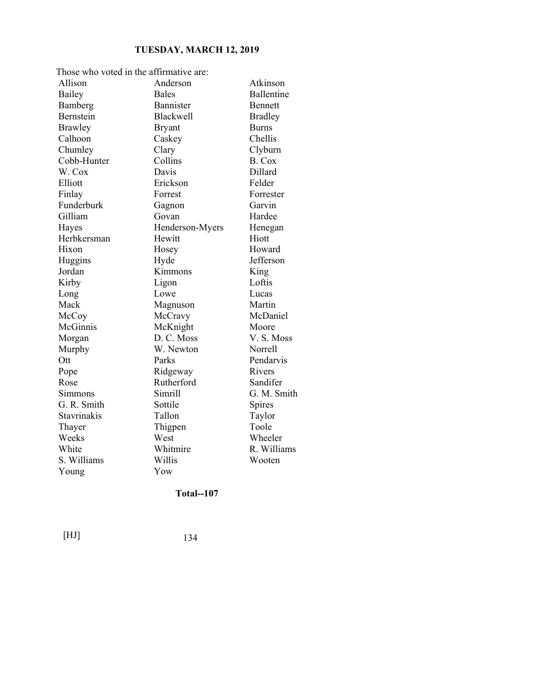| Those who voted in the affirmative are: |                  |                   |
|-----------------------------------------|------------------|-------------------|
| Allison                                 | Anderson         | Atkinson          |
| Bailey                                  | <b>Bales</b>     | <b>Ballentine</b> |
| Bamberg                                 | Bannister        | <b>Bennett</b>    |
| Bernstein                               | <b>Blackwell</b> | <b>Bradley</b>    |
| Brawley                                 | <b>Bryant</b>    | <b>Burns</b>      |
| Calhoon                                 | Caskey           | Chellis           |
| Chumley                                 | Clary            | Clyburn           |
| Cobb-Hunter                             | Collins          | B. Cox            |
| W. Cox                                  | Davis            | Dillard           |
| Elliott                                 | Erickson         | Felder            |
| Finlay                                  | Forrest          | Forrester         |
| Funderburk                              | Gagnon           | Garvin            |
| Gilliam                                 | Govan            | Hardee            |
| Hayes                                   | Henderson-Myers  | Henegan           |
| Herbkersman                             | Hewitt           | Hiott             |
| Hixon                                   | Hosey            | Howard            |
| Huggins                                 | Hyde             | Jefferson         |
| Jordan                                  | Kimmons          | King              |
| Kirby                                   | Ligon            | Loftis            |
| Long                                    | Lowe             | Lucas             |
| Mack                                    | Magnuson         | Martin            |
| McCoy                                   | McCravy          | McDaniel          |
| McGinnis                                | McKnight         | Moore             |
| Morgan                                  | D. C. Moss       | V.S. Moss         |
| Murphy                                  | W. Newton        | Norrell           |
| Ott                                     | Parks            | Pendarvis         |
| Pope                                    | Ridgeway         | Rivers            |
| Rose                                    | Rutherford       | Sandifer          |
| Simmons                                 | Simrill          | G. M. Smith       |
| G. R. Smith                             | Sottile          | Spires            |
| Stavrinakis                             | Tallon           | Taylor            |
| Thayer                                  | Thigpen          | Toole             |
| Weeks                                   | West             | Wheeler           |
| White                                   | Whitmire         | R. Williams       |
| S. Williams                             | Willis           | Wooten            |
| Young                                   | Yow              |                   |

# **Total--107**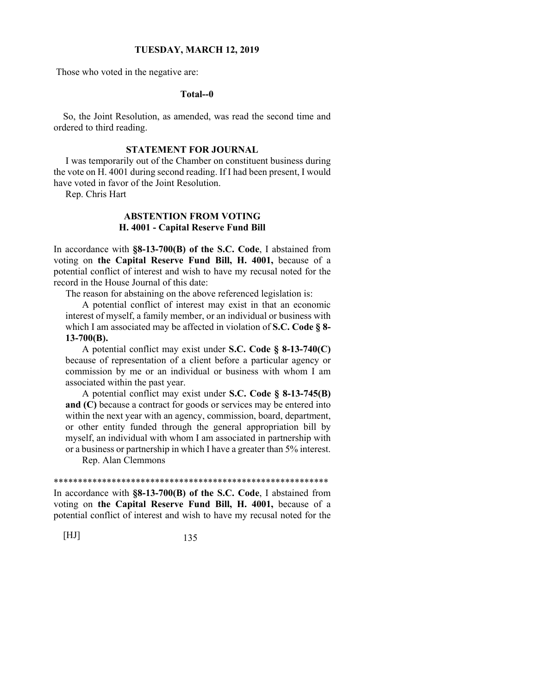Those who voted in the negative are:

## **Total--0**

So, the Joint Resolution, as amended, was read the second time and ordered to third reading.

# **STATEMENT FOR JOURNAL**

 I was temporarily out of the Chamber on constituent business during the vote on H. 4001 during second reading. If I had been present, I would have voted in favor of the Joint Resolution.

Rep. Chris Hart

# **ABSTENTION FROM VOTING H. 4001 - Capital Reserve Fund Bill**

In accordance with **§8-13-700(B) of the S.C. Code**, I abstained from voting on **the Capital Reserve Fund Bill, H. 4001,** because of a potential conflict of interest and wish to have my recusal noted for the record in the House Journal of this date:

The reason for abstaining on the above referenced legislation is:

 A potential conflict of interest may exist in that an economic interest of myself, a family member, or an individual or business with which I am associated may be affected in violation of **S.C. Code § 8- 13-700(B).**

 A potential conflict may exist under **S.C. Code § 8-13-740(C)** because of representation of a client before a particular agency or commission by me or an individual or business with whom I am associated within the past year.

 A potential conflict may exist under **S.C. Code § 8-13-745(B) and (C)** because a contract for goods or services may be entered into within the next year with an agency, commission, board, department, or other entity funded through the general appropriation bill by myself, an individual with whom I am associated in partnership with or a business or partnership in which I have a greater than 5% interest.

Rep. Alan Clemmons

\*\*\*\*\*\*\*\*\*\*\*\*\*\*\*\*\*\*\*\*\*\*\*\*\*\*\*\*\*\*\*\*\*\*\*\*\*\*\*\*\*\*\*\*\*\*\*\*\*\*\*\*\*\*\*\*\*

In accordance with **§8-13-700(B) of the S.C. Code**, I abstained from voting on **the Capital Reserve Fund Bill, H. 4001,** because of a potential conflict of interest and wish to have my recusal noted for the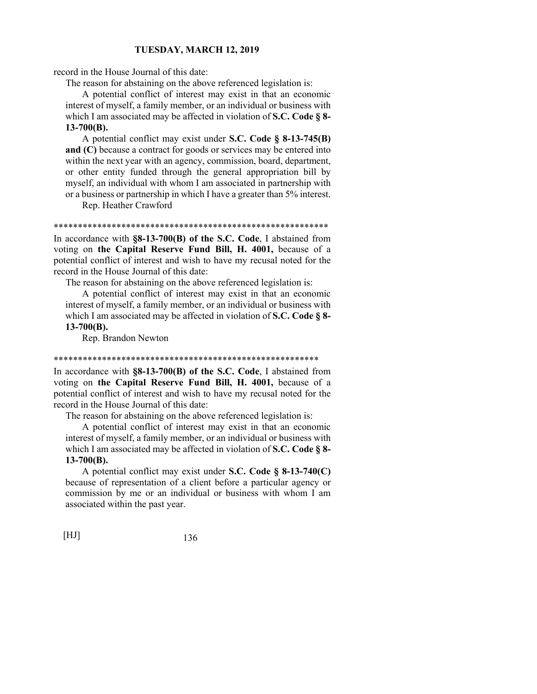record in the House Journal of this date:

The reason for abstaining on the above referenced legislation is:

 A potential conflict of interest may exist in that an economic interest of myself, a family member, or an individual or business with which I am associated may be affected in violation of **S.C. Code § 8- 13-700(B).**

 A potential conflict may exist under **S.C. Code § 8-13-745(B) and (C)** because a contract for goods or services may be entered into within the next year with an agency, commission, board, department, or other entity funded through the general appropriation bill by myself, an individual with whom I am associated in partnership with or a business or partnership in which I have a greater than 5% interest.

Rep. Heather Crawford

\*\*\*\*\*\*\*\*\*\*\*\*\*\*\*\*\*\*\*\*\*\*\*\*\*\*\*\*\*\*\*\*\*\*\*\*\*\*\*\*\*\*\*\*\*\*\*\*\*\*\*\*\*\*\*\*\*

In accordance with **§8-13-700(B) of the S.C. Code**, I abstained from voting on **the Capital Reserve Fund Bill, H. 4001,** because of a potential conflict of interest and wish to have my recusal noted for the record in the House Journal of this date:

The reason for abstaining on the above referenced legislation is:

 A potential conflict of interest may exist in that an economic interest of myself, a family member, or an individual or business with which I am associated may be affected in violation of **S.C. Code § 8- 13-700(B).**

Rep. Brandon Newton

#### \*\*\*\*\*\*\*\*\*\*\*\*\*\*\*\*\*\*\*\*\*\*\*\*\*\*\*\*\*\*\*\*\*\*\*\*\*\*\*\*\*\*\*\*\*\*\*\*\*\*\*\*\*\*\*

In accordance with **§8-13-700(B) of the S.C. Code**, I abstained from voting on **the Capital Reserve Fund Bill, H. 4001,** because of a potential conflict of interest and wish to have my recusal noted for the record in the House Journal of this date:

The reason for abstaining on the above referenced legislation is:

 A potential conflict of interest may exist in that an economic interest of myself, a family member, or an individual or business with which I am associated may be affected in violation of **S.C. Code § 8- 13-700(B).**

 A potential conflict may exist under **S.C. Code § 8-13-740(C)** because of representation of a client before a particular agency or commission by me or an individual or business with whom I am associated within the past year.